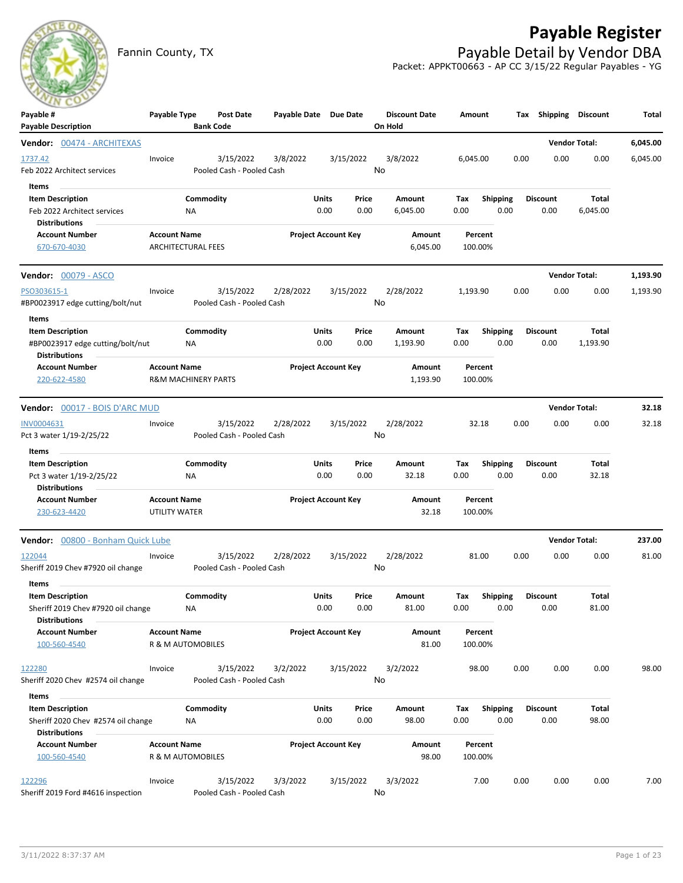## **Payable Register**



Fannin County, TX **Payable Detail by Vendor DBA** Packet: APPKT00663 - AP CC 3/15/22 Regular Payables - YG

| Payable #                                                                                      | Payable Type                                          |                  | Post Date                              | Payable Date Due Date |               |                            | <b>Discount Date</b> | Amount             |                         |      | Tax Shipping Discount   |                      | Total    |
|------------------------------------------------------------------------------------------------|-------------------------------------------------------|------------------|----------------------------------------|-----------------------|---------------|----------------------------|----------------------|--------------------|-------------------------|------|-------------------------|----------------------|----------|
| <b>Payable Description</b><br>Vendor: 00474 - ARCHITEXAS                                       |                                                       | <b>Bank Code</b> |                                        |                       |               |                            | On Hold              |                    |                         |      |                         | <b>Vendor Total:</b> | 6,045.00 |
| 1737.42<br>Feb 2022 Architect services                                                         | Invoice                                               |                  | 3/15/2022<br>Pooled Cash - Pooled Cash | 3/8/2022              |               | 3/15/2022                  | 3/8/2022<br>No       | 6,045.00           |                         | 0.00 | 0.00                    | 0.00                 | 6,045.00 |
| Items<br><b>Item Description</b><br>Feb 2022 Architect services<br><b>Distributions</b>        |                                                       | Commodity<br>ΝA  |                                        |                       | Units<br>0.00 | Price<br>0.00              | Amount<br>6,045.00   | Тах<br>0.00        | <b>Shipping</b><br>0.00 |      | <b>Discount</b><br>0.00 | Total<br>6,045.00    |          |
| <b>Account Number</b><br>670-670-4030                                                          | <b>Account Name</b><br><b>ARCHITECTURAL FEES</b>      |                  |                                        |                       |               | <b>Project Account Key</b> | Amount<br>6,045.00   | Percent<br>100.00% |                         |      |                         |                      |          |
| <b>Vendor: 00079 - ASCO</b>                                                                    |                                                       |                  |                                        |                       |               |                            |                      |                    |                         |      |                         | <b>Vendor Total:</b> | 1,193.90 |
| PSO303615-1<br>#BP0023917 edge cutting/bolt/nut                                                | Invoice                                               |                  | 3/15/2022<br>Pooled Cash - Pooled Cash | 2/28/2022             |               | 3/15/2022                  | 2/28/2022<br>No      | 1,193.90           |                         | 0.00 | 0.00                    | 0.00                 | 1,193.90 |
| Items<br><b>Item Description</b><br>#BP0023917 edge cutting/bolt/nut                           |                                                       | Commodity<br>ΝA  |                                        |                       | Units<br>0.00 | Price<br>0.00              | Amount<br>1,193.90   | Тах<br>0.00        | Shipping<br>0.00        |      | <b>Discount</b><br>0.00 | Total<br>1,193.90    |          |
| <b>Distributions</b><br><b>Account Number</b><br>220-622-4580                                  | <b>Account Name</b><br><b>R&amp;M MACHINERY PARTS</b> |                  |                                        |                       |               | <b>Project Account Key</b> | Amount<br>1,193.90   | Percent<br>100.00% |                         |      |                         |                      |          |
| <b>Vendor: 00017 - BOIS D'ARC MUD</b>                                                          |                                                       |                  |                                        |                       |               |                            |                      |                    |                         |      |                         | <b>Vendor Total:</b> | 32.18    |
| INV0004631<br>Pct 3 water 1/19-2/25/22                                                         | Invoice                                               |                  | 3/15/2022<br>Pooled Cash - Pooled Cash | 2/28/2022             |               | 3/15/2022                  | 2/28/2022<br>No      | 32.18              |                         | 0.00 | 0.00                    | 0.00                 | 32.18    |
| Items<br>$\sim$<br><b>Item Description</b><br>Pct 3 water 1/19-2/25/22                         |                                                       | Commodity<br>ΝA  |                                        |                       | Units<br>0.00 | Price<br>0.00              | Amount<br>32.18      | Тах<br>0.00        | <b>Shipping</b><br>0.00 |      | <b>Discount</b><br>0.00 | Total<br>32.18       |          |
| <b>Distributions</b><br><b>Account Number</b><br>230-623-4420                                  | <b>Account Name</b><br>UTILITY WATER                  |                  |                                        |                       |               | <b>Project Account Key</b> | Amount<br>32.18      | Percent<br>100.00% |                         |      |                         |                      |          |
| Vendor: 00800 - Bonham Quick Lube                                                              |                                                       |                  |                                        |                       |               |                            |                      |                    |                         |      |                         | <b>Vendor Total:</b> | 237.00   |
| 122044<br>Sheriff 2019 Chev #7920 oil change                                                   | Invoice                                               |                  | 3/15/2022<br>Pooled Cash - Pooled Cash | 2/28/2022             |               | 3/15/2022                  | 2/28/2022<br>No      | 81.00              |                         | 0.00 | 0.00                    | 0.00                 | 81.00    |
| Items<br><b>Item Description</b><br>Sheriff 2019 Chev #7920 oil change<br><b>Distributions</b> |                                                       | Commodity<br>ΝA  |                                        |                       | Units<br>0.00 | Price<br>0.00              | Amount<br>81.00      | Тах<br>0.00        | <b>Shipping</b><br>0.00 |      | <b>Discount</b><br>0.00 | Total<br>81.00       |          |
| <b>Account Number</b><br>100-560-4540                                                          | <b>Account Name</b><br>R & M AUTOMOBILES              |                  |                                        |                       |               | <b>Project Account Key</b> | Amount<br>81.00      | Percent<br>100.00% |                         |      |                         |                      |          |
| 122280<br>Sheriff 2020 Chev #2574 oil change                                                   | Invoice                                               |                  | 3/15/2022<br>Pooled Cash - Pooled Cash | 3/2/2022              |               | 3/15/2022                  | 3/2/2022<br>No       | 98.00              |                         | 0.00 | 0.00                    | 0.00                 | 98.00    |
| Items<br><b>Item Description</b><br>Sheriff 2020 Chev #2574 oil change<br><b>Distributions</b> |                                                       | Commodity<br>NA  |                                        |                       | Units<br>0.00 | Price<br>0.00              | Amount<br>98.00      | Tax<br>0.00        | <b>Shipping</b><br>0.00 |      | <b>Discount</b><br>0.00 | Total<br>98.00       |          |
| <b>Account Number</b><br>100-560-4540                                                          | <b>Account Name</b><br>R & M AUTOMOBILES              |                  |                                        |                       |               | <b>Project Account Key</b> | Amount<br>98.00      | Percent<br>100.00% |                         |      |                         |                      |          |
| 122296<br>Sheriff 2019 Ford #4616 inspection                                                   | Invoice                                               |                  | 3/15/2022<br>Pooled Cash - Pooled Cash | 3/3/2022              |               | 3/15/2022                  | 3/3/2022<br>No       | 7.00               |                         | 0.00 | 0.00                    | 0.00                 | 7.00     |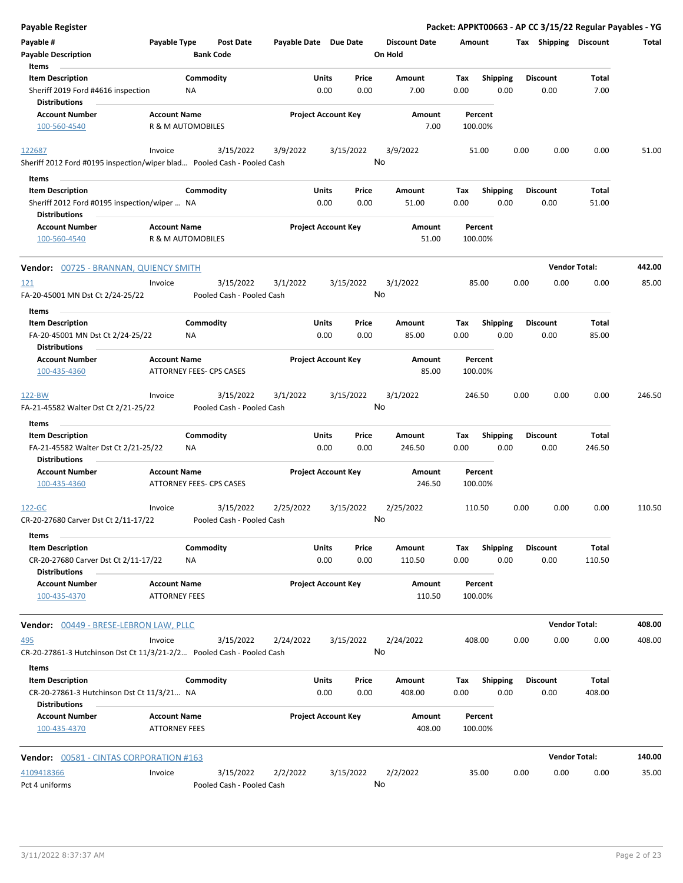| <b>Payable Register</b>                                                 |                                                        |                  |                                        |                       |               |                            |         |                      |             |                         |      | Packet: APPKT00663 - AP CC 3/15/22 Regular Payables - YG |                 |        |
|-------------------------------------------------------------------------|--------------------------------------------------------|------------------|----------------------------------------|-----------------------|---------------|----------------------------|---------|----------------------|-------------|-------------------------|------|----------------------------------------------------------|-----------------|--------|
| Payable #<br><b>Payable Description</b>                                 | Payable Type                                           | <b>Bank Code</b> | <b>Post Date</b>                       | Payable Date Due Date |               |                            | On Hold | <b>Discount Date</b> | Amount      |                         |      | Tax Shipping Discount                                    |                 | Total  |
| Items                                                                   |                                                        |                  |                                        |                       |               |                            |         |                      |             |                         |      |                                                          |                 |        |
| <b>Item Description</b><br>Sheriff 2019 Ford #4616 inspection           |                                                        | Commodity<br>NA  |                                        |                       | Units<br>0.00 | Price<br>0.00              |         | Amount<br>7.00       | Tax<br>0.00 | <b>Shipping</b><br>0.00 |      | <b>Discount</b><br>0.00                                  | Total<br>7.00   |        |
| Distributions                                                           |                                                        |                  |                                        |                       |               |                            |         |                      |             |                         |      |                                                          |                 |        |
| <b>Account Number</b>                                                   | <b>Account Name</b>                                    |                  |                                        |                       |               | <b>Project Account Key</b> |         | Amount               |             | Percent                 |      |                                                          |                 |        |
| 100-560-4540                                                            | R & M AUTOMOBILES                                      |                  |                                        |                       |               |                            |         | 7.00                 | 100.00%     |                         |      |                                                          |                 |        |
| 122687                                                                  | Invoice                                                |                  | 3/15/2022                              | 3/9/2022              |               | 3/15/2022                  |         | 3/9/2022             |             | 51.00                   | 0.00 | 0.00                                                     | 0.00            | 51.00  |
| Sheriff 2012 Ford #0195 inspection/wiper blad Pooled Cash - Pooled Cash |                                                        |                  |                                        |                       |               |                            | No      |                      |             |                         |      |                                                          |                 |        |
| Items                                                                   |                                                        |                  |                                        |                       |               |                            |         |                      |             |                         |      |                                                          |                 |        |
| <b>Item Description</b>                                                 |                                                        | Commodity        |                                        |                       | <b>Units</b>  | Price                      |         | Amount               | Tax         | <b>Shipping</b>         |      | <b>Discount</b>                                          | Total           |        |
| Sheriff 2012 Ford #0195 inspection/wiper  NA<br><b>Distributions</b>    |                                                        |                  |                                        |                       | 0.00          | 0.00                       |         | 51.00                | 0.00        | 0.00                    |      | 0.00                                                     | 51.00           |        |
| <b>Account Number</b>                                                   | <b>Account Name</b>                                    |                  |                                        |                       |               | <b>Project Account Key</b> |         | Amount               |             | Percent                 |      |                                                          |                 |        |
| 100-560-4540                                                            | R & M AUTOMOBILES                                      |                  |                                        |                       |               |                            |         | 51.00                | 100.00%     |                         |      |                                                          |                 |        |
| <b>Vendor: 00725 - BRANNAN, QUIENCY SMITH</b>                           |                                                        |                  |                                        |                       |               |                            |         |                      |             |                         |      | <b>Vendor Total:</b>                                     |                 | 442.00 |
|                                                                         |                                                        |                  |                                        |                       |               |                            |         |                      |             |                         |      |                                                          |                 |        |
| <u>121</u>                                                              | Invoice                                                |                  | 3/15/2022<br>Pooled Cash - Pooled Cash | 3/1/2022              |               | 3/15/2022                  | No      | 3/1/2022             |             | 85.00                   | 0.00 | 0.00                                                     | 0.00            | 85.00  |
| FA-20-45001 MN Dst Ct 2/24-25/22<br>Items                               |                                                        |                  |                                        |                       |               |                            |         |                      |             |                         |      |                                                          |                 |        |
| <b>Item Description</b>                                                 |                                                        | Commodity        |                                        |                       | Units         | Price                      |         | Amount               | Tax         | <b>Shipping</b>         |      | <b>Discount</b>                                          | Total           |        |
| FA-20-45001 MN Dst Ct 2/24-25/22                                        |                                                        | ΝA               |                                        |                       | 0.00          | 0.00                       |         | 85.00                | 0.00        | 0.00                    |      | 0.00                                                     | 85.00           |        |
| <b>Distributions</b>                                                    |                                                        |                  |                                        |                       |               |                            |         |                      |             |                         |      |                                                          |                 |        |
| <b>Account Number</b>                                                   | <b>Account Name</b>                                    |                  |                                        |                       |               | <b>Project Account Key</b> |         | Amount               |             | Percent                 |      |                                                          |                 |        |
| 100-435-4360                                                            | ATTORNEY FEES- CPS CASES                               |                  |                                        |                       |               |                            |         | 85.00                | 100.00%     |                         |      |                                                          |                 |        |
| 122-BW                                                                  | Invoice                                                |                  | 3/15/2022                              | 3/1/2022              |               | 3/15/2022                  |         | 3/1/2022             | 246.50      |                         | 0.00 | 0.00                                                     | 0.00            | 246.50 |
| FA-21-45582 Walter Dst Ct 2/21-25/22                                    |                                                        |                  | Pooled Cash - Pooled Cash              |                       |               |                            | No      |                      |             |                         |      |                                                          |                 |        |
| Items                                                                   |                                                        |                  |                                        |                       |               |                            |         |                      |             |                         |      |                                                          |                 |        |
| <b>Item Description</b>                                                 |                                                        | Commodity        |                                        |                       | Units         | Price                      |         | Amount               | Tax         | <b>Shipping</b>         |      | <b>Discount</b>                                          | Total           |        |
| FA-21-45582 Walter Dst Ct 2/21-25/22<br>Distributions                   |                                                        | NA               |                                        |                       | 0.00          | 0.00                       |         | 246.50               | 0.00        | 0.00                    |      | 0.00                                                     | 246.50          |        |
| <b>Account Number</b><br>100-435-4360                                   | <b>Account Name</b><br><b>ATTORNEY FEES- CPS CASES</b> |                  |                                        |                       |               | <b>Project Account Key</b> |         | Amount<br>246.50     | 100.00%     | Percent                 |      |                                                          |                 |        |
| 122-GC                                                                  | Invoice                                                |                  | 3/15/2022                              | 2/25/2022             |               | 3/15/2022                  |         | 2/25/2022            | 110.50      |                         | 0.00 | 0.00                                                     | 0.00            | 110.50 |
| CR-20-27680 Carver Dst Ct 2/11-17/22<br>Items                           |                                                        |                  | Pooled Cash - Pooled Cash              |                       |               |                            | No      |                      |             |                         |      |                                                          |                 |        |
| <b>Item Description</b>                                                 |                                                        | Commodity        |                                        |                       | Units         | Price                      |         | Amount               | Tax         | <b>Shipping</b>         |      | <b>Discount</b>                                          | Total           |        |
| CR-20-27680 Carver Dst Ct 2/11-17/22                                    |                                                        | ΝA               |                                        |                       | 0.00          | 0.00                       |         | 110.50               | 0.00        | 0.00                    |      | 0.00                                                     | 110.50          |        |
| <b>Distributions</b><br><b>Account Number</b>                           | <b>Account Name</b>                                    |                  |                                        |                       |               | <b>Project Account Key</b> |         | Amount               |             | Percent                 |      |                                                          |                 |        |
| 100-435-4370                                                            | <b>ATTORNEY FEES</b>                                   |                  |                                        |                       |               |                            |         | 110.50               | 100.00%     |                         |      |                                                          |                 |        |
| Vendor: 00449 - BRESE-LEBRON LAW, PLLC                                  |                                                        |                  |                                        |                       |               |                            |         |                      |             |                         |      | <b>Vendor Total:</b>                                     |                 | 408.00 |
| 495                                                                     | Invoice                                                |                  |                                        |                       |               |                            |         | 2/24/2022            | 408.00      |                         | 0.00 | 0.00                                                     | 0.00            | 408.00 |
| CR-20-27861-3 Hutchinson Dst Ct 11/3/21-2/2 Pooled Cash - Pooled Cash   |                                                        |                  | 3/15/2022                              | 2/24/2022             |               | 3/15/2022                  | No      |                      |             |                         |      |                                                          |                 |        |
| Items                                                                   |                                                        |                  |                                        |                       |               |                            |         |                      |             |                         |      |                                                          |                 |        |
| <b>Item Description</b><br>CR-20-27861-3 Hutchinson Dst Ct 11/3/21 NA   |                                                        | Commodity        |                                        |                       | Units<br>0.00 | Price<br>0.00              |         | Amount<br>408.00     | Tax<br>0.00 | Shipping<br>0.00        |      | <b>Discount</b><br>0.00                                  | Total<br>408.00 |        |
| <b>Distributions</b>                                                    |                                                        |                  |                                        |                       |               |                            |         |                      |             |                         |      |                                                          |                 |        |
| <b>Account Number</b><br>100-435-4370                                   | <b>Account Name</b><br><b>ATTORNEY FEES</b>            |                  |                                        |                       |               | <b>Project Account Key</b> |         | Amount<br>408.00     | 100.00%     | Percent                 |      |                                                          |                 |        |
| <b>Vendor: 00581 - CINTAS CORPORATION #163</b>                          |                                                        |                  |                                        |                       |               |                            |         |                      |             |                         |      | <b>Vendor Total:</b>                                     |                 | 140.00 |
|                                                                         |                                                        |                  |                                        |                       |               |                            |         |                      |             |                         |      |                                                          |                 |        |
| 4109418366<br>Pct 4 uniforms                                            | Invoice                                                |                  | 3/15/2022<br>Pooled Cash - Pooled Cash | 2/2/2022              |               | 3/15/2022                  | No      | 2/2/2022             |             | 35.00                   | 0.00 | 0.00                                                     | 0.00            | 35.00  |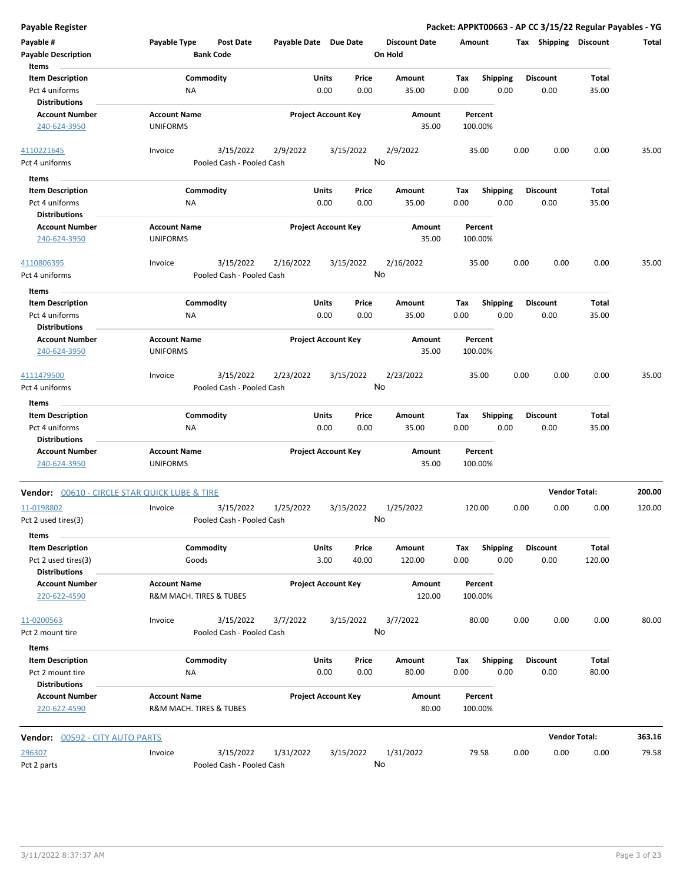| <b>Payable Register</b>                                           |                                                |                                        |                            |               |                 |                                 |                    |                         |      |                         | Packet: APPKT00663 - AP CC 3/15/22 Regular Payables - YG |        |
|-------------------------------------------------------------------|------------------------------------------------|----------------------------------------|----------------------------|---------------|-----------------|---------------------------------|--------------------|-------------------------|------|-------------------------|----------------------------------------------------------|--------|
| Payable #<br><b>Payable Description</b>                           | Payable Type                                   | <b>Post Date</b><br><b>Bank Code</b>   | Payable Date Due Date      |               |                 | <b>Discount Date</b><br>On Hold | Amount             |                         |      | Tax Shipping Discount   |                                                          | Total  |
| Items                                                             | Commodity                                      |                                        |                            |               |                 |                                 |                    |                         |      | <b>Discount</b>         |                                                          |        |
| <b>Item Description</b><br>Pct 4 uniforms<br><b>Distributions</b> | NA                                             |                                        |                            | Units<br>0.00 | Price<br>0.00   | Amount<br>35.00                 | Tax<br>0.00        | <b>Shipping</b><br>0.00 |      | 0.00                    | Total<br>35.00                                           |        |
| <b>Account Number</b><br>240-624-3950                             | <b>Account Name</b><br><b>UNIFORMS</b>         |                                        | <b>Project Account Key</b> |               |                 | Amount<br>35.00                 | Percent<br>100.00% |                         |      |                         |                                                          |        |
| 4110221645<br>Pct 4 uniforms                                      | Invoice                                        | 3/15/2022<br>Pooled Cash - Pooled Cash | 2/9/2022                   |               | 3/15/2022<br>No | 2/9/2022                        | 35.00              |                         | 0.00 | 0.00                    | 0.00                                                     | 35.00  |
| Items                                                             |                                                |                                        |                            |               |                 |                                 |                    |                         |      |                         |                                                          |        |
| <b>Item Description</b>                                           | Commodity                                      |                                        |                            | Units         | Price           | Amount                          | Tax                | <b>Shipping</b>         |      | <b>Discount</b>         | Total                                                    |        |
| Pct 4 uniforms                                                    | ΝA                                             |                                        |                            | 0.00          | 0.00            | 35.00                           | 0.00               | 0.00                    |      | 0.00                    | 35.00                                                    |        |
| <b>Distributions</b><br><b>Account Number</b><br>240-624-3950     | <b>Account Name</b><br><b>UNIFORMS</b>         |                                        | <b>Project Account Key</b> |               |                 | Amount<br>35.00                 | Percent<br>100.00% |                         |      |                         |                                                          |        |
| 4110806395                                                        | Invoice                                        | 3/15/2022                              | 2/16/2022                  |               | 3/15/2022       | 2/16/2022                       | 35.00              |                         | 0.00 | 0.00                    | 0.00                                                     | 35.00  |
| Pct 4 uniforms                                                    |                                                | Pooled Cash - Pooled Cash              |                            |               | No              |                                 |                    |                         |      |                         |                                                          |        |
| Items                                                             |                                                |                                        |                            |               |                 |                                 |                    |                         |      |                         |                                                          |        |
| <b>Item Description</b><br>Pct 4 uniforms<br><b>Distributions</b> | Commodity<br><b>NA</b>                         |                                        |                            | Units<br>0.00 | Price<br>0.00   | Amount<br>35.00                 | Tax<br>0.00        | <b>Shipping</b><br>0.00 |      | <b>Discount</b><br>0.00 | Total<br>35.00                                           |        |
| <b>Account Number</b><br>240-624-3950                             | <b>Account Name</b><br><b>UNIFORMS</b>         |                                        | <b>Project Account Key</b> |               |                 | Amount<br>35.00                 | Percent<br>100.00% |                         |      |                         |                                                          |        |
| 4111479500<br>Pct 4 uniforms                                      | Invoice                                        | 3/15/2022<br>Pooled Cash - Pooled Cash | 2/23/2022                  |               | 3/15/2022<br>No | 2/23/2022                       | 35.00              |                         | 0.00 | 0.00                    | 0.00                                                     | 35.00  |
| Items                                                             |                                                |                                        |                            |               |                 |                                 |                    |                         |      |                         |                                                          |        |
| <b>Item Description</b>                                           | Commodity                                      |                                        |                            | Units         | Price           | Amount                          | Tax                | <b>Shipping</b>         |      | <b>Discount</b>         | Total                                                    |        |
| Pct 4 uniforms<br><b>Distributions</b>                            | NA                                             |                                        |                            | 0.00          | 0.00            | 35.00                           | 0.00               | 0.00                    |      | 0.00                    | 35.00                                                    |        |
| <b>Account Number</b><br>240-624-3950                             | <b>Account Name</b><br><b>UNIFORMS</b>         |                                        | <b>Project Account Key</b> |               |                 | Amount<br>35.00                 | Percent<br>100.00% |                         |      |                         |                                                          |        |
| Vendor: 00610 - CIRCLE STAR QUICK LUBE & TIRE                     |                                                |                                        |                            |               |                 |                                 |                    |                         |      | <b>Vendor Total:</b>    |                                                          | 200.00 |
| 11-0198802                                                        | Invoice                                        | 3/15/2022                              | 1/25/2022                  |               | 3/15/2022       | 1/25/2022                       | 120.00             |                         | 0.00 | 0.00                    | 0.00                                                     | 120.00 |
| Pct 2 used tires(3)                                               |                                                | Pooled Cash - Pooled Cash              |                            |               | No              |                                 |                    |                         |      |                         |                                                          |        |
| Items                                                             |                                                |                                        |                            |               |                 |                                 |                    |                         |      |                         |                                                          |        |
| <b>Item Description</b><br>Pct 2 used tires(3)                    | Commodity<br>Goods                             |                                        |                            | Units<br>3.00 | Price<br>40.00  | Amount<br>120.00                | Tax<br>0.00        | <b>Shipping</b><br>0.00 |      | <b>Discount</b><br>0.00 | Total<br>120.00                                          |        |
| <b>Distributions</b><br><b>Account Number</b><br>220-622-4590     | <b>Account Name</b><br>R&M MACH. TIRES & TUBES |                                        | <b>Project Account Key</b> |               |                 | Amount<br>120.00                | Percent<br>100.00% |                         |      |                         |                                                          |        |
| 11-0200563                                                        | Invoice                                        | 3/15/2022                              | 3/7/2022                   |               | 3/15/2022       | 3/7/2022                        | 80.00              |                         | 0.00 | 0.00                    | 0.00                                                     | 80.00  |
| Pct 2 mount tire<br>Items                                         |                                                | Pooled Cash - Pooled Cash              |                            |               | No              |                                 |                    |                         |      |                         |                                                          |        |
| <b>Item Description</b>                                           | Commodity                                      |                                        |                            | Units         | Price           | Amount                          | Tax                | <b>Shipping</b>         |      | <b>Discount</b>         | Total                                                    |        |
| Pct 2 mount tire<br><b>Distributions</b>                          | NA                                             |                                        |                            | 0.00          | 0.00            | 80.00                           | 0.00               | 0.00                    |      | 0.00                    | 80.00                                                    |        |
| <b>Account Number</b><br>220-622-4590                             | <b>Account Name</b><br>R&M MACH. TIRES & TUBES |                                        | <b>Project Account Key</b> |               |                 | Amount<br>80.00                 | Percent<br>100.00% |                         |      |                         |                                                          |        |
| <b>Vendor: 00592 - CITY AUTO PARTS</b>                            |                                                |                                        |                            |               |                 |                                 |                    |                         |      | <b>Vendor Total:</b>    |                                                          | 363.16 |
| 296307                                                            | Invoice                                        | 3/15/2022                              | 1/31/2022                  |               | 3/15/2022       | 1/31/2022                       | 79.58              |                         | 0.00 | 0.00                    | 0.00                                                     | 79.58  |
| Pct 2 parts                                                       |                                                | Pooled Cash - Pooled Cash              |                            |               | No              |                                 |                    |                         |      |                         |                                                          |        |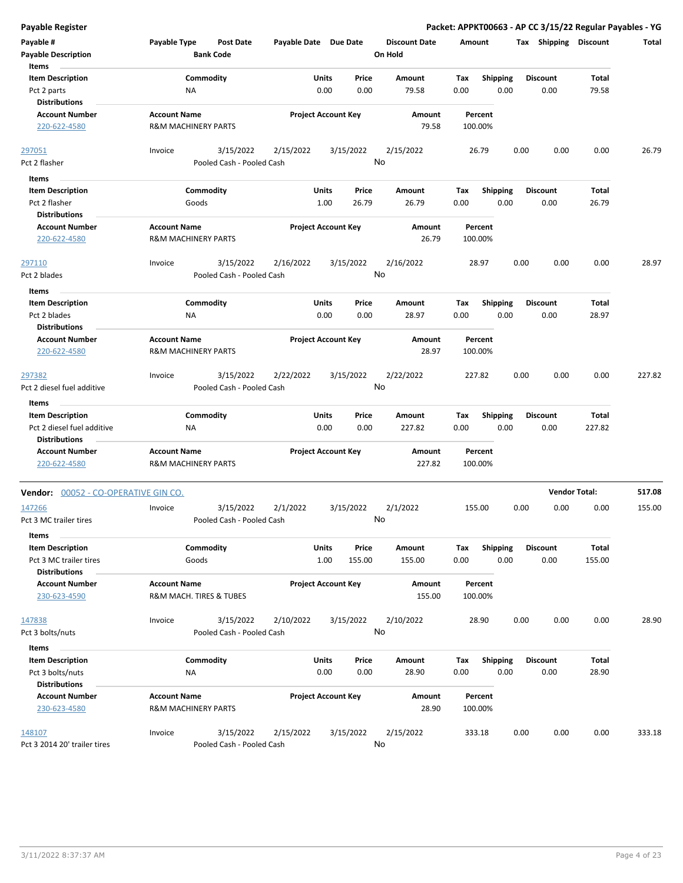| Payable Register                                |                                                       |                                      |                       |                            |               |                                 |             |                    |      |                         | Packet: APPKT00663 - AP CC 3/15/22 Regular Payables - YG |        |
|-------------------------------------------------|-------------------------------------------------------|--------------------------------------|-----------------------|----------------------------|---------------|---------------------------------|-------------|--------------------|------|-------------------------|----------------------------------------------------------|--------|
| Payable #<br><b>Payable Description</b>         | Payable Type                                          | <b>Post Date</b><br><b>Bank Code</b> | Payable Date Due Date |                            |               | <b>Discount Date</b><br>On Hold | Amount      |                    |      | Tax Shipping Discount   |                                                          | Total  |
| Items<br><b>Item Description</b><br>Pct 2 parts | ΝA                                                    | Commodity                            |                       | Units<br>0.00              | Price<br>0.00 | Amount<br>79.58                 | Tax<br>0.00 | Shipping<br>0.00   |      | <b>Discount</b><br>0.00 | Total<br>79.58                                           |        |
| <b>Distributions</b>                            |                                                       |                                      |                       |                            |               |                                 |             |                    |      |                         |                                                          |        |
| <b>Account Number</b><br>220-622-4580           | <b>Account Name</b><br><b>R&amp;M MACHINERY PARTS</b> |                                      |                       | <b>Project Account Key</b> |               | Amount<br>79.58                 | 100.00%     | Percent            |      |                         |                                                          |        |
| 297051                                          | Invoice                                               | 3/15/2022                            | 2/15/2022             | 3/15/2022                  |               | 2/15/2022                       |             | 26.79              | 0.00 | 0.00                    | 0.00                                                     | 26.79  |
| Pct 2 flasher                                   |                                                       | Pooled Cash - Pooled Cash            |                       |                            |               | No                              |             |                    |      |                         |                                                          |        |
| Items                                           |                                                       |                                      |                       |                            |               |                                 |             |                    |      |                         |                                                          |        |
| <b>Item Description</b>                         |                                                       | Commodity                            |                       | Units                      | Price         | Amount                          | Tax         | <b>Shipping</b>    |      | <b>Discount</b>         | Total                                                    |        |
| Pct 2 flasher                                   | Goods                                                 |                                      |                       | 1.00                       | 26.79         | 26.79                           | 0.00        | 0.00               |      | 0.00                    | 26.79                                                    |        |
| <b>Distributions</b>                            |                                                       |                                      |                       |                            |               |                                 |             |                    |      |                         |                                                          |        |
| <b>Account Number</b><br>220-622-4580           | <b>Account Name</b><br><b>R&amp;M MACHINERY PARTS</b> |                                      |                       | <b>Project Account Key</b> |               | Amount<br>26.79                 |             | Percent<br>100.00% |      |                         |                                                          |        |
| 297110                                          | Invoice                                               | 3/15/2022                            | 2/16/2022             | 3/15/2022                  |               | 2/16/2022                       |             | 28.97              | 0.00 | 0.00                    | 0.00                                                     | 28.97  |
| Pct 2 blades                                    |                                                       | Pooled Cash - Pooled Cash            |                       |                            |               | No                              |             |                    |      |                         |                                                          |        |
| Items                                           |                                                       |                                      |                       |                            |               |                                 |             |                    |      |                         |                                                          |        |
| <b>Item Description</b>                         |                                                       | Commodity                            |                       | Units                      | Price         | Amount                          | Tax         | <b>Shipping</b>    |      | <b>Discount</b>         | Total                                                    |        |
| Pct 2 blades                                    | ΝA                                                    |                                      |                       | 0.00                       | 0.00          | 28.97                           | 0.00        | 0.00               |      | 0.00                    | 28.97                                                    |        |
| <b>Distributions</b>                            |                                                       |                                      |                       |                            |               |                                 |             |                    |      |                         |                                                          |        |
| <b>Account Number</b>                           | <b>Account Name</b>                                   |                                      |                       | <b>Project Account Key</b> |               | Amount                          |             | Percent            |      |                         |                                                          |        |
| 220-622-4580                                    | <b>R&amp;M MACHINERY PARTS</b>                        |                                      |                       |                            |               | 28.97                           | 100.00%     |                    |      |                         |                                                          |        |
| 297382                                          | Invoice                                               | 3/15/2022                            | 2/22/2022             | 3/15/2022                  |               | 2/22/2022                       | 227.82      |                    | 0.00 | 0.00                    | 0.00                                                     | 227.82 |
| Pct 2 diesel fuel additive                      |                                                       | Pooled Cash - Pooled Cash            |                       |                            |               | No                              |             |                    |      |                         |                                                          |        |
| Items                                           |                                                       |                                      |                       |                            |               |                                 |             |                    |      |                         |                                                          |        |
| <b>Item Description</b>                         |                                                       | Commodity                            |                       | Units                      | Price         | Amount                          | Tax         | <b>Shipping</b>    |      | <b>Discount</b>         | Total                                                    |        |
| Pct 2 diesel fuel additive                      | NA                                                    |                                      |                       | 0.00                       | 0.00          | 227.82                          | 0.00        | 0.00               |      | 0.00                    | 227.82                                                   |        |
| <b>Distributions</b>                            |                                                       |                                      |                       |                            |               |                                 |             |                    |      |                         |                                                          |        |
| <b>Account Number</b><br>220-622-4580           | <b>Account Name</b><br><b>R&amp;M MACHINERY PARTS</b> |                                      |                       | <b>Project Account Key</b> |               | Amount<br>227.82                |             | Percent<br>100.00% |      |                         |                                                          |        |
| Vendor: 00052 - CO-OPERATIVE GIN CO.            |                                                       |                                      |                       |                            |               |                                 |             |                    |      |                         | <b>Vendor Total:</b>                                     | 517.08 |
| 147266                                          | Invoice                                               | 3/15/2022                            | 2/1/2022              | 3/15/2022                  |               | 2/1/2022                        | 155.00      |                    | 0.00 | 0.00                    | 0.00                                                     | 155.00 |
| Pct 3 MC trailer tires                          |                                                       | Pooled Cash - Pooled Cash            |                       |                            |               | No                              |             |                    |      |                         |                                                          |        |
| Items<br><b>Item Description</b>                |                                                       | Commodity                            |                       | Units                      | Price         | Amount                          | Tax         | <b>Shipping</b>    |      | <b>Discount</b>         | Total                                                    |        |
| Pct 3 MC trailer tires                          | Goods                                                 |                                      |                       | 1.00                       | 155.00        | 155.00                          | 0.00        | 0.00               |      | 0.00                    | 155.00                                                   |        |
| <b>Distributions</b>                            |                                                       |                                      |                       |                            |               |                                 |             |                    |      |                         |                                                          |        |
| <b>Account Number</b>                           | <b>Account Name</b>                                   |                                      |                       | <b>Project Account Key</b> |               | Amount                          |             | Percent            |      |                         |                                                          |        |
| 230-623-4590                                    | R&M MACH. TIRES & TUBES                               |                                      |                       |                            |               | 155.00                          |             | 100.00%            |      |                         |                                                          |        |
| 147838                                          | Invoice                                               | 3/15/2022                            | 2/10/2022             | 3/15/2022                  |               | 2/10/2022                       |             | 28.90              | 0.00 | 0.00                    | 0.00                                                     | 28.90  |
| Pct 3 bolts/nuts                                |                                                       | Pooled Cash - Pooled Cash            |                       |                            |               | No                              |             |                    |      |                         |                                                          |        |
| Items                                           |                                                       |                                      |                       |                            |               |                                 |             |                    |      |                         |                                                          |        |
| <b>Item Description</b>                         |                                                       | Commodity                            |                       | Units                      | Price         | Amount                          | Tax         | <b>Shipping</b>    |      | <b>Discount</b>         | Total                                                    |        |
| Pct 3 bolts/nuts                                | ΝA                                                    |                                      |                       | 0.00                       | 0.00          | 28.90                           | 0.00        | 0.00               |      | 0.00                    | 28.90                                                    |        |
| <b>Distributions</b>                            |                                                       |                                      |                       |                            |               |                                 |             |                    |      |                         |                                                          |        |
| <b>Account Number</b><br>230-623-4580           | <b>Account Name</b><br><b>R&amp;M MACHINERY PARTS</b> |                                      |                       | <b>Project Account Key</b> |               | Amount<br>28.90                 | 100.00%     | Percent            |      |                         |                                                          |        |
| 148107                                          | Invoice                                               | 3/15/2022                            | 2/15/2022             | 3/15/2022                  |               | 2/15/2022                       | 333.18      |                    | 0.00 | 0.00                    | 0.00                                                     | 333.18 |
| Pct 3 2014 20' trailer tires                    |                                                       | Pooled Cash - Pooled Cash            |                       |                            |               | No                              |             |                    |      |                         |                                                          |        |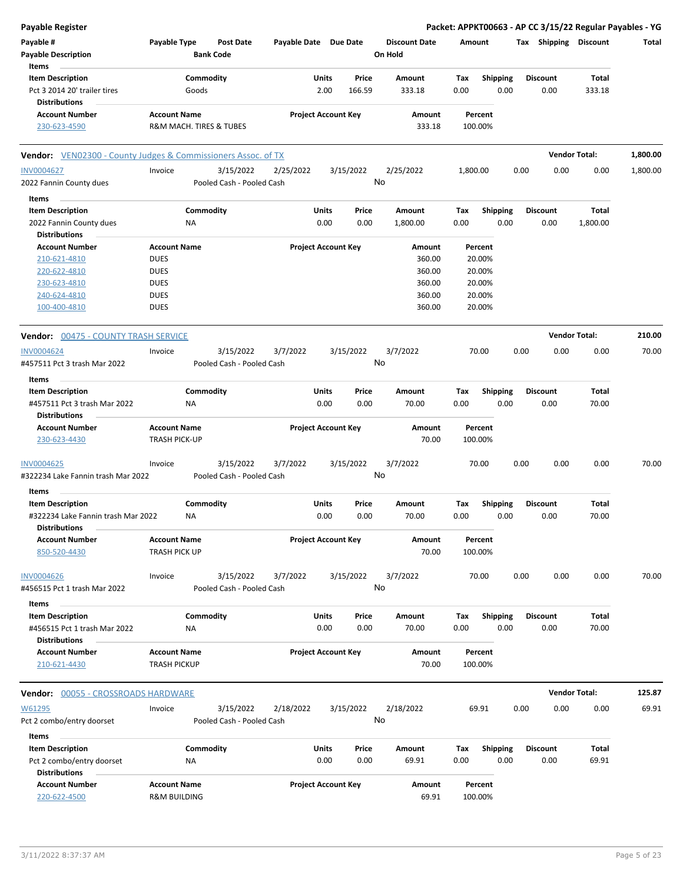| <b>Payable Register</b>                                       |                      |                           |                       |                            |                 |                      |          |                 |      |                       | Packet: APPKT00663 - AP CC 3/15/22 Regular Payables - YG |          |
|---------------------------------------------------------------|----------------------|---------------------------|-----------------------|----------------------------|-----------------|----------------------|----------|-----------------|------|-----------------------|----------------------------------------------------------|----------|
| Payable #                                                     | Payable Type         | <b>Post Date</b>          | Payable Date Due Date |                            |                 | <b>Discount Date</b> | Amount   |                 |      | Tax Shipping Discount |                                                          | Total    |
| <b>Payable Description</b>                                    |                      | <b>Bank Code</b>          |                       |                            |                 | On Hold              |          |                 |      |                       |                                                          |          |
| Items                                                         |                      |                           |                       |                            |                 |                      |          |                 |      |                       |                                                          |          |
| <b>Item Description</b>                                       |                      | Commodity                 |                       | <b>Units</b>               | Price           | Amount               | Tax      | <b>Shipping</b> |      | <b>Discount</b>       | Total                                                    |          |
| Pct 3 2014 20' trailer tires                                  |                      | Goods                     |                       | 2.00                       | 166.59          | 333.18               | 0.00     | 0.00            |      | 0.00                  | 333.18                                                   |          |
| <b>Distributions</b>                                          |                      |                           |                       |                            |                 |                      |          |                 |      |                       |                                                          |          |
| <b>Account Number</b>                                         | <b>Account Name</b>  |                           |                       | <b>Project Account Key</b> |                 | Amount               |          | Percent         |      |                       |                                                          |          |
| 230-623-4590                                                  |                      | R&M MACH. TIRES & TUBES   |                       |                            |                 | 333.18               |          | 100.00%         |      |                       |                                                          |          |
| Vendor: VEN02300 - County Judges & Commissioners Assoc. of TX |                      |                           |                       |                            |                 |                      |          |                 |      |                       | <b>Vendor Total:</b>                                     | 1,800.00 |
| <b>INV0004627</b>                                             | Invoice              | 3/15/2022                 | 2/25/2022             |                            | 3/15/2022       | 2/25/2022            | 1,800.00 |                 | 0.00 | 0.00                  | 0.00                                                     | 1,800.00 |
| 2022 Fannin County dues                                       |                      | Pooled Cash - Pooled Cash |                       |                            | No              |                      |          |                 |      |                       |                                                          |          |
| Items                                                         |                      |                           |                       |                            |                 |                      |          |                 |      |                       |                                                          |          |
| <b>Item Description</b>                                       |                      | Commodity                 |                       | <b>Units</b>               | Price           | Amount               | Tax      | <b>Shipping</b> |      | <b>Discount</b>       | Total                                                    |          |
| 2022 Fannin County dues                                       |                      | <b>NA</b>                 |                       | 0.00                       | 0.00            | 1,800.00             | 0.00     | 0.00            |      | 0.00                  | 1,800.00                                                 |          |
| Distributions                                                 |                      |                           |                       |                            |                 |                      |          |                 |      |                       |                                                          |          |
| <b>Account Number</b>                                         | <b>Account Name</b>  |                           |                       | <b>Project Account Key</b> |                 | Amount               |          | Percent         |      |                       |                                                          |          |
| 210-621-4810                                                  | <b>DUES</b>          |                           |                       |                            |                 | 360.00               |          | 20.00%          |      |                       |                                                          |          |
| 220-622-4810                                                  | <b>DUES</b>          |                           |                       |                            |                 | 360.00               |          | 20.00%          |      |                       |                                                          |          |
| 230-623-4810                                                  | <b>DUES</b>          |                           |                       |                            |                 | 360.00               |          | 20.00%          |      |                       |                                                          |          |
| 240-624-4810                                                  | <b>DUES</b>          |                           |                       |                            |                 | 360.00               |          | 20.00%          |      |                       |                                                          |          |
| 100-400-4810                                                  | <b>DUES</b>          |                           |                       |                            |                 | 360.00               |          | 20.00%          |      |                       |                                                          |          |
| <b>Vendor: 00475 - COUNTY TRASH SERVICE</b>                   |                      |                           |                       |                            |                 |                      |          |                 |      |                       | <b>Vendor Total:</b>                                     | 210.00   |
| <b>INV0004624</b>                                             | Invoice              | 3/15/2022                 | 3/7/2022              |                            | 3/15/2022       | 3/7/2022             |          | 70.00           | 0.00 | 0.00                  | 0.00                                                     | 70.00    |
| #457511 Pct 3 trash Mar 2022                                  |                      | Pooled Cash - Pooled Cash |                       |                            | No              |                      |          |                 |      |                       |                                                          |          |
| Items                                                         |                      |                           |                       |                            |                 |                      |          |                 |      |                       |                                                          |          |
| <b>Item Description</b>                                       |                      | Commodity                 |                       | Units                      | Price           | Amount               | Tax      | <b>Shipping</b> |      | <b>Discount</b>       | Total                                                    |          |
| #457511 Pct 3 trash Mar 2022<br><b>Distributions</b>          |                      | <b>NA</b>                 |                       | 0.00                       | 0.00            | 70.00                | 0.00     | 0.00            |      | 0.00                  | 70.00                                                    |          |
| <b>Account Number</b>                                         | <b>Account Name</b>  |                           |                       | <b>Project Account Key</b> |                 | Amount               |          | Percent         |      |                       |                                                          |          |
| 230-623-4430                                                  | <b>TRASH PICK-UP</b> |                           |                       |                            |                 | 70.00                |          | 100.00%         |      |                       |                                                          |          |
| <b>INV0004625</b>                                             | Invoice              | 3/15/2022                 | 3/7/2022              |                            | 3/15/2022       | 3/7/2022             |          | 70.00           | 0.00 | 0.00                  | 0.00                                                     | 70.00    |
| #322234 Lake Fannin trash Mar 2022                            |                      | Pooled Cash - Pooled Cash |                       |                            | No              |                      |          |                 |      |                       |                                                          |          |
| Items                                                         |                      |                           |                       |                            |                 |                      |          |                 |      |                       |                                                          |          |
| <b>Item Description</b>                                       |                      | Commodity                 |                       | Units                      | Price           | Amount               | Tax      | <b>Shipping</b> |      | <b>Discount</b>       | Total                                                    |          |
| #322234 Lake Fannin trash Mar 2022<br><b>Distributions</b>    |                      | ΝA                        |                       | 0.00                       | 0.00            | 70.00                | 0.00     | 0.00            |      | 0.00                  | 70.00                                                    |          |
| <b>Account Number</b>                                         | <b>Account Name</b>  |                           |                       | <b>Project Account Key</b> |                 | Amount               |          | Percent         |      |                       |                                                          |          |
| 850-520-4430                                                  | TRASH PICK UP        |                           |                       |                            |                 | 70.00                |          | 100.00%         |      |                       |                                                          |          |
| <b>INV0004626</b>                                             |                      |                           |                       |                            |                 |                      |          |                 | 0.00 |                       | 0.00                                                     | 70.00    |
| #456515 Pct 1 trash Mar 2022                                  | Invoice              | 3/15/2022                 | 3/7/2022              |                            | 3/15/2022<br>No | 3/7/2022             |          | 70.00           |      | 0.00                  |                                                          |          |
|                                                               |                      | Pooled Cash - Pooled Cash |                       |                            |                 |                      |          |                 |      |                       |                                                          |          |
| Items                                                         |                      |                           |                       |                            |                 |                      |          |                 |      |                       |                                                          |          |
| <b>Item Description</b>                                       |                      | Commodity                 |                       | Units                      | Price           | Amount               | Тах      | Shipping        |      | <b>Discount</b>       | Total                                                    |          |
| #456515 Pct 1 trash Mar 2022                                  |                      | NA                        |                       | 0.00                       | 0.00            | 70.00                | 0.00     | 0.00            |      | 0.00                  | 70.00                                                    |          |
| <b>Distributions</b>                                          |                      |                           |                       |                            |                 |                      |          |                 |      |                       |                                                          |          |
| <b>Account Number</b>                                         | <b>Account Name</b>  |                           |                       | <b>Project Account Key</b> |                 | Amount               |          | Percent         |      |                       |                                                          |          |
| 210-621-4430                                                  | <b>TRASH PICKUP</b>  |                           |                       |                            |                 | 70.00                |          | 100.00%         |      |                       |                                                          |          |
| <b>Vendor: 00055 - CROSSROADS HARDWARE</b>                    |                      |                           |                       |                            |                 |                      |          |                 |      |                       | <b>Vendor Total:</b>                                     | 125.87   |
| W61295                                                        | Invoice              | 3/15/2022                 | 2/18/2022             |                            | 3/15/2022       | 2/18/2022            |          | 69.91           | 0.00 | 0.00                  | 0.00                                                     | 69.91    |
| Pct 2 combo/entry doorset                                     |                      | Pooled Cash - Pooled Cash |                       |                            | No              |                      |          |                 |      |                       |                                                          |          |
| Items                                                         |                      |                           |                       |                            |                 |                      |          |                 |      |                       |                                                          |          |
| <b>Item Description</b>                                       |                      | Commodity                 |                       | <b>Units</b>               | Price           | Amount               | Tax      | <b>Shipping</b> |      | <b>Discount</b>       | Total                                                    |          |
| Pct 2 combo/entry doorset                                     |                      | ΝA                        |                       | 0.00                       | 0.00            | 69.91                | 0.00     | 0.00            |      | 0.00                  | 69.91                                                    |          |
| <b>Distributions</b>                                          |                      |                           |                       |                            |                 |                      |          |                 |      |                       |                                                          |          |
| <b>Account Number</b>                                         | <b>Account Name</b>  |                           |                       | <b>Project Account Key</b> |                 | Amount               |          | Percent         |      |                       |                                                          |          |
| 220-622-4500                                                  | R&M BUILDING         |                           |                       |                            |                 | 69.91                |          | 100.00%         |      |                       |                                                          |          |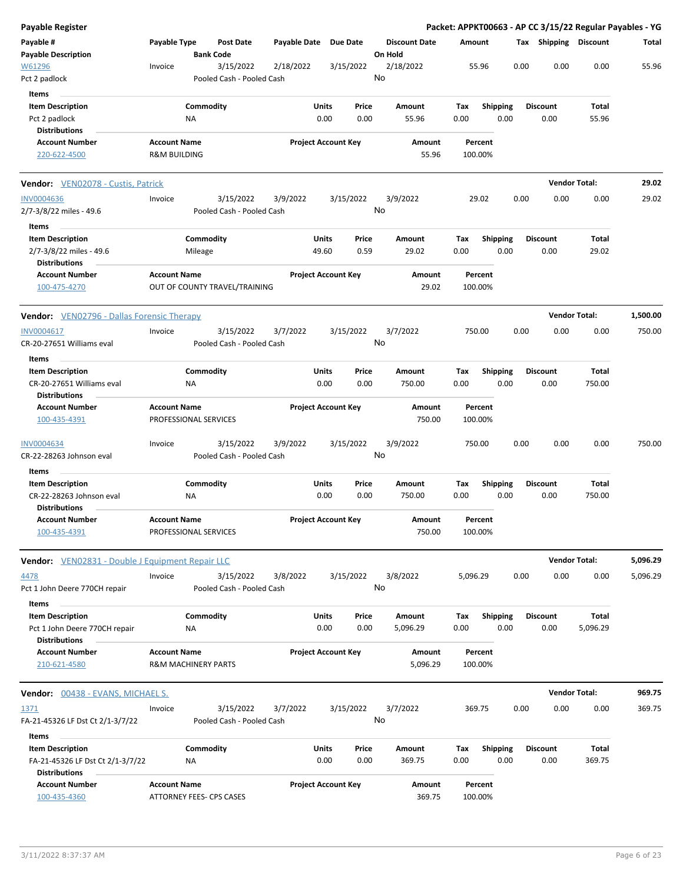| Payable Register                                         |                                                       |                        |                                        |              |                            |               |                                 |             |                    |      |                         | Packet: APPKT00663 - AP CC 3/15/22 Regular Payables - YG |          |
|----------------------------------------------------------|-------------------------------------------------------|------------------------|----------------------------------------|--------------|----------------------------|---------------|---------------------------------|-------------|--------------------|------|-------------------------|----------------------------------------------------------|----------|
| Payable #<br><b>Payable Description</b>                  | Payable Type                                          |                        | <b>Post Date</b><br><b>Bank Code</b>   | Payable Date | <b>Due Date</b>            |               | <b>Discount Date</b><br>On Hold | Amount      |                    |      | Tax Shipping Discount   |                                                          | Total    |
| W61296<br>Pct 2 padlock                                  | Invoice                                               |                        | 3/15/2022<br>Pooled Cash - Pooled Cash | 2/18/2022    | 3/15/2022                  |               | 2/18/2022<br>No                 |             | 55.96              | 0.00 | 0.00                    | 0.00                                                     | 55.96    |
| Items                                                    |                                                       |                        |                                        |              |                            |               |                                 |             |                    |      |                         |                                                          |          |
| <b>Item Description</b><br>Pct 2 padlock                 |                                                       | Commodity<br><b>NA</b> |                                        |              | Units<br>0.00              | Price<br>0.00 | Amount<br>55.96                 | Tax<br>0.00 | <b>Shipping</b>    | 0.00 | <b>Discount</b><br>0.00 | Total<br>55.96                                           |          |
| <b>Distributions</b><br><b>Account Number</b>            | <b>Account Name</b>                                   |                        |                                        |              |                            |               | Amount                          |             | Percent            |      |                         |                                                          |          |
| 220-622-4500                                             | <b>R&amp;M BUILDING</b>                               |                        |                                        |              | <b>Project Account Key</b> |               | 55.96                           |             | 100.00%            |      |                         |                                                          |          |
| Vendor: VEN02078 - Custis, Patrick                       |                                                       |                        |                                        |              |                            |               |                                 |             |                    |      |                         | <b>Vendor Total:</b>                                     | 29.02    |
| <b>INV0004636</b>                                        | Invoice                                               |                        | 3/15/2022                              | 3/9/2022     | 3/15/2022                  |               | 3/9/2022                        |             | 29.02              | 0.00 | 0.00                    | 0.00                                                     | 29.02    |
| 2/7-3/8/22 miles - 49.6                                  |                                                       |                        | Pooled Cash - Pooled Cash              |              |                            |               | No                              |             |                    |      |                         |                                                          |          |
| Items                                                    |                                                       |                        |                                        |              |                            |               |                                 |             |                    |      |                         |                                                          |          |
| <b>Item Description</b><br>2/7-3/8/22 miles - 49.6       |                                                       | Commodity<br>Mileage   |                                        |              | Units<br>49.60             | Price<br>0.59 | Amount<br>29.02                 | Tax<br>0.00 | <b>Shipping</b>    | 0.00 | <b>Discount</b><br>0.00 | Total<br>29.02                                           |          |
| <b>Distributions</b>                                     |                                                       |                        |                                        |              |                            |               |                                 |             |                    |      |                         |                                                          |          |
| <b>Account Number</b><br>100-475-4270                    | <b>Account Name</b>                                   |                        | OUT OF COUNTY TRAVEL/TRAINING          |              | <b>Project Account Key</b> |               | Amount<br>29.02                 |             | Percent<br>100.00% |      |                         |                                                          |          |
| Vendor: VEN02796 - Dallas Forensic Therapy               |                                                       |                        |                                        |              |                            |               |                                 |             |                    |      |                         | <b>Vendor Total:</b>                                     | 1,500.00 |
| INV0004617<br>CR-20-27651 Williams eval                  | Invoice                                               |                        | 3/15/2022<br>Pooled Cash - Pooled Cash | 3/7/2022     | 3/15/2022                  |               | 3/7/2022<br>No                  |             | 750.00             | 0.00 | 0.00                    | 0.00                                                     | 750.00   |
| Items                                                    |                                                       |                        |                                        |              |                            |               |                                 |             |                    |      |                         |                                                          |          |
| <b>Item Description</b>                                  |                                                       | Commodity              |                                        |              | Units                      | Price         | Amount                          | Tax         | <b>Shipping</b>    |      | <b>Discount</b>         | Total                                                    |          |
| CR-20-27651 Williams eval<br><b>Distributions</b>        |                                                       | ΝA                     |                                        |              | 0.00                       | 0.00          | 750.00                          | 0.00        |                    | 0.00 | 0.00                    | 750.00                                                   |          |
| <b>Account Number</b><br>100-435-4391                    | <b>Account Name</b><br>PROFESSIONAL SERVICES          |                        |                                        |              | <b>Project Account Key</b> |               | Amount<br>750.00                |             | Percent<br>100.00% |      |                         |                                                          |          |
| <b>INV0004634</b><br>CR-22-28263 Johnson eval            | Invoice                                               |                        | 3/15/2022<br>Pooled Cash - Pooled Cash | 3/9/2022     | 3/15/2022                  |               | 3/9/2022<br>No                  |             | 750.00             | 0.00 | 0.00                    | 0.00                                                     | 750.00   |
| Items                                                    |                                                       |                        |                                        |              |                            |               |                                 |             |                    |      |                         |                                                          |          |
| <b>Item Description</b>                                  |                                                       | Commodity              |                                        |              | Units                      | Price         | Amount                          | Тах         | <b>Shipping</b>    |      | <b>Discount</b>         | Total                                                    |          |
| CR-22-28263 Johnson eval<br><b>Distributions</b>         |                                                       | ΝA                     |                                        |              | 0.00                       | 0.00          | 750.00                          | 0.00        |                    | 0.00 | 0.00                    | 750.00                                                   |          |
| <b>Account Number</b><br>100-435-4391                    | <b>Account Name</b><br>PROFESSIONAL SERVICES          |                        |                                        |              | <b>Project Account Key</b> |               | Amount<br>750.00                |             | Percent<br>100.00% |      |                         |                                                          |          |
| Vendor: VEN02831 - Double J Equipment Repair LLC         |                                                       |                        |                                        |              |                            |               |                                 |             |                    |      |                         | <b>Vendor Total:</b>                                     | 5,096.29 |
| 4478<br>Pct 1 John Deere 770CH repair                    | Invoice                                               |                        | 3/15/2022<br>Pooled Cash - Pooled Cash | 3/8/2022     | 3/15/2022                  |               | 3/8/2022<br>No                  | 5,096.29    |                    | 0.00 | 0.00                    | 0.00                                                     | 5,096.29 |
| Items                                                    |                                                       |                        |                                        |              |                            |               |                                 |             |                    |      |                         |                                                          |          |
| <b>Item Description</b><br>Pct 1 John Deere 770CH repair |                                                       | Commodity<br>ΝA        |                                        |              | Units<br>0.00              | Price<br>0.00 | Amount<br>5,096.29              | Tax<br>0.00 | <b>Shipping</b>    | 0.00 | <b>Discount</b><br>0.00 | Total<br>5,096.29                                        |          |
| <b>Distributions</b>                                     |                                                       |                        |                                        |              |                            |               |                                 |             |                    |      |                         |                                                          |          |
| <b>Account Number</b><br>210-621-4580                    | <b>Account Name</b><br><b>R&amp;M MACHINERY PARTS</b> |                        |                                        |              | <b>Project Account Key</b> |               | Amount<br>5,096.29              |             | Percent<br>100.00% |      |                         |                                                          |          |
| <b>Vendor:</b> 00438 - EVANS, MICHAEL S.                 |                                                       |                        |                                        |              |                            |               |                                 |             |                    |      |                         | <b>Vendor Total:</b>                                     | 969.75   |
| 1371                                                     | Invoice                                               |                        | 3/15/2022                              | 3/7/2022     | 3/15/2022                  |               | 3/7/2022                        |             | 369.75             | 0.00 | 0.00                    | 0.00                                                     | 369.75   |
| FA-21-45326 LF Dst Ct 2/1-3/7/22                         |                                                       |                        | Pooled Cash - Pooled Cash              |              |                            |               | No                              |             |                    |      |                         |                                                          |          |
| Items<br><b>Item Description</b>                         |                                                       | Commodity              |                                        |              | Units                      | Price         | Amount                          | Tax         | <b>Shipping</b>    |      | <b>Discount</b>         | Total                                                    |          |
| FA-21-45326 LF Dst Ct 2/1-3/7/22<br><b>Distributions</b> |                                                       | <b>NA</b>              |                                        |              | 0.00                       | 0.00          | 369.75                          | 0.00        |                    | 0.00 | 0.00                    | 369.75                                                   |          |
| <b>Account Number</b>                                    | <b>Account Name</b>                                   |                        |                                        |              | <b>Project Account Key</b> |               | Amount                          |             | Percent            |      |                         |                                                          |          |
| 100-435-4360                                             | ATTORNEY FEES- CPS CASES                              |                        |                                        |              |                            |               | 369.75                          |             | 100.00%            |      |                         |                                                          |          |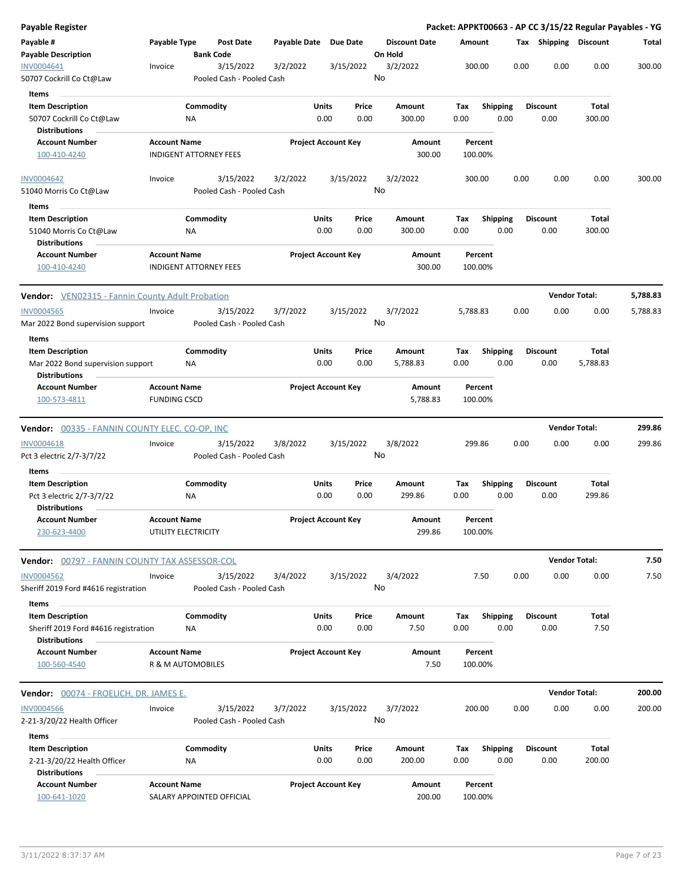| <b>Payable Register</b>                                 |                     |                               |                           |              |                            |       |                                 |          |                 |      |                       | Packet: APPKT00663 - AP CC 3/15/22 Regular Payables - YG |          |
|---------------------------------------------------------|---------------------|-------------------------------|---------------------------|--------------|----------------------------|-------|---------------------------------|----------|-----------------|------|-----------------------|----------------------------------------------------------|----------|
| Payable #                                               | Payable Type        | Post Date                     |                           |              | Payable Date Due Date      |       | <b>Discount Date</b><br>On Hold | Amount   |                 |      | Tax Shipping Discount |                                                          | Total    |
| <b>Payable Description</b><br>INV0004641                | Invoice             | <b>Bank Code</b><br>3/15/2022 |                           | 3/2/2022     | 3/15/2022                  |       | 3/2/2022                        |          | 300.00          | 0.00 | 0.00                  | 0.00                                                     | 300.00   |
| 50707 Cockrill Co Ct@Law                                |                     |                               | Pooled Cash - Pooled Cash |              |                            |       | No                              |          |                 |      |                       |                                                          |          |
|                                                         |                     |                               |                           |              |                            |       |                                 |          |                 |      |                       |                                                          |          |
| <b>Items</b><br><b>Item Description</b>                 |                     | Commodity                     |                           |              | Units                      | Price | Amount                          | Tax      | <b>Shipping</b> |      | <b>Discount</b>       | Total                                                    |          |
| 50707 Cockrill Co Ct@Law                                |                     | ΝA                            |                           |              | 0.00                       | 0.00  | 300.00                          | 0.00     | 0.00            |      | 0.00                  | 300.00                                                   |          |
| <b>Distributions</b>                                    |                     |                               |                           |              |                            |       |                                 |          |                 |      |                       |                                                          |          |
| <b>Account Number</b>                                   | <b>Account Name</b> |                               |                           |              | <b>Project Account Key</b> |       | Amount                          |          | Percent         |      |                       |                                                          |          |
| 100-410-4240                                            |                     | <b>INDIGENT ATTORNEY FEES</b> |                           |              |                            |       | 300.00                          |          | 100.00%         |      |                       |                                                          |          |
|                                                         |                     |                               |                           |              |                            |       |                                 |          |                 |      |                       |                                                          |          |
| <b>INV0004642</b>                                       | Invoice             | 3/15/2022                     |                           | 3/2/2022     | 3/15/2022                  |       | 3/2/2022                        |          | 300.00          | 0.00 | 0.00                  | 0.00                                                     | 300.00   |
| 51040 Morris Co Ct@Law                                  |                     |                               | Pooled Cash - Pooled Cash |              |                            |       | No                              |          |                 |      |                       |                                                          |          |
| Items                                                   |                     |                               |                           |              |                            |       |                                 |          |                 |      |                       |                                                          |          |
| <b>Item Description</b>                                 |                     | Commodity                     |                           |              | Units                      | Price | Amount                          | Tax      | <b>Shipping</b> |      | <b>Discount</b>       | <b>Total</b>                                             |          |
| 51040 Morris Co Ct@Law                                  |                     | NA                            |                           |              | 0.00                       | 0.00  | 300.00                          | 0.00     | 0.00            |      | 0.00                  | 300.00                                                   |          |
| <b>Distributions</b>                                    |                     |                               |                           |              |                            |       |                                 |          |                 |      |                       |                                                          |          |
| <b>Account Number</b>                                   | <b>Account Name</b> |                               |                           |              | <b>Project Account Key</b> |       | Amount                          |          | Percent         |      |                       |                                                          |          |
| 100-410-4240                                            |                     | <b>INDIGENT ATTORNEY FEES</b> |                           |              |                            |       | 300.00                          |          | 100.00%         |      |                       |                                                          |          |
| <b>Vendor:</b> VEN02315 - Fannin County Adult Probation |                     |                               |                           |              |                            |       |                                 |          |                 |      |                       | <b>Vendor Total:</b>                                     | 5,788.83 |
| <b>INV0004565</b>                                       | Invoice             | 3/15/2022                     |                           | 3/7/2022     | 3/15/2022                  |       | 3/7/2022                        | 5,788.83 |                 | 0.00 | 0.00                  | 0.00                                                     | 5,788.83 |
| Mar 2022 Bond supervision support                       |                     |                               | Pooled Cash - Pooled Cash |              |                            |       | No                              |          |                 |      |                       |                                                          |          |
| Items                                                   |                     |                               |                           |              |                            |       |                                 |          |                 |      |                       |                                                          |          |
| <b>Item Description</b>                                 |                     | Commodity                     |                           |              | Units                      | Price | Amount                          | Тах      | <b>Shipping</b> |      | <b>Discount</b>       | Total                                                    |          |
| Mar 2022 Bond supervision support                       |                     | ΝA                            |                           |              | 0.00                       | 0.00  | 5,788.83                        | 0.00     | 0.00            |      | 0.00                  | 5,788.83                                                 |          |
| <b>Distributions</b>                                    |                     |                               |                           |              |                            |       |                                 |          |                 |      |                       |                                                          |          |
| <b>Account Number</b>                                   | <b>Account Name</b> |                               |                           |              | <b>Project Account Key</b> |       | Amount                          |          | Percent         |      |                       |                                                          |          |
| 100-573-4811                                            | <b>FUNDING CSCD</b> |                               |                           |              |                            |       | 5,788.83                        |          | 100.00%         |      |                       |                                                          |          |
|                                                         |                     |                               |                           |              |                            |       |                                 |          |                 |      |                       | <b>Vendor Total:</b>                                     | 299.86   |
| Vendor: 00335 - FANNIN COUNTY ELEC. CO-OP, INC          |                     |                               |                           |              |                            |       |                                 |          |                 |      |                       |                                                          |          |
| <b>INV0004618</b>                                       | Invoice             | 3/15/2022                     |                           | 3/8/2022     | 3/15/2022                  |       | 3/8/2022<br>No                  |          | 299.86          | 0.00 | 0.00                  | 0.00                                                     | 299.86   |
| Pct 3 electric 2/7-3/7/22                               |                     |                               | Pooled Cash - Pooled Cash |              |                            |       |                                 |          |                 |      |                       |                                                          |          |
| Items                                                   |                     |                               |                           |              |                            |       |                                 |          |                 |      |                       |                                                          |          |
| <b>Item Description</b>                                 |                     | Commodity                     |                           |              | Units                      | Price | Amount                          | Тах      | <b>Shipping</b> |      | <b>Discount</b>       | Total                                                    |          |
| Pct 3 electric 2/7-3/7/22<br><b>Distributions</b>       |                     | ΝA                            |                           |              | 0.00                       | 0.00  | 299.86                          | 0.00     | 0.00            |      | 0.00                  | 299.86                                                   |          |
| <b>Account Number</b>                                   | <b>Account Name</b> |                               |                           |              | <b>Project Account Key</b> |       | Amount                          |          | Percent         |      |                       |                                                          |          |
| 230-623-4400                                            |                     | UTILITY ELECTRICITY           |                           |              |                            |       | 299.86                          |          | 100.00%         |      |                       |                                                          |          |
| Vendor: 00797 - FANNIN COUNTY TAX ASSESSOR-COL          |                     |                               |                           |              |                            |       |                                 |          |                 |      |                       | <b>Vendor Total:</b>                                     | 7.50     |
|                                                         |                     |                               |                           |              |                            |       |                                 |          |                 |      |                       |                                                          |          |
| <b>INV0004562</b>                                       | Invoice             | 3/15/2022                     |                           | 3/4/2022     | 3/15/2022                  |       | 3/4/2022<br>No                  |          | 7.50            | 0.00 | 0.00                  | 0.00                                                     | 7.50     |
| Sheriff 2019 Ford #4616 registration                    |                     |                               | Pooled Cash - Pooled Cash |              |                            |       |                                 |          |                 |      |                       |                                                          |          |
| Items                                                   |                     |                               |                           |              |                            |       |                                 |          |                 |      |                       |                                                          |          |
| <b>Item Description</b>                                 |                     | Commodity                     |                           | <b>Units</b> |                            | Price | Amount                          | Тах      | <b>Shipping</b> |      | <b>Discount</b>       | Total                                                    |          |
| Sheriff 2019 Ford #4616 registration                    |                     | NA                            |                           |              | 0.00                       | 0.00  | 7.50                            | 0.00     | 0.00            |      | 0.00                  | 7.50                                                     |          |
| <b>Distributions</b><br><b>Account Number</b>           | <b>Account Name</b> |                               |                           |              | <b>Project Account Key</b> |       | Amount                          |          | Percent         |      |                       |                                                          |          |
| 100-560-4540                                            |                     | <b>R &amp; M AUTOMOBILES</b>  |                           |              |                            |       | 7.50                            |          | 100.00%         |      |                       |                                                          |          |
|                                                         |                     |                               |                           |              |                            |       |                                 |          |                 |      |                       |                                                          |          |
| Vendor: 00074 - FROELICH, DR. JAMES E.                  |                     |                               |                           |              |                            |       |                                 |          |                 |      |                       | <b>Vendor Total:</b>                                     | 200.00   |
| <b>INV0004566</b>                                       | Invoice             | 3/15/2022                     |                           | 3/7/2022     | 3/15/2022                  |       | 3/7/2022                        |          | 200.00          | 0.00 | 0.00                  | 0.00                                                     | 200.00   |
| 2-21-3/20/22 Health Officer                             |                     |                               | Pooled Cash - Pooled Cash |              |                            |       | No                              |          |                 |      |                       |                                                          |          |
| Items                                                   |                     |                               |                           |              |                            |       |                                 |          |                 |      |                       |                                                          |          |
| <b>Item Description</b>                                 |                     | Commodity                     |                           |              | Units                      | Price | Amount                          | Tax      | <b>Shipping</b> |      | <b>Discount</b>       | Total                                                    |          |
| 2-21-3/20/22 Health Officer<br><b>Distributions</b>     |                     | NA                            |                           |              | 0.00                       | 0.00  | 200.00                          | 0.00     | 0.00            |      | 0.00                  | 200.00                                                   |          |
| <b>Account Number</b>                                   | <b>Account Name</b> |                               |                           |              | <b>Project Account Key</b> |       | Amount                          |          | Percent         |      |                       |                                                          |          |
| 100-641-1020                                            |                     | SALARY APPOINTED OFFICIAL     |                           |              |                            |       | 200.00                          |          | 100.00%         |      |                       |                                                          |          |
|                                                         |                     |                               |                           |              |                            |       |                                 |          |                 |      |                       |                                                          |          |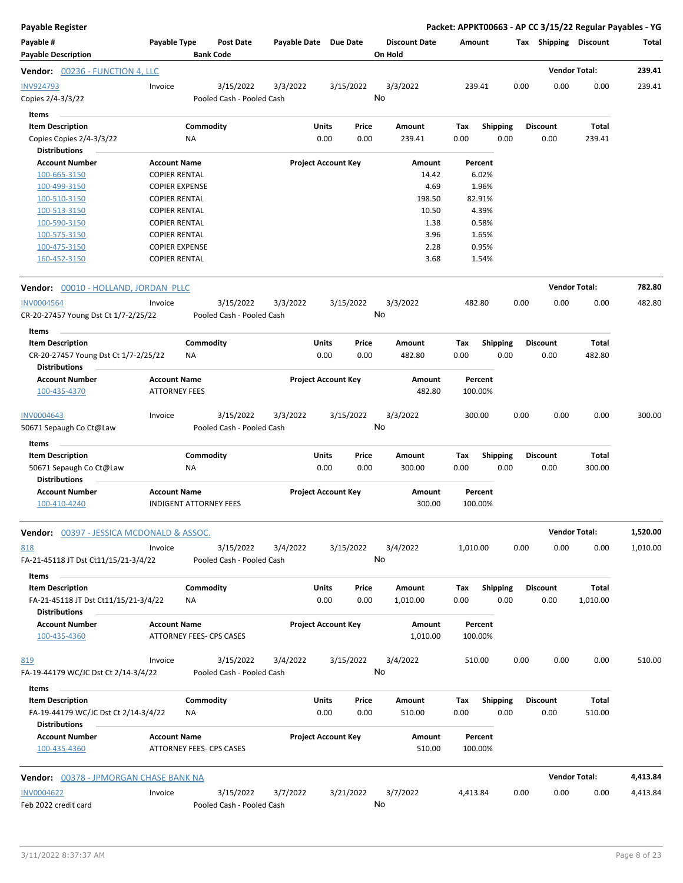| <b>Payable Register</b>                                      |                       |                               |                           |                       |       |                            |                                 |      |          |                 |      |                 | Packet: APPKT00663 - AP CC 3/15/22 Regular Payables - YG |          |
|--------------------------------------------------------------|-----------------------|-------------------------------|---------------------------|-----------------------|-------|----------------------------|---------------------------------|------|----------|-----------------|------|-----------------|----------------------------------------------------------|----------|
| Payable #<br><b>Payable Description</b>                      | Payable Type          | <b>Bank Code</b>              | <b>Post Date</b>          | Payable Date Due Date |       |                            | <b>Discount Date</b><br>On Hold |      | Amount   |                 |      |                 | Tax Shipping Discount                                    | Total    |
| Vendor: 00236 - FUNCTION 4, LLC                              |                       |                               |                           |                       |       |                            |                                 |      |          |                 |      |                 | <b>Vendor Total:</b>                                     | 239.41   |
| <b>INV924793</b>                                             | Invoice               |                               | 3/15/2022                 | 3/3/2022              |       | 3/15/2022                  | 3/3/2022                        |      | 239.41   |                 | 0.00 | 0.00            | 0.00                                                     | 239.41   |
| Copies 2/4-3/3/22                                            |                       |                               | Pooled Cash - Pooled Cash |                       |       |                            | No                              |      |          |                 |      |                 |                                                          |          |
| Items                                                        |                       |                               |                           |                       |       |                            |                                 |      |          |                 |      |                 |                                                          |          |
| <b>Item Description</b>                                      |                       | Commodity                     |                           |                       | Units | Price                      | Amount                          | Tax  |          | <b>Shipping</b> |      | <b>Discount</b> | Total                                                    |          |
| Copies Copies 2/4-3/3/22                                     |                       | ΝA                            |                           |                       | 0.00  | 0.00                       | 239.41                          | 0.00 |          | 0.00            |      | 0.00            | 239.41                                                   |          |
| <b>Distributions</b>                                         |                       |                               |                           |                       |       |                            |                                 |      |          |                 |      |                 |                                                          |          |
| <b>Account Number</b>                                        | <b>Account Name</b>   |                               |                           |                       |       | <b>Project Account Key</b> | Amount                          |      | Percent  |                 |      |                 |                                                          |          |
| 100-665-3150                                                 | <b>COPIER RENTAL</b>  |                               |                           |                       |       |                            | 14.42                           |      | 6.02%    |                 |      |                 |                                                          |          |
| 100-499-3150                                                 | <b>COPIER EXPENSE</b> |                               |                           |                       |       |                            |                                 | 4.69 | 1.96%    |                 |      |                 |                                                          |          |
| 100-510-3150                                                 | <b>COPIER RENTAL</b>  |                               |                           |                       |       |                            | 198.50                          |      | 82.91%   |                 |      |                 |                                                          |          |
| 100-513-3150                                                 | <b>COPIER RENTAL</b>  |                               |                           |                       |       |                            | 10.50                           |      | 4.39%    |                 |      |                 |                                                          |          |
| 100-590-3150                                                 | <b>COPIER RENTAL</b>  |                               |                           |                       |       |                            |                                 | 1.38 | 0.58%    |                 |      |                 |                                                          |          |
| 100-575-3150                                                 | <b>COPIER RENTAL</b>  |                               |                           |                       |       |                            |                                 | 3.96 | 1.65%    |                 |      |                 |                                                          |          |
| 100-475-3150                                                 | <b>COPIER EXPENSE</b> |                               |                           |                       |       |                            |                                 | 2.28 | 0.95%    |                 |      |                 |                                                          |          |
| 160-452-3150                                                 | <b>COPIER RENTAL</b>  |                               |                           |                       |       |                            |                                 | 3.68 | 1.54%    |                 |      |                 |                                                          |          |
| Vendor: 00010 - HOLLAND, JORDAN PLLC                         |                       |                               |                           |                       |       |                            |                                 |      |          |                 |      |                 | <b>Vendor Total:</b>                                     | 782.80   |
| <b>INV0004564</b>                                            | Invoice               |                               | 3/15/2022                 | 3/3/2022              |       | 3/15/2022                  | 3/3/2022                        |      | 482.80   |                 | 0.00 | 0.00            | 0.00                                                     | 482.80   |
| CR-20-27457 Young Dst Ct 1/7-2/25/22                         |                       |                               | Pooled Cash - Pooled Cash |                       |       |                            | No                              |      |          |                 |      |                 |                                                          |          |
| Items                                                        |                       |                               |                           |                       |       |                            |                                 |      |          |                 |      |                 |                                                          |          |
| <b>Item Description</b>                                      |                       | Commodity                     |                           |                       | Units | Price                      | Amount                          | Tax  |          | <b>Shipping</b> |      | <b>Discount</b> | Total                                                    |          |
| CR-20-27457 Young Dst Ct 1/7-2/25/22                         |                       | ΝA                            |                           |                       | 0.00  | 0.00                       | 482.80                          | 0.00 |          | 0.00            |      | 0.00            | 482.80                                                   |          |
| <b>Distributions</b>                                         |                       |                               |                           |                       |       |                            |                                 |      |          |                 |      |                 |                                                          |          |
| <b>Account Number</b>                                        | <b>Account Name</b>   |                               |                           |                       |       | <b>Project Account Key</b> | Amount                          |      | Percent  |                 |      |                 |                                                          |          |
| 100-435-4370                                                 | <b>ATTORNEY FEES</b>  |                               |                           |                       |       |                            | 482.80                          |      | 100.00%  |                 |      |                 |                                                          |          |
| INV0004643                                                   | Invoice               |                               | 3/15/2022                 | 3/3/2022              |       | 3/15/2022                  | 3/3/2022                        |      | 300.00   |                 | 0.00 | 0.00            | 0.00                                                     | 300.00   |
| 50671 Sepaugh Co Ct@Law                                      |                       |                               | Pooled Cash - Pooled Cash |                       |       |                            | No                              |      |          |                 |      |                 |                                                          |          |
| Items                                                        |                       |                               |                           |                       |       |                            |                                 |      |          |                 |      |                 |                                                          |          |
| <b>Item Description</b>                                      |                       | Commodity                     |                           |                       | Units | Price                      | Amount                          | Tax  |          | <b>Shipping</b> |      | <b>Discount</b> | Total                                                    |          |
| 50671 Sepaugh Co Ct@Law                                      |                       | ΝA                            |                           |                       | 0.00  | 0.00                       | 300.00                          | 0.00 |          | 0.00            |      | 0.00            | 300.00                                                   |          |
| <b>Distributions</b>                                         |                       |                               |                           |                       |       |                            |                                 |      |          |                 |      |                 |                                                          |          |
| <b>Account Number</b>                                        | <b>Account Name</b>   |                               |                           |                       |       | <b>Project Account Key</b> | Amount                          |      | Percent  |                 |      |                 |                                                          |          |
| 100-410-4240                                                 |                       | <b>INDIGENT ATTORNEY FEES</b> |                           |                       |       |                            | 300.00                          |      | 100.00%  |                 |      |                 |                                                          |          |
| <b>Vendor: 00397 - JESSICA MCDONALD &amp; ASSOC.</b>         |                       |                               |                           |                       |       |                            |                                 |      |          |                 |      |                 | <b>Vendor Total:</b>                                     | 1,520.00 |
| 818                                                          | Invoice               |                               | 3/15/2022                 | 3/4/2022              |       | 3/15/2022                  | 3/4/2022                        |      | 1,010.00 |                 | 0.00 | 0.00            | 0.00                                                     | 1,010.00 |
| FA-21-45118 JT Dst Ct11/15/21-3/4/22                         |                       |                               | Pooled Cash - Pooled Cash |                       |       |                            | No                              |      |          |                 |      |                 |                                                          |          |
| Items                                                        |                       |                               |                           |                       |       |                            |                                 |      |          |                 |      |                 |                                                          |          |
| <b>Item Description</b>                                      |                       | Commodity                     |                           |                       | Units | Price                      | Amount                          | Tax  |          | <b>Shipping</b> |      | <b>Discount</b> | Total                                                    |          |
| FA-21-45118 JT Dst Ct11/15/21-3/4/22<br><b>Distributions</b> |                       | NA                            |                           |                       | 0.00  | 0.00                       | 1,010.00                        | 0.00 |          | 0.00            |      | 0.00            | 1,010.00                                                 |          |
| <b>Account Number</b>                                        | <b>Account Name</b>   |                               |                           |                       |       | <b>Project Account Key</b> | Amount                          |      | Percent  |                 |      |                 |                                                          |          |
| 100-435-4360                                                 |                       | ATTORNEY FEES- CPS CASES      |                           |                       |       |                            | 1,010.00                        |      | 100.00%  |                 |      |                 |                                                          |          |
| 819                                                          | Invoice               |                               | 3/15/2022                 | 3/4/2022              |       | 3/15/2022                  | 3/4/2022                        |      | 510.00   |                 | 0.00 | 0.00            | 0.00                                                     | 510.00   |
| FA-19-44179 WC/JC Dst Ct 2/14-3/4/22                         |                       |                               | Pooled Cash - Pooled Cash |                       |       |                            | No                              |      |          |                 |      |                 |                                                          |          |
| Items                                                        |                       |                               |                           |                       |       |                            |                                 |      |          |                 |      |                 |                                                          |          |
| <b>Item Description</b>                                      |                       | Commodity                     |                           |                       | Units | Price                      | Amount                          | Tax  |          | <b>Shipping</b> |      | <b>Discount</b> | Total                                                    |          |
| FA-19-44179 WC/JC Dst Ct 2/14-3/4/22                         |                       | ΝA                            |                           |                       | 0.00  | 0.00                       | 510.00                          | 0.00 |          | 0.00            |      | 0.00            | 510.00                                                   |          |
| <b>Distributions</b>                                         |                       |                               |                           |                       |       |                            |                                 |      |          |                 |      |                 |                                                          |          |
| <b>Account Number</b>                                        | <b>Account Name</b>   |                               |                           |                       |       | <b>Project Account Key</b> | Amount                          |      | Percent  |                 |      |                 |                                                          |          |
| 100-435-4360                                                 |                       | ATTORNEY FEES- CPS CASES      |                           |                       |       |                            | 510.00                          |      | 100.00%  |                 |      |                 |                                                          |          |
| Vendor: 00378 - JPMORGAN CHASE BANK NA                       |                       |                               |                           |                       |       |                            |                                 |      |          |                 |      |                 | <b>Vendor Total:</b>                                     | 4,413.84 |
| <b>INV0004622</b>                                            | Invoice               |                               | 3/15/2022                 | 3/7/2022              |       | 3/21/2022                  | 3/7/2022                        |      | 4,413.84 |                 | 0.00 | 0.00            | 0.00                                                     | 4,413.84 |
| Feb 2022 credit card                                         |                       |                               | Pooled Cash - Pooled Cash |                       |       |                            | No                              |      |          |                 |      |                 |                                                          |          |
|                                                              |                       |                               |                           |                       |       |                            |                                 |      |          |                 |      |                 |                                                          |          |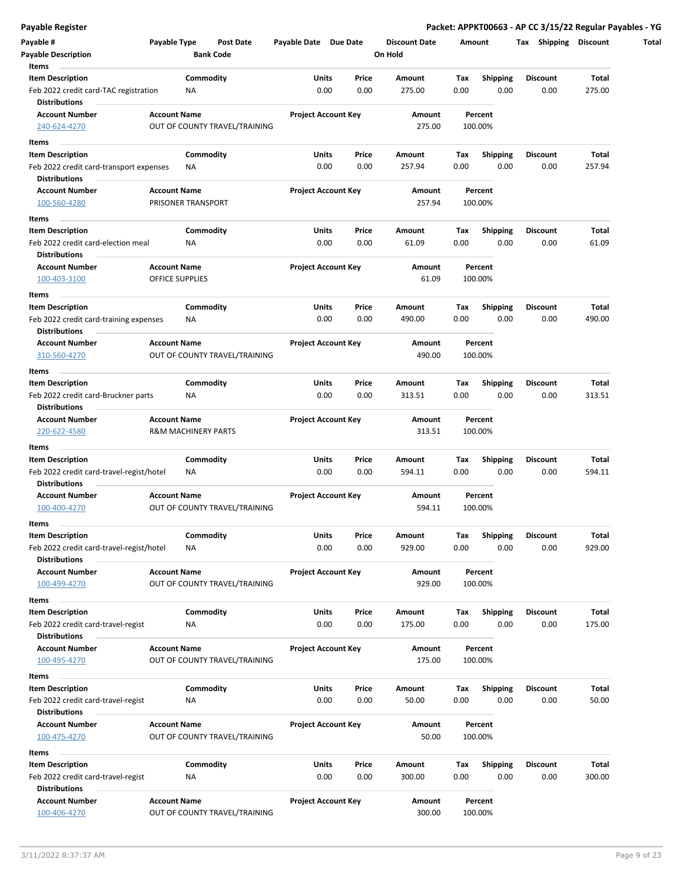| <b>Payable Description</b>                                    |                        | <b>Bank Code</b>               |                            |       | On Hold       |      |                 |                 |              |
|---------------------------------------------------------------|------------------------|--------------------------------|----------------------------|-------|---------------|------|-----------------|-----------------|--------------|
| Items                                                         |                        |                                |                            |       |               |      |                 |                 |              |
| <b>Item Description</b>                                       |                        | Commodity                      | Units                      | Price | Amount        | Tax  | <b>Shipping</b> | Discount        | Total        |
| Feb 2022 credit card-TAC registration<br><b>Distributions</b> |                        | ΝA                             | 0.00                       | 0.00  | 275.00        | 0.00 | 0.00            | 0.00            | 275.00       |
| <b>Account Number</b>                                         | <b>Account Name</b>    |                                | <b>Project Account Key</b> |       | <b>Amount</b> |      | Percent         |                 |              |
| 240-624-4270                                                  |                        | OUT OF COUNTY TRAVEL/TRAINING  |                            |       | 275.00        |      | 100.00%         |                 |              |
| Items                                                         |                        |                                |                            |       |               |      |                 |                 |              |
| <b>Item Description</b>                                       |                        | Commodity                      | <b>Units</b>               | Price | Amount        | Тах  | Shipping        | Discount        | Total        |
| Feb 2022 credit card-transport expenses                       |                        | NA                             | 0.00                       | 0.00  | 257.94        | 0.00 | 0.00            | 0.00            | 257.94       |
| <b>Distributions</b>                                          |                        |                                |                            |       |               |      |                 |                 |              |
| <b>Account Number</b>                                         | <b>Account Name</b>    |                                | <b>Project Account Key</b> |       | Amount        |      | Percent         |                 |              |
| 100-560-4280                                                  |                        | PRISONER TRANSPORT             |                            |       | 257.94        |      | 100.00%         |                 |              |
| Items                                                         |                        |                                |                            |       |               |      |                 |                 |              |
| <b>Item Description</b>                                       |                        | Commodity                      | Units                      | Price | Amount        | Tax  | <b>Shipping</b> | <b>Discount</b> | Total        |
| Feb 2022 credit card-election meal                            |                        | ΝA                             | 0.00                       | 0.00  | 61.09         | 0.00 | 0.00            | 0.00            | 61.09        |
| <b>Distributions</b>                                          |                        |                                |                            |       |               |      |                 |                 |              |
| <b>Account Number</b>                                         | <b>Account Name</b>    |                                | <b>Project Account Key</b> |       | Amount        |      | Percent         |                 |              |
| 100-403-3100                                                  | <b>OFFICE SUPPLIES</b> |                                |                            |       | 61.09         |      | 100.00%         |                 |              |
|                                                               |                        |                                |                            |       |               |      |                 |                 |              |
| Items                                                         |                        |                                |                            |       |               |      |                 |                 |              |
| <b>Item Description</b>                                       |                        | Commodity                      | Units                      | Price | Amount        | Tax  | <b>Shipping</b> | Discount        | Total        |
| Feb 2022 credit card-training expenses                        |                        | ΝA                             | 0.00                       | 0.00  | 490.00        | 0.00 | 0.00            | 0.00            | 490.00       |
| <b>Distributions</b>                                          | <b>Account Name</b>    |                                | <b>Project Account Key</b> |       |               |      |                 |                 |              |
| <b>Account Number</b>                                         |                        |                                |                            |       | Amount        |      | Percent         |                 |              |
| 310-560-4270                                                  |                        | OUT OF COUNTY TRAVEL/TRAINING  |                            |       | 490.00        |      | 100.00%         |                 |              |
| Items                                                         |                        |                                |                            |       |               |      |                 |                 |              |
| <b>Item Description</b>                                       |                        | Commodity                      | Units                      | Price | Amount        | Tax  | <b>Shipping</b> | <b>Discount</b> | Total        |
| Feb 2022 credit card-Bruckner parts                           |                        | NA                             | 0.00                       | 0.00  | 313.51        | 0.00 | 0.00            | 0.00            | 313.51       |
| Distributions                                                 |                        |                                |                            |       |               |      |                 |                 |              |
| <b>Account Number</b>                                         | <b>Account Name</b>    |                                | <b>Project Account Key</b> |       | Amount        |      | Percent         |                 |              |
| 220-622-4580                                                  |                        | <b>R&amp;M MACHINERY PARTS</b> |                            |       | 313.51        |      | 100.00%         |                 |              |
| Items                                                         |                        |                                |                            |       |               |      |                 |                 |              |
| <b>Item Description</b>                                       |                        | Commodity                      | Units                      | Price | Amount        | Tax  | <b>Shipping</b> | <b>Discount</b> | Total        |
| Feb 2022 credit card-travel-regist/hotel                      |                        | NA                             | 0.00                       | 0.00  | 594.11        | 0.00 | 0.00            | 0.00            | 594.11       |
| <b>Distributions</b>                                          |                        |                                |                            |       |               |      |                 |                 |              |
| <b>Account Number</b>                                         | <b>Account Name</b>    |                                | <b>Project Account Key</b> |       | Amount        |      | Percent         |                 |              |
| 100-400-4270                                                  |                        | OUT OF COUNTY TRAVEL/TRAINING  |                            |       | 594.11        |      | 100.00%         |                 |              |
| Items                                                         |                        |                                |                            |       |               |      |                 |                 |              |
| <b>Item Description</b>                                       |                        | Commodity                      | Units                      | Price | Amount        | Tax  | <b>Shipping</b> | <b>Discount</b> | <b>Total</b> |
| Feb 2022 credit card-travel-regist/hotel                      |                        | NA                             | 0.00                       | 0.00  | 929.00        | 0.00 | 0.00            | 0.00            | 929.00       |
| <b>Distributions</b>                                          |                        |                                |                            |       |               |      |                 |                 |              |
| <b>Account Number</b>                                         | <b>Account Name</b>    |                                | <b>Project Account Key</b> |       | Amount        |      | Percent         |                 |              |
| 100-499-4270                                                  |                        | OUT OF COUNTY TRAVEL/TRAINING  |                            |       | 929.00        |      | 100.00%         |                 |              |
| Items                                                         |                        |                                |                            |       |               |      |                 |                 |              |
| <b>Item Description</b>                                       |                        | Commodity                      | Units                      | Price | Amount        | Tax  | <b>Shipping</b> | <b>Discount</b> | Total        |
| Feb 2022 credit card-travel-regist                            |                        | NA                             | 0.00                       | 0.00  | 175.00        | 0.00 | 0.00            | 0.00            | 175.00       |
| <b>Distributions</b>                                          |                        |                                |                            |       |               |      |                 |                 |              |
| <b>Account Number</b>                                         | <b>Account Name</b>    |                                | <b>Project Account Key</b> |       | Amount        |      | Percent         |                 |              |
| 100-495-4270                                                  |                        | OUT OF COUNTY TRAVEL/TRAINING  |                            |       | 175.00        |      | 100.00%         |                 |              |
|                                                               |                        |                                |                            |       |               |      |                 |                 |              |
| Items                                                         |                        |                                |                            |       |               |      |                 |                 |              |
| <b>Item Description</b>                                       |                        | Commodity                      | Units                      | Price | Amount        | Tax  | <b>Shipping</b> | Discount        | Total        |
| Feb 2022 credit card-travel-regist                            |                        | NA                             | 0.00                       | 0.00  | 50.00         | 0.00 | 0.00            | 0.00            | 50.00        |
| <b>Distributions</b>                                          |                        |                                |                            |       |               |      |                 |                 |              |
| <b>Account Number</b>                                         | <b>Account Name</b>    |                                | <b>Project Account Key</b> |       | Amount        |      | Percent         |                 |              |
| 100-475-4270                                                  |                        | OUT OF COUNTY TRAVEL/TRAINING  |                            |       | 50.00         |      | 100.00%         |                 |              |
| Items                                                         |                        |                                |                            |       |               |      |                 |                 |              |
| <b>Item Description</b>                                       |                        | Commodity                      | Units                      | Price | Amount        | Тах  | <b>Shipping</b> | Discount        | Total        |
| Feb 2022 credit card-travel-regist                            |                        | NA                             | 0.00                       | 0.00  | 300.00        | 0.00 | 0.00            | 0.00            | 300.00       |
| <b>Distributions</b>                                          |                        |                                |                            |       |               |      |                 |                 |              |
| <b>Account Number</b>                                         | <b>Account Name</b>    |                                | <b>Project Account Key</b> |       | Amount        |      | Percent         |                 |              |
| 100-406-4270                                                  |                        | OUT OF COUNTY TRAVEL/TRAINING  |                            |       | 300.00        |      | 100.00%         |                 |              |

**Payable Register Packet: APPKT00663 - AP CC 3/15/22 Regular Payables - YG**

**Discount Date Amount Tax Shipping Discount Total**

**Payable # Payable Type Post Date Payable Date Due Date**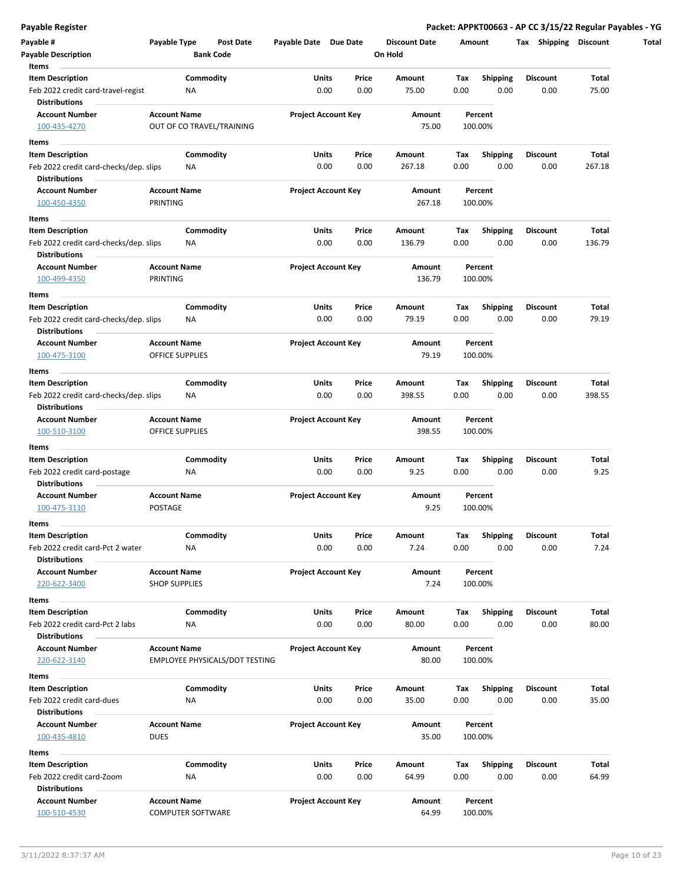| Payable #                                                  | Payable Type         | Post Date                             | Payable Date Due Date |                            | <b>Discount Date</b> |      | Amount          | <b>Shipping</b><br>Tax | Discount |
|------------------------------------------------------------|----------------------|---------------------------------------|-----------------------|----------------------------|----------------------|------|-----------------|------------------------|----------|
| <b>Payable Description</b>                                 |                      | <b>Bank Code</b>                      |                       |                            | On Hold              |      |                 |                        |          |
| Items                                                      |                      |                                       |                       |                            |                      |      |                 |                        |          |
| <b>Item Description</b>                                    |                      | Commodity                             | Units                 | Price                      | Amount               | Tax  | <b>Shipping</b> | <b>Discount</b>        | Total    |
| Feb 2022 credit card-travel-regist<br><b>Distributions</b> | ΝA                   |                                       |                       | 0.00<br>0.00               | 75.00                | 0.00 | 0.00            | 0.00                   | 75.00    |
| <b>Account Number</b>                                      | <b>Account Name</b>  |                                       |                       | <b>Project Account Key</b> | Amount               |      | Percent         |                        |          |
| 100-435-4270                                               |                      | OUT OF CO TRAVEL/TRAINING             |                       |                            | 75.00                |      | 100.00%         |                        |          |
| Items                                                      |                      |                                       |                       |                            |                      |      |                 |                        |          |
| <b>Item Description</b>                                    |                      | Commodity                             | Units                 | Price                      | Amount               | Tax  | <b>Shipping</b> | <b>Discount</b>        | Total    |
| Feb 2022 credit card-checks/dep. slips                     | ΝA                   |                                       |                       | 0.00<br>0.00               | 267.18               | 0.00 | 0.00            | 0.00                   | 267.18   |
| <b>Distributions</b>                                       |                      |                                       |                       |                            |                      |      |                 |                        |          |
| <b>Account Number</b>                                      | <b>Account Name</b>  |                                       |                       | <b>Project Account Key</b> | Amount               |      | Percent         |                        |          |
| 100-450-4350                                               | PRINTING             |                                       |                       |                            | 267.18               |      | 100.00%         |                        |          |
| Items                                                      |                      |                                       |                       |                            |                      |      |                 |                        |          |
| <b>Item Description</b>                                    |                      | Commodity                             | Units                 | Price                      | Amount               | Tax  | <b>Shipping</b> | <b>Discount</b>        | Total    |
| Feb 2022 credit card-checks/dep. slips                     | ΝA                   |                                       |                       | 0.00<br>0.00               | 136.79               | 0.00 | 0.00            | 0.00                   | 136.79   |
| <b>Distributions</b>                                       |                      |                                       |                       |                            |                      |      |                 |                        |          |
| <b>Account Number</b>                                      | <b>Account Name</b>  |                                       |                       | <b>Project Account Key</b> | Amount               |      | Percent         |                        |          |
| 100-499-4350                                               | PRINTING             |                                       |                       |                            | 136.79               |      | 100.00%         |                        |          |
|                                                            |                      |                                       |                       |                            |                      |      |                 |                        |          |
| Items                                                      |                      |                                       |                       |                            |                      |      |                 |                        |          |
| <b>Item Description</b>                                    |                      | Commodity                             | Units                 | Price                      | Amount               | Tax  | <b>Shipping</b> | Discount               | Total    |
| Feb 2022 credit card-checks/dep. slips                     | NA                   |                                       |                       | 0.00<br>0.00               | 79.19                | 0.00 | 0.00            | 0.00                   | 79.19    |
| <b>Distributions</b>                                       |                      |                                       |                       |                            |                      |      |                 |                        |          |
| <b>Account Number</b>                                      | <b>Account Name</b>  |                                       |                       | <b>Project Account Key</b> | Amount               |      | Percent         |                        |          |
| 100-475-3100                                               | OFFICE SUPPLIES      |                                       |                       |                            | 79.19                |      | 100.00%         |                        |          |
| Items                                                      |                      |                                       |                       |                            |                      |      |                 |                        |          |
| <b>Item Description</b>                                    |                      | Commodity                             | Units                 | Price                      | Amount               | Tax  | <b>Shipping</b> | <b>Discount</b>        | Total    |
| Feb 2022 credit card-checks/dep. slips                     | ΝA                   |                                       |                       | 0.00<br>0.00               | 398.55               | 0.00 | 0.00            | 0.00                   | 398.55   |
| <b>Distributions</b>                                       |                      |                                       |                       |                            |                      |      |                 |                        |          |
| <b>Account Number</b>                                      | <b>Account Name</b>  |                                       |                       | <b>Project Account Key</b> | Amount               |      | Percent         |                        |          |
| 100-510-3100                                               | OFFICE SUPPLIES      |                                       |                       |                            | 398.55               |      | 100.00%         |                        |          |
| Items                                                      |                      |                                       |                       |                            |                      |      |                 |                        |          |
| <b>Item Description</b>                                    |                      | Commodity                             | Units                 | Price                      | Amount               | Tax  | <b>Shipping</b> | Discount               | Total    |
| Feb 2022 credit card-postage                               | ΝA                   |                                       |                       | 0.00<br>0.00               | 9.25                 | 0.00 | 0.00            | 0.00                   | 9.25     |
| <b>Distributions</b>                                       |                      |                                       |                       |                            |                      |      |                 |                        |          |
| <b>Account Number</b>                                      | <b>Account Name</b>  |                                       |                       | <b>Project Account Key</b> | Amount               |      | Percent         |                        |          |
| 100-475-3110                                               | POSTAGE              |                                       |                       |                            |                      | 9.25 | 100.00%         |                        |          |
|                                                            |                      |                                       |                       |                            |                      |      |                 |                        |          |
| Items                                                      |                      |                                       |                       |                            |                      |      |                 |                        |          |
| <b>Item Description</b>                                    |                      | Commodity                             | Units                 | Price                      | Amount               | Tax  | Shipping        | Discount               | Total    |
| Feb 2022 credit card-Pct 2 water                           | NA                   |                                       |                       | 0.00<br>0.00               | 7.24                 | 0.00 | 0.00            | 0.00                   | 7.24     |
| <b>Distributions</b>                                       |                      |                                       |                       |                            |                      |      |                 |                        |          |
| <b>Account Number</b>                                      | <b>Account Name</b>  |                                       |                       | <b>Project Account Key</b> | Amount               |      | Percent         |                        |          |
| 220-622-3400                                               | <b>SHOP SUPPLIES</b> |                                       |                       |                            |                      | 7.24 | 100.00%         |                        |          |
| Items                                                      |                      |                                       |                       |                            |                      |      |                 |                        |          |
| <b>Item Description</b>                                    |                      | Commodity                             | Units                 | Price                      | Amount               | Tax  | <b>Shipping</b> | <b>Discount</b>        | Total    |
| Feb 2022 credit card-Pct 2 labs                            | ΝA                   |                                       |                       | 0.00<br>0.00               | 80.00                | 0.00 | 0.00            | 0.00                   | 80.00    |
| <b>Distributions</b>                                       |                      |                                       |                       |                            |                      |      |                 |                        |          |
| <b>Account Number</b>                                      | <b>Account Name</b>  |                                       |                       | <b>Project Account Key</b> | Amount               |      | Percent         |                        |          |
| 220-622-3140                                               |                      | <b>EMPLOYEE PHYSICALS/DOT TESTING</b> |                       |                            | 80.00                |      | 100.00%         |                        |          |
| Items                                                      |                      |                                       |                       |                            |                      |      |                 |                        |          |
| <b>Item Description</b>                                    |                      | Commodity                             | Units                 | Price                      | Amount               | Tax  | <b>Shipping</b> | <b>Discount</b>        | Total    |
|                                                            |                      |                                       |                       |                            |                      |      |                 |                        |          |
| Feb 2022 credit card-dues                                  | NA                   |                                       |                       | 0.00<br>0.00               | 35.00                | 0.00 | 0.00            | 0.00                   | 35.00    |
| <b>Distributions</b>                                       |                      |                                       |                       |                            |                      |      |                 |                        |          |
| <b>Account Number</b>                                      | <b>Account Name</b>  |                                       |                       | <b>Project Account Key</b> | Amount               |      | Percent         |                        |          |
| 100-435-4810                                               | <b>DUES</b>          |                                       |                       |                            | 35.00                |      | 100.00%         |                        |          |
| Items                                                      |                      |                                       |                       |                            |                      |      |                 |                        |          |
| <b>Item Description</b>                                    |                      | Commodity                             | Units                 | Price                      | Amount               | Тах  | <b>Shipping</b> | Discount               | Total    |
| Feb 2022 credit card-Zoom                                  | NA                   |                                       |                       | 0.00<br>0.00               | 64.99                | 0.00 | 0.00            | 0.00                   | 64.99    |
| <b>Distributions</b>                                       |                      |                                       |                       |                            |                      |      |                 |                        |          |
| <b>Account Number</b>                                      | <b>Account Name</b>  |                                       |                       | <b>Project Account Key</b> | Amount               |      | Percent         |                        |          |
| 100-510-4530                                               | COMPUTER SOFTWARE    |                                       |                       |                            | 64.99                |      | 100.00%         |                        |          |

**Payable Register Packet: APPKT00663 - AP CC 3/15/22 Regular Payables - YG**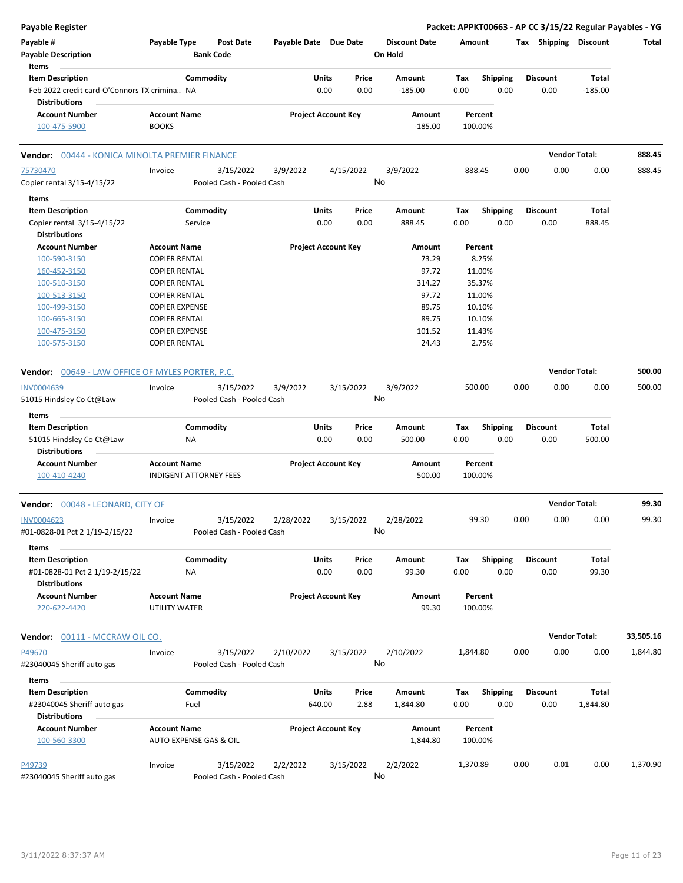| Payable #<br>Payable Type<br><b>Post Date</b><br>Payable Date Due Date<br><b>Discount Date</b><br>Amount<br>Tax Shipping Discount<br><b>Payable Description</b><br><b>Bank Code</b><br>On Hold<br>Items<br>Commodity<br><b>Item Description</b><br><b>Units</b><br>Price<br><b>Shipping</b><br><b>Discount</b><br><b>Total</b><br>Amount<br>Tax<br>0.00<br>0.00<br>Feb 2022 credit card-O'Connors TX crimina NA<br>0.00<br>$-185.00$<br>0.00<br>0.00<br>$-185.00$<br><b>Distributions</b><br><b>Account Number</b><br><b>Account Name</b><br><b>Project Account Key</b><br>Amount<br>Percent<br><b>BOOKS</b><br>100-475-5900<br>$-185.00$<br>100.00%<br><b>Vendor Total:</b><br>Vendor: 00444 - KONICA MINOLTA PREMIER FINANCE<br>75730470<br>Invoice<br>3/15/2022<br>3/9/2022<br>4/15/2022<br>3/9/2022<br>888.45<br>0.00<br>0.00<br>0.00<br>No<br>Copier rental 3/15-4/15/22<br>Pooled Cash - Pooled Cash<br>Items<br><b>Item Description</b><br>Commodity<br>Units<br>Price<br>Amount<br><b>Shipping</b><br><b>Discount</b><br>Tax<br>Total<br>0.00<br>0.00<br>Copier rental 3/15-4/15/22<br>Service<br>0.00<br>888.45<br>0.00<br>0.00<br>888.45<br><b>Distributions</b><br><b>Account Number</b><br><b>Account Name</b><br><b>Project Account Key</b><br>Amount<br>Percent<br>8.25%<br><b>COPIER RENTAL</b><br>73.29<br>100-590-3150<br>97.72<br>11.00%<br>160-452-3150<br><b>COPIER RENTAL</b><br>100-510-3150<br><b>COPIER RENTAL</b><br>314.27<br>35.37%<br>100-513-3150<br><b>COPIER RENTAL</b><br>97.72<br>11.00%<br>100-499-3150<br><b>COPIER EXPENSE</b><br>89.75<br>10.10%<br>89.75<br>10.10%<br>100-665-3150<br><b>COPIER RENTAL</b><br>101.52<br>11.43%<br>100-475-3150<br><b>COPIER EXPENSE</b><br>100-575-3150<br><b>COPIER RENTAL</b><br>24.43<br>2.75%<br><b>Vendor Total:</b><br><b>Vendor: 00649 - LAW OFFICE OF MYLES PORTER, P.C.</b><br>0.00<br>INV0004639<br>3/15/2022<br>3/9/2022<br>3/15/2022<br>3/9/2022<br>500.00<br>0.00<br>0.00<br>Invoice<br>No<br>Pooled Cash - Pooled Cash<br>51015 Hindsley Co Ct@Law<br>Items<br>Commodity<br>Units<br>Price<br><b>Shipping</b><br><b>Discount</b><br><b>Total</b><br><b>Item Description</b><br>Amount<br>Tax<br>0.00<br>0.00<br>500.00<br>0.00<br>0.00<br>0.00<br>500.00<br>51015 Hindsley Co Ct@Law<br>ΝA<br><b>Distributions</b><br><b>Account Number</b><br><b>Account Name</b><br><b>Project Account Key</b><br>Amount<br>Percent<br>100-410-4240<br><b>INDIGENT ATTORNEY FEES</b><br>500.00<br>100.00%<br><b>Vendor Total:</b><br>Vendor: 00048 - LEONARD, CITY OF<br>3/15/2022<br>2/28/2022<br>3/15/2022<br>2/28/2022<br>99.30<br>0.00<br>0.00<br>0.00<br>INV0004623<br>Invoice<br>No<br>#01-0828-01 Pct 2 1/19-2/15/22<br>Pooled Cash - Pooled Cash<br>Items<br>Commodity<br>Units<br>Price<br><b>Shipping</b><br><b>Discount</b><br><b>Total</b><br><b>Item Description</b><br>Amount<br>Tax<br>#01-0828-01 Pct 2 1/19-2/15/22<br>0.00<br>0.00<br>99.30<br>0.00<br>0.00<br>0.00<br>99.30<br>ΝA<br><b>Distributions</b><br><b>Account Number</b><br><b>Account Name</b><br><b>Project Account Key</b><br>Amount<br>Percent<br>220-622-4420<br>UTILITY WATER<br>99.30<br>100.00%<br><b>Vendor Total:</b><br>Vendor: 00111 - MCCRAW OIL CO.<br>3/15/2022<br>2/10/2022<br>3/15/2022<br>2/10/2022<br>0.00<br>0.00<br>P49670<br>Invoice<br>1,844.80<br>0.00<br>No<br>#23040045 Sheriff auto gas<br>Pooled Cash - Pooled Cash | <b>Payable Register</b> |  |  |  |  |  | Packet: APPKT00663 - AP CC 3/15/22 Regular Payables - YG |
|----------------------------------------------------------------------------------------------------------------------------------------------------------------------------------------------------------------------------------------------------------------------------------------------------------------------------------------------------------------------------------------------------------------------------------------------------------------------------------------------------------------------------------------------------------------------------------------------------------------------------------------------------------------------------------------------------------------------------------------------------------------------------------------------------------------------------------------------------------------------------------------------------------------------------------------------------------------------------------------------------------------------------------------------------------------------------------------------------------------------------------------------------------------------------------------------------------------------------------------------------------------------------------------------------------------------------------------------------------------------------------------------------------------------------------------------------------------------------------------------------------------------------------------------------------------------------------------------------------------------------------------------------------------------------------------------------------------------------------------------------------------------------------------------------------------------------------------------------------------------------------------------------------------------------------------------------------------------------------------------------------------------------------------------------------------------------------------------------------------------------------------------------------------------------------------------------------------------------------------------------------------------------------------------------------------------------------------------------------------------------------------------------------------------------------------------------------------------------------------------------------------------------------------------------------------------------------------------------------------------------------------------------------------------------------------------------------------------------------------------------------------------------------------------------------------------------------------------------------------------------------------------------------------------------------------------------------------------------------------------------------------------------------------------------------------------------------------------------------------------------------------------------------------------------------------------------------------------------------------------------------------------------------------------------------------------------------------------------------------------------------------------------|-------------------------|--|--|--|--|--|----------------------------------------------------------|
|                                                                                                                                                                                                                                                                                                                                                                                                                                                                                                                                                                                                                                                                                                                                                                                                                                                                                                                                                                                                                                                                                                                                                                                                                                                                                                                                                                                                                                                                                                                                                                                                                                                                                                                                                                                                                                                                                                                                                                                                                                                                                                                                                                                                                                                                                                                                                                                                                                                                                                                                                                                                                                                                                                                                                                                                                                                                                                                                                                                                                                                                                                                                                                                                                                                                                                                                                                                                    |                         |  |  |  |  |  | Total                                                    |
|                                                                                                                                                                                                                                                                                                                                                                                                                                                                                                                                                                                                                                                                                                                                                                                                                                                                                                                                                                                                                                                                                                                                                                                                                                                                                                                                                                                                                                                                                                                                                                                                                                                                                                                                                                                                                                                                                                                                                                                                                                                                                                                                                                                                                                                                                                                                                                                                                                                                                                                                                                                                                                                                                                                                                                                                                                                                                                                                                                                                                                                                                                                                                                                                                                                                                                                                                                                                    |                         |  |  |  |  |  |                                                          |
|                                                                                                                                                                                                                                                                                                                                                                                                                                                                                                                                                                                                                                                                                                                                                                                                                                                                                                                                                                                                                                                                                                                                                                                                                                                                                                                                                                                                                                                                                                                                                                                                                                                                                                                                                                                                                                                                                                                                                                                                                                                                                                                                                                                                                                                                                                                                                                                                                                                                                                                                                                                                                                                                                                                                                                                                                                                                                                                                                                                                                                                                                                                                                                                                                                                                                                                                                                                                    |                         |  |  |  |  |  |                                                          |
|                                                                                                                                                                                                                                                                                                                                                                                                                                                                                                                                                                                                                                                                                                                                                                                                                                                                                                                                                                                                                                                                                                                                                                                                                                                                                                                                                                                                                                                                                                                                                                                                                                                                                                                                                                                                                                                                                                                                                                                                                                                                                                                                                                                                                                                                                                                                                                                                                                                                                                                                                                                                                                                                                                                                                                                                                                                                                                                                                                                                                                                                                                                                                                                                                                                                                                                                                                                                    |                         |  |  |  |  |  |                                                          |
|                                                                                                                                                                                                                                                                                                                                                                                                                                                                                                                                                                                                                                                                                                                                                                                                                                                                                                                                                                                                                                                                                                                                                                                                                                                                                                                                                                                                                                                                                                                                                                                                                                                                                                                                                                                                                                                                                                                                                                                                                                                                                                                                                                                                                                                                                                                                                                                                                                                                                                                                                                                                                                                                                                                                                                                                                                                                                                                                                                                                                                                                                                                                                                                                                                                                                                                                                                                                    |                         |  |  |  |  |  |                                                          |
|                                                                                                                                                                                                                                                                                                                                                                                                                                                                                                                                                                                                                                                                                                                                                                                                                                                                                                                                                                                                                                                                                                                                                                                                                                                                                                                                                                                                                                                                                                                                                                                                                                                                                                                                                                                                                                                                                                                                                                                                                                                                                                                                                                                                                                                                                                                                                                                                                                                                                                                                                                                                                                                                                                                                                                                                                                                                                                                                                                                                                                                                                                                                                                                                                                                                                                                                                                                                    |                         |  |  |  |  |  |                                                          |
|                                                                                                                                                                                                                                                                                                                                                                                                                                                                                                                                                                                                                                                                                                                                                                                                                                                                                                                                                                                                                                                                                                                                                                                                                                                                                                                                                                                                                                                                                                                                                                                                                                                                                                                                                                                                                                                                                                                                                                                                                                                                                                                                                                                                                                                                                                                                                                                                                                                                                                                                                                                                                                                                                                                                                                                                                                                                                                                                                                                                                                                                                                                                                                                                                                                                                                                                                                                                    |                         |  |  |  |  |  | 888.45                                                   |
|                                                                                                                                                                                                                                                                                                                                                                                                                                                                                                                                                                                                                                                                                                                                                                                                                                                                                                                                                                                                                                                                                                                                                                                                                                                                                                                                                                                                                                                                                                                                                                                                                                                                                                                                                                                                                                                                                                                                                                                                                                                                                                                                                                                                                                                                                                                                                                                                                                                                                                                                                                                                                                                                                                                                                                                                                                                                                                                                                                                                                                                                                                                                                                                                                                                                                                                                                                                                    |                         |  |  |  |  |  | 888.45                                                   |
|                                                                                                                                                                                                                                                                                                                                                                                                                                                                                                                                                                                                                                                                                                                                                                                                                                                                                                                                                                                                                                                                                                                                                                                                                                                                                                                                                                                                                                                                                                                                                                                                                                                                                                                                                                                                                                                                                                                                                                                                                                                                                                                                                                                                                                                                                                                                                                                                                                                                                                                                                                                                                                                                                                                                                                                                                                                                                                                                                                                                                                                                                                                                                                                                                                                                                                                                                                                                    |                         |  |  |  |  |  |                                                          |
|                                                                                                                                                                                                                                                                                                                                                                                                                                                                                                                                                                                                                                                                                                                                                                                                                                                                                                                                                                                                                                                                                                                                                                                                                                                                                                                                                                                                                                                                                                                                                                                                                                                                                                                                                                                                                                                                                                                                                                                                                                                                                                                                                                                                                                                                                                                                                                                                                                                                                                                                                                                                                                                                                                                                                                                                                                                                                                                                                                                                                                                                                                                                                                                                                                                                                                                                                                                                    |                         |  |  |  |  |  |                                                          |
|                                                                                                                                                                                                                                                                                                                                                                                                                                                                                                                                                                                                                                                                                                                                                                                                                                                                                                                                                                                                                                                                                                                                                                                                                                                                                                                                                                                                                                                                                                                                                                                                                                                                                                                                                                                                                                                                                                                                                                                                                                                                                                                                                                                                                                                                                                                                                                                                                                                                                                                                                                                                                                                                                                                                                                                                                                                                                                                                                                                                                                                                                                                                                                                                                                                                                                                                                                                                    |                         |  |  |  |  |  |                                                          |
|                                                                                                                                                                                                                                                                                                                                                                                                                                                                                                                                                                                                                                                                                                                                                                                                                                                                                                                                                                                                                                                                                                                                                                                                                                                                                                                                                                                                                                                                                                                                                                                                                                                                                                                                                                                                                                                                                                                                                                                                                                                                                                                                                                                                                                                                                                                                                                                                                                                                                                                                                                                                                                                                                                                                                                                                                                                                                                                                                                                                                                                                                                                                                                                                                                                                                                                                                                                                    |                         |  |  |  |  |  |                                                          |
|                                                                                                                                                                                                                                                                                                                                                                                                                                                                                                                                                                                                                                                                                                                                                                                                                                                                                                                                                                                                                                                                                                                                                                                                                                                                                                                                                                                                                                                                                                                                                                                                                                                                                                                                                                                                                                                                                                                                                                                                                                                                                                                                                                                                                                                                                                                                                                                                                                                                                                                                                                                                                                                                                                                                                                                                                                                                                                                                                                                                                                                                                                                                                                                                                                                                                                                                                                                                    |                         |  |  |  |  |  |                                                          |
|                                                                                                                                                                                                                                                                                                                                                                                                                                                                                                                                                                                                                                                                                                                                                                                                                                                                                                                                                                                                                                                                                                                                                                                                                                                                                                                                                                                                                                                                                                                                                                                                                                                                                                                                                                                                                                                                                                                                                                                                                                                                                                                                                                                                                                                                                                                                                                                                                                                                                                                                                                                                                                                                                                                                                                                                                                                                                                                                                                                                                                                                                                                                                                                                                                                                                                                                                                                                    |                         |  |  |  |  |  |                                                          |
|                                                                                                                                                                                                                                                                                                                                                                                                                                                                                                                                                                                                                                                                                                                                                                                                                                                                                                                                                                                                                                                                                                                                                                                                                                                                                                                                                                                                                                                                                                                                                                                                                                                                                                                                                                                                                                                                                                                                                                                                                                                                                                                                                                                                                                                                                                                                                                                                                                                                                                                                                                                                                                                                                                                                                                                                                                                                                                                                                                                                                                                                                                                                                                                                                                                                                                                                                                                                    |                         |  |  |  |  |  |                                                          |
|                                                                                                                                                                                                                                                                                                                                                                                                                                                                                                                                                                                                                                                                                                                                                                                                                                                                                                                                                                                                                                                                                                                                                                                                                                                                                                                                                                                                                                                                                                                                                                                                                                                                                                                                                                                                                                                                                                                                                                                                                                                                                                                                                                                                                                                                                                                                                                                                                                                                                                                                                                                                                                                                                                                                                                                                                                                                                                                                                                                                                                                                                                                                                                                                                                                                                                                                                                                                    |                         |  |  |  |  |  |                                                          |
|                                                                                                                                                                                                                                                                                                                                                                                                                                                                                                                                                                                                                                                                                                                                                                                                                                                                                                                                                                                                                                                                                                                                                                                                                                                                                                                                                                                                                                                                                                                                                                                                                                                                                                                                                                                                                                                                                                                                                                                                                                                                                                                                                                                                                                                                                                                                                                                                                                                                                                                                                                                                                                                                                                                                                                                                                                                                                                                                                                                                                                                                                                                                                                                                                                                                                                                                                                                                    |                         |  |  |  |  |  |                                                          |
|                                                                                                                                                                                                                                                                                                                                                                                                                                                                                                                                                                                                                                                                                                                                                                                                                                                                                                                                                                                                                                                                                                                                                                                                                                                                                                                                                                                                                                                                                                                                                                                                                                                                                                                                                                                                                                                                                                                                                                                                                                                                                                                                                                                                                                                                                                                                                                                                                                                                                                                                                                                                                                                                                                                                                                                                                                                                                                                                                                                                                                                                                                                                                                                                                                                                                                                                                                                                    |                         |  |  |  |  |  |                                                          |
|                                                                                                                                                                                                                                                                                                                                                                                                                                                                                                                                                                                                                                                                                                                                                                                                                                                                                                                                                                                                                                                                                                                                                                                                                                                                                                                                                                                                                                                                                                                                                                                                                                                                                                                                                                                                                                                                                                                                                                                                                                                                                                                                                                                                                                                                                                                                                                                                                                                                                                                                                                                                                                                                                                                                                                                                                                                                                                                                                                                                                                                                                                                                                                                                                                                                                                                                                                                                    |                         |  |  |  |  |  |                                                          |
|                                                                                                                                                                                                                                                                                                                                                                                                                                                                                                                                                                                                                                                                                                                                                                                                                                                                                                                                                                                                                                                                                                                                                                                                                                                                                                                                                                                                                                                                                                                                                                                                                                                                                                                                                                                                                                                                                                                                                                                                                                                                                                                                                                                                                                                                                                                                                                                                                                                                                                                                                                                                                                                                                                                                                                                                                                                                                                                                                                                                                                                                                                                                                                                                                                                                                                                                                                                                    |                         |  |  |  |  |  |                                                          |
|                                                                                                                                                                                                                                                                                                                                                                                                                                                                                                                                                                                                                                                                                                                                                                                                                                                                                                                                                                                                                                                                                                                                                                                                                                                                                                                                                                                                                                                                                                                                                                                                                                                                                                                                                                                                                                                                                                                                                                                                                                                                                                                                                                                                                                                                                                                                                                                                                                                                                                                                                                                                                                                                                                                                                                                                                                                                                                                                                                                                                                                                                                                                                                                                                                                                                                                                                                                                    |                         |  |  |  |  |  |                                                          |
|                                                                                                                                                                                                                                                                                                                                                                                                                                                                                                                                                                                                                                                                                                                                                                                                                                                                                                                                                                                                                                                                                                                                                                                                                                                                                                                                                                                                                                                                                                                                                                                                                                                                                                                                                                                                                                                                                                                                                                                                                                                                                                                                                                                                                                                                                                                                                                                                                                                                                                                                                                                                                                                                                                                                                                                                                                                                                                                                                                                                                                                                                                                                                                                                                                                                                                                                                                                                    |                         |  |  |  |  |  |                                                          |
|                                                                                                                                                                                                                                                                                                                                                                                                                                                                                                                                                                                                                                                                                                                                                                                                                                                                                                                                                                                                                                                                                                                                                                                                                                                                                                                                                                                                                                                                                                                                                                                                                                                                                                                                                                                                                                                                                                                                                                                                                                                                                                                                                                                                                                                                                                                                                                                                                                                                                                                                                                                                                                                                                                                                                                                                                                                                                                                                                                                                                                                                                                                                                                                                                                                                                                                                                                                                    |                         |  |  |  |  |  | 500.00                                                   |
|                                                                                                                                                                                                                                                                                                                                                                                                                                                                                                                                                                                                                                                                                                                                                                                                                                                                                                                                                                                                                                                                                                                                                                                                                                                                                                                                                                                                                                                                                                                                                                                                                                                                                                                                                                                                                                                                                                                                                                                                                                                                                                                                                                                                                                                                                                                                                                                                                                                                                                                                                                                                                                                                                                                                                                                                                                                                                                                                                                                                                                                                                                                                                                                                                                                                                                                                                                                                    |                         |  |  |  |  |  | 500.00                                                   |
|                                                                                                                                                                                                                                                                                                                                                                                                                                                                                                                                                                                                                                                                                                                                                                                                                                                                                                                                                                                                                                                                                                                                                                                                                                                                                                                                                                                                                                                                                                                                                                                                                                                                                                                                                                                                                                                                                                                                                                                                                                                                                                                                                                                                                                                                                                                                                                                                                                                                                                                                                                                                                                                                                                                                                                                                                                                                                                                                                                                                                                                                                                                                                                                                                                                                                                                                                                                                    |                         |  |  |  |  |  |                                                          |
|                                                                                                                                                                                                                                                                                                                                                                                                                                                                                                                                                                                                                                                                                                                                                                                                                                                                                                                                                                                                                                                                                                                                                                                                                                                                                                                                                                                                                                                                                                                                                                                                                                                                                                                                                                                                                                                                                                                                                                                                                                                                                                                                                                                                                                                                                                                                                                                                                                                                                                                                                                                                                                                                                                                                                                                                                                                                                                                                                                                                                                                                                                                                                                                                                                                                                                                                                                                                    |                         |  |  |  |  |  |                                                          |
|                                                                                                                                                                                                                                                                                                                                                                                                                                                                                                                                                                                                                                                                                                                                                                                                                                                                                                                                                                                                                                                                                                                                                                                                                                                                                                                                                                                                                                                                                                                                                                                                                                                                                                                                                                                                                                                                                                                                                                                                                                                                                                                                                                                                                                                                                                                                                                                                                                                                                                                                                                                                                                                                                                                                                                                                                                                                                                                                                                                                                                                                                                                                                                                                                                                                                                                                                                                                    |                         |  |  |  |  |  |                                                          |
|                                                                                                                                                                                                                                                                                                                                                                                                                                                                                                                                                                                                                                                                                                                                                                                                                                                                                                                                                                                                                                                                                                                                                                                                                                                                                                                                                                                                                                                                                                                                                                                                                                                                                                                                                                                                                                                                                                                                                                                                                                                                                                                                                                                                                                                                                                                                                                                                                                                                                                                                                                                                                                                                                                                                                                                                                                                                                                                                                                                                                                                                                                                                                                                                                                                                                                                                                                                                    |                         |  |  |  |  |  |                                                          |
|                                                                                                                                                                                                                                                                                                                                                                                                                                                                                                                                                                                                                                                                                                                                                                                                                                                                                                                                                                                                                                                                                                                                                                                                                                                                                                                                                                                                                                                                                                                                                                                                                                                                                                                                                                                                                                                                                                                                                                                                                                                                                                                                                                                                                                                                                                                                                                                                                                                                                                                                                                                                                                                                                                                                                                                                                                                                                                                                                                                                                                                                                                                                                                                                                                                                                                                                                                                                    |                         |  |  |  |  |  |                                                          |
|                                                                                                                                                                                                                                                                                                                                                                                                                                                                                                                                                                                                                                                                                                                                                                                                                                                                                                                                                                                                                                                                                                                                                                                                                                                                                                                                                                                                                                                                                                                                                                                                                                                                                                                                                                                                                                                                                                                                                                                                                                                                                                                                                                                                                                                                                                                                                                                                                                                                                                                                                                                                                                                                                                                                                                                                                                                                                                                                                                                                                                                                                                                                                                                                                                                                                                                                                                                                    |                         |  |  |  |  |  |                                                          |
|                                                                                                                                                                                                                                                                                                                                                                                                                                                                                                                                                                                                                                                                                                                                                                                                                                                                                                                                                                                                                                                                                                                                                                                                                                                                                                                                                                                                                                                                                                                                                                                                                                                                                                                                                                                                                                                                                                                                                                                                                                                                                                                                                                                                                                                                                                                                                                                                                                                                                                                                                                                                                                                                                                                                                                                                                                                                                                                                                                                                                                                                                                                                                                                                                                                                                                                                                                                                    |                         |  |  |  |  |  | 99.30                                                    |
|                                                                                                                                                                                                                                                                                                                                                                                                                                                                                                                                                                                                                                                                                                                                                                                                                                                                                                                                                                                                                                                                                                                                                                                                                                                                                                                                                                                                                                                                                                                                                                                                                                                                                                                                                                                                                                                                                                                                                                                                                                                                                                                                                                                                                                                                                                                                                                                                                                                                                                                                                                                                                                                                                                                                                                                                                                                                                                                                                                                                                                                                                                                                                                                                                                                                                                                                                                                                    |                         |  |  |  |  |  | 99.30                                                    |
|                                                                                                                                                                                                                                                                                                                                                                                                                                                                                                                                                                                                                                                                                                                                                                                                                                                                                                                                                                                                                                                                                                                                                                                                                                                                                                                                                                                                                                                                                                                                                                                                                                                                                                                                                                                                                                                                                                                                                                                                                                                                                                                                                                                                                                                                                                                                                                                                                                                                                                                                                                                                                                                                                                                                                                                                                                                                                                                                                                                                                                                                                                                                                                                                                                                                                                                                                                                                    |                         |  |  |  |  |  |                                                          |
|                                                                                                                                                                                                                                                                                                                                                                                                                                                                                                                                                                                                                                                                                                                                                                                                                                                                                                                                                                                                                                                                                                                                                                                                                                                                                                                                                                                                                                                                                                                                                                                                                                                                                                                                                                                                                                                                                                                                                                                                                                                                                                                                                                                                                                                                                                                                                                                                                                                                                                                                                                                                                                                                                                                                                                                                                                                                                                                                                                                                                                                                                                                                                                                                                                                                                                                                                                                                    |                         |  |  |  |  |  |                                                          |
|                                                                                                                                                                                                                                                                                                                                                                                                                                                                                                                                                                                                                                                                                                                                                                                                                                                                                                                                                                                                                                                                                                                                                                                                                                                                                                                                                                                                                                                                                                                                                                                                                                                                                                                                                                                                                                                                                                                                                                                                                                                                                                                                                                                                                                                                                                                                                                                                                                                                                                                                                                                                                                                                                                                                                                                                                                                                                                                                                                                                                                                                                                                                                                                                                                                                                                                                                                                                    |                         |  |  |  |  |  |                                                          |
|                                                                                                                                                                                                                                                                                                                                                                                                                                                                                                                                                                                                                                                                                                                                                                                                                                                                                                                                                                                                                                                                                                                                                                                                                                                                                                                                                                                                                                                                                                                                                                                                                                                                                                                                                                                                                                                                                                                                                                                                                                                                                                                                                                                                                                                                                                                                                                                                                                                                                                                                                                                                                                                                                                                                                                                                                                                                                                                                                                                                                                                                                                                                                                                                                                                                                                                                                                                                    |                         |  |  |  |  |  |                                                          |
|                                                                                                                                                                                                                                                                                                                                                                                                                                                                                                                                                                                                                                                                                                                                                                                                                                                                                                                                                                                                                                                                                                                                                                                                                                                                                                                                                                                                                                                                                                                                                                                                                                                                                                                                                                                                                                                                                                                                                                                                                                                                                                                                                                                                                                                                                                                                                                                                                                                                                                                                                                                                                                                                                                                                                                                                                                                                                                                                                                                                                                                                                                                                                                                                                                                                                                                                                                                                    |                         |  |  |  |  |  |                                                          |
|                                                                                                                                                                                                                                                                                                                                                                                                                                                                                                                                                                                                                                                                                                                                                                                                                                                                                                                                                                                                                                                                                                                                                                                                                                                                                                                                                                                                                                                                                                                                                                                                                                                                                                                                                                                                                                                                                                                                                                                                                                                                                                                                                                                                                                                                                                                                                                                                                                                                                                                                                                                                                                                                                                                                                                                                                                                                                                                                                                                                                                                                                                                                                                                                                                                                                                                                                                                                    |                         |  |  |  |  |  |                                                          |
|                                                                                                                                                                                                                                                                                                                                                                                                                                                                                                                                                                                                                                                                                                                                                                                                                                                                                                                                                                                                                                                                                                                                                                                                                                                                                                                                                                                                                                                                                                                                                                                                                                                                                                                                                                                                                                                                                                                                                                                                                                                                                                                                                                                                                                                                                                                                                                                                                                                                                                                                                                                                                                                                                                                                                                                                                                                                                                                                                                                                                                                                                                                                                                                                                                                                                                                                                                                                    |                         |  |  |  |  |  | 33,505.16                                                |
|                                                                                                                                                                                                                                                                                                                                                                                                                                                                                                                                                                                                                                                                                                                                                                                                                                                                                                                                                                                                                                                                                                                                                                                                                                                                                                                                                                                                                                                                                                                                                                                                                                                                                                                                                                                                                                                                                                                                                                                                                                                                                                                                                                                                                                                                                                                                                                                                                                                                                                                                                                                                                                                                                                                                                                                                                                                                                                                                                                                                                                                                                                                                                                                                                                                                                                                                                                                                    |                         |  |  |  |  |  | 1,844.80                                                 |
|                                                                                                                                                                                                                                                                                                                                                                                                                                                                                                                                                                                                                                                                                                                                                                                                                                                                                                                                                                                                                                                                                                                                                                                                                                                                                                                                                                                                                                                                                                                                                                                                                                                                                                                                                                                                                                                                                                                                                                                                                                                                                                                                                                                                                                                                                                                                                                                                                                                                                                                                                                                                                                                                                                                                                                                                                                                                                                                                                                                                                                                                                                                                                                                                                                                                                                                                                                                                    |                         |  |  |  |  |  |                                                          |
| Items                                                                                                                                                                                                                                                                                                                                                                                                                                                                                                                                                                                                                                                                                                                                                                                                                                                                                                                                                                                                                                                                                                                                                                                                                                                                                                                                                                                                                                                                                                                                                                                                                                                                                                                                                                                                                                                                                                                                                                                                                                                                                                                                                                                                                                                                                                                                                                                                                                                                                                                                                                                                                                                                                                                                                                                                                                                                                                                                                                                                                                                                                                                                                                                                                                                                                                                                                                                              |                         |  |  |  |  |  |                                                          |
| Commodity<br>Units<br><b>Item Description</b><br>Price<br>Amount<br>Tax<br><b>Shipping</b><br><b>Discount</b><br>Total                                                                                                                                                                                                                                                                                                                                                                                                                                                                                                                                                                                                                                                                                                                                                                                                                                                                                                                                                                                                                                                                                                                                                                                                                                                                                                                                                                                                                                                                                                                                                                                                                                                                                                                                                                                                                                                                                                                                                                                                                                                                                                                                                                                                                                                                                                                                                                                                                                                                                                                                                                                                                                                                                                                                                                                                                                                                                                                                                                                                                                                                                                                                                                                                                                                                             |                         |  |  |  |  |  |                                                          |
| #23040045 Sheriff auto gas<br>640.00<br>2.88<br>1,844.80<br>0.00<br>0.00<br>0.00<br>1,844.80<br>Fuel                                                                                                                                                                                                                                                                                                                                                                                                                                                                                                                                                                                                                                                                                                                                                                                                                                                                                                                                                                                                                                                                                                                                                                                                                                                                                                                                                                                                                                                                                                                                                                                                                                                                                                                                                                                                                                                                                                                                                                                                                                                                                                                                                                                                                                                                                                                                                                                                                                                                                                                                                                                                                                                                                                                                                                                                                                                                                                                                                                                                                                                                                                                                                                                                                                                                                               |                         |  |  |  |  |  |                                                          |
| <b>Distributions</b>                                                                                                                                                                                                                                                                                                                                                                                                                                                                                                                                                                                                                                                                                                                                                                                                                                                                                                                                                                                                                                                                                                                                                                                                                                                                                                                                                                                                                                                                                                                                                                                                                                                                                                                                                                                                                                                                                                                                                                                                                                                                                                                                                                                                                                                                                                                                                                                                                                                                                                                                                                                                                                                                                                                                                                                                                                                                                                                                                                                                                                                                                                                                                                                                                                                                                                                                                                               |                         |  |  |  |  |  |                                                          |
| <b>Account Number</b><br><b>Account Name</b><br><b>Project Account Key</b><br>Amount<br>Percent                                                                                                                                                                                                                                                                                                                                                                                                                                                                                                                                                                                                                                                                                                                                                                                                                                                                                                                                                                                                                                                                                                                                                                                                                                                                                                                                                                                                                                                                                                                                                                                                                                                                                                                                                                                                                                                                                                                                                                                                                                                                                                                                                                                                                                                                                                                                                                                                                                                                                                                                                                                                                                                                                                                                                                                                                                                                                                                                                                                                                                                                                                                                                                                                                                                                                                    |                         |  |  |  |  |  |                                                          |
| 100-560-3300<br>AUTO EXPENSE GAS & OIL<br>1,844.80<br>100.00%                                                                                                                                                                                                                                                                                                                                                                                                                                                                                                                                                                                                                                                                                                                                                                                                                                                                                                                                                                                                                                                                                                                                                                                                                                                                                                                                                                                                                                                                                                                                                                                                                                                                                                                                                                                                                                                                                                                                                                                                                                                                                                                                                                                                                                                                                                                                                                                                                                                                                                                                                                                                                                                                                                                                                                                                                                                                                                                                                                                                                                                                                                                                                                                                                                                                                                                                      |                         |  |  |  |  |  |                                                          |
| P49739<br>3/15/2022<br>2/2/2022<br>3/15/2022<br>2/2/2022<br>0.00<br>0.00<br>Invoice<br>1,370.89<br>0.01                                                                                                                                                                                                                                                                                                                                                                                                                                                                                                                                                                                                                                                                                                                                                                                                                                                                                                                                                                                                                                                                                                                                                                                                                                                                                                                                                                                                                                                                                                                                                                                                                                                                                                                                                                                                                                                                                                                                                                                                                                                                                                                                                                                                                                                                                                                                                                                                                                                                                                                                                                                                                                                                                                                                                                                                                                                                                                                                                                                                                                                                                                                                                                                                                                                                                            |                         |  |  |  |  |  | 1,370.90                                                 |
| #23040045 Sheriff auto gas<br>No<br>Pooled Cash - Pooled Cash                                                                                                                                                                                                                                                                                                                                                                                                                                                                                                                                                                                                                                                                                                                                                                                                                                                                                                                                                                                                                                                                                                                                                                                                                                                                                                                                                                                                                                                                                                                                                                                                                                                                                                                                                                                                                                                                                                                                                                                                                                                                                                                                                                                                                                                                                                                                                                                                                                                                                                                                                                                                                                                                                                                                                                                                                                                                                                                                                                                                                                                                                                                                                                                                                                                                                                                                      |                         |  |  |  |  |  |                                                          |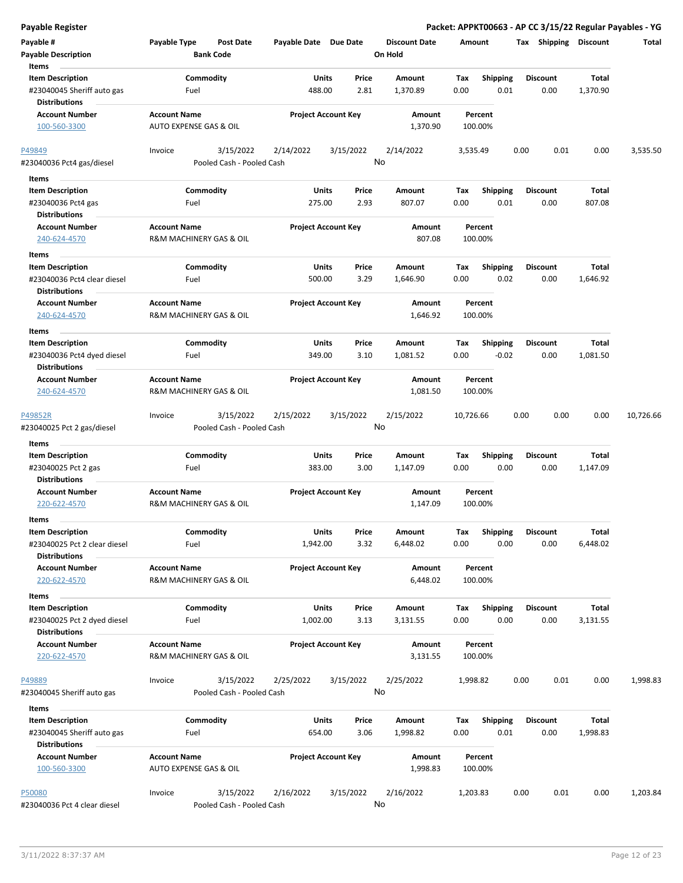| Payable #<br><b>Payable Description</b><br>Items                              | Payable Type                                   | <b>Post Date</b><br><b>Bank Code</b>   | Payable Date Due Date    |                            | <b>Discount Date</b><br>On Hold |             | Amount                     | Tax<br>Shipping         | <b>Discount</b>   | Total     |
|-------------------------------------------------------------------------------|------------------------------------------------|----------------------------------------|--------------------------|----------------------------|---------------------------------|-------------|----------------------------|-------------------------|-------------------|-----------|
| <b>Item Description</b><br>#23040045 Sheriff auto gas<br><b>Distributions</b> | Fuel                                           | Commodity                              | Units<br>488.00          | Price<br>2.81              | Amount<br>1,370.89              | Тах<br>0.00 | <b>Shipping</b><br>0.01    | <b>Discount</b><br>0.00 | Total<br>1,370.90 |           |
| <b>Account Number</b><br>100-560-3300                                         | <b>Account Name</b><br>AUTO EXPENSE GAS & OIL  |                                        |                          | <b>Project Account Key</b> | Amount<br>1,370.90              |             | Percent<br>100.00%         |                         |                   |           |
| P49849<br>#23040036 Pct4 gas/diesel                                           | Invoice                                        | 3/15/2022<br>Pooled Cash - Pooled Cash | 2/14/2022                | 3/15/2022                  | 2/14/2022<br>No                 |             | 3,535.49                   | 0.00<br>0.01            | 0.00              | 3,535.50  |
| Items                                                                         |                                                |                                        |                          |                            |                                 |             |                            |                         |                   |           |
| <b>Item Description</b>                                                       |                                                | Commodity                              | Units                    | Price                      | Amount                          | Tax         | <b>Shipping</b>            | <b>Discount</b>         | Total             |           |
| #23040036 Pct4 gas                                                            | Fuel                                           |                                        | 275.00                   | 2.93                       | 807.07                          | 0.00        | 0.01                       | 0.00                    | 807.08            |           |
| <b>Distributions</b>                                                          |                                                |                                        |                          |                            |                                 |             |                            |                         |                   |           |
| <b>Account Number</b>                                                         | <b>Account Name</b>                            |                                        |                          | <b>Project Account Key</b> | Amount                          |             | Percent                    |                         |                   |           |
| 240-624-4570                                                                  | R&M MACHINERY GAS & OIL                        |                                        |                          |                            | 807.08                          |             | 100.00%                    |                         |                   |           |
| Items                                                                         |                                                |                                        |                          |                            |                                 |             |                            |                         |                   |           |
| <b>Item Description</b>                                                       |                                                | Commodity                              | Units                    | Price                      | Amount                          | Tax         | <b>Shipping</b>            | <b>Discount</b>         | Total             |           |
| #23040036 Pct4 clear diesel                                                   | Fuel                                           |                                        | 500.00                   | 3.29                       | 1,646.90                        | 0.00        | 0.02                       | 0.00                    | 1,646.92          |           |
| <b>Distributions</b>                                                          |                                                |                                        |                          |                            |                                 |             |                            |                         |                   |           |
| <b>Account Number</b><br>240-624-4570                                         | <b>Account Name</b><br>R&M MACHINERY GAS & OIL |                                        |                          | <b>Project Account Key</b> | Amount<br>1,646.92              |             | Percent<br>100.00%         |                         |                   |           |
| Items                                                                         |                                                |                                        |                          |                            |                                 |             |                            |                         |                   |           |
| <b>Item Description</b><br>#23040036 Pct4 dyed diesel<br><b>Distributions</b> | Fuel                                           | Commodity                              | Units<br>349.00          | Price<br>3.10              | Amount<br>1,081.52              | Tax<br>0.00 | <b>Shipping</b><br>$-0.02$ | <b>Discount</b><br>0.00 | Total<br>1,081.50 |           |
| <b>Account Number</b><br>240-624-4570                                         | <b>Account Name</b><br>R&M MACHINERY GAS & OIL |                                        |                          | <b>Project Account Key</b> | Amount<br>1,081.50              |             | Percent<br>100.00%         |                         |                   |           |
|                                                                               |                                                |                                        |                          |                            |                                 |             |                            |                         |                   |           |
| P49852R<br>#23040025 Pct 2 gas/diesel                                         | Invoice                                        | 3/15/2022<br>Pooled Cash - Pooled Cash | 2/15/2022                | 3/15/2022                  | 2/15/2022<br>No                 | 10,726.66   |                            | 0.00<br>0.00            | 0.00              | 10,726.66 |
| Items                                                                         |                                                |                                        |                          |                            |                                 |             |                            |                         |                   |           |
| <b>Item Description</b>                                                       |                                                | Commodity                              | Units                    | Price                      | Amount                          | Tax         | <b>Shipping</b>            | Discount                | Total             |           |
| #23040025 Pct 2 gas                                                           | Fuel                                           |                                        | 383.00                   | 3.00                       | 1,147.09                        | 0.00        | 0.00                       | 0.00                    | 1,147.09          |           |
| <b>Distributions</b>                                                          |                                                |                                        |                          |                            |                                 |             |                            |                         |                   |           |
| <b>Account Number</b><br>220-622-4570                                         | <b>Account Name</b><br>R&M MACHINERY GAS & OIL |                                        |                          | <b>Project Account Key</b> | Amount<br>1,147.09              |             | Percent<br>100.00%         |                         |                   |           |
| Items                                                                         |                                                |                                        |                          |                            |                                 |             |                            |                         |                   |           |
| <b>Item Description</b>                                                       |                                                | Commodity                              | Units                    | Price                      | Amount                          | Tax         | Shipping                   | Discount                | Total             |           |
| #23040025 Pct 2 clear diesel                                                  | Fuel                                           |                                        | 1,942.00                 | 3.32                       | 6,448.02                        | 0.00        | 0.00                       | 0.00                    | 6,448.02          |           |
| <b>Distributions</b><br><b>Account Number</b>                                 | <b>Account Name</b>                            |                                        |                          | <b>Project Account Key</b> | Amount                          |             | Percent                    |                         |                   |           |
| 220-622-4570                                                                  | R&M MACHINERY GAS & OIL                        |                                        |                          |                            | 6,448.02                        |             | 100.00%                    |                         |                   |           |
| Items                                                                         |                                                |                                        |                          |                            |                                 |             |                            |                         |                   |           |
| <b>Item Description</b><br>#23040025 Pct 2 dyed diesel                        | Fuel                                           | Commodity                              | <b>Units</b><br>1,002.00 | Price<br>3.13              | Amount<br>3,131.55              | Tax<br>0.00 | Shipping<br>0.00           | <b>Discount</b><br>0.00 | Total<br>3,131.55 |           |
| <b>Distributions</b><br><b>Account Number</b>                                 | <b>Account Name</b>                            |                                        |                          | <b>Project Account Key</b> | Amount                          |             | Percent                    |                         |                   |           |
| 220-622-4570                                                                  | R&M MACHINERY GAS & OIL                        |                                        |                          |                            | 3,131.55                        |             | 100.00%                    |                         |                   |           |
| P49889                                                                        | Invoice                                        | 3/15/2022                              | 2/25/2022                | 3/15/2022                  | 2/25/2022                       |             | 1,998.82                   | 0.00<br>0.01            | 0.00              | 1,998.83  |
| #23040045 Sheriff auto gas                                                    |                                                | Pooled Cash - Pooled Cash              |                          |                            | No                              |             |                            |                         |                   |           |
| Items                                                                         |                                                |                                        |                          |                            |                                 |             |                            |                         |                   |           |
| <b>Item Description</b>                                                       |                                                | Commodity                              | Units                    | Price                      | Amount                          | Тах         | <b>Shipping</b>            | <b>Discount</b>         | Total             |           |
| #23040045 Sheriff auto gas                                                    | Fuel                                           |                                        | 654.00                   | 3.06                       | 1,998.82                        | 0.00        | 0.01                       | 0.00                    | 1,998.83          |           |
| <b>Distributions</b>                                                          |                                                |                                        |                          |                            |                                 |             |                            |                         |                   |           |
| <b>Account Number</b><br>100-560-3300                                         | <b>Account Name</b><br>AUTO EXPENSE GAS & OIL  |                                        |                          | <b>Project Account Key</b> | Amount<br>1,998.83              |             | Percent<br>100.00%         |                         |                   |           |
| P50080                                                                        | Invoice                                        | 3/15/2022                              | 2/16/2022                | 3/15/2022                  | 2/16/2022                       |             | 1,203.83                   | 0.00<br>0.01            | 0.00              | 1,203.84  |
| #23040036 Pct 4 clear diesel                                                  |                                                | Pooled Cash - Pooled Cash              |                          |                            | No                              |             |                            |                         |                   |           |

**Payable Register Packet: APPKT00663 - AP CC 3/15/22 Regular Payables - YG**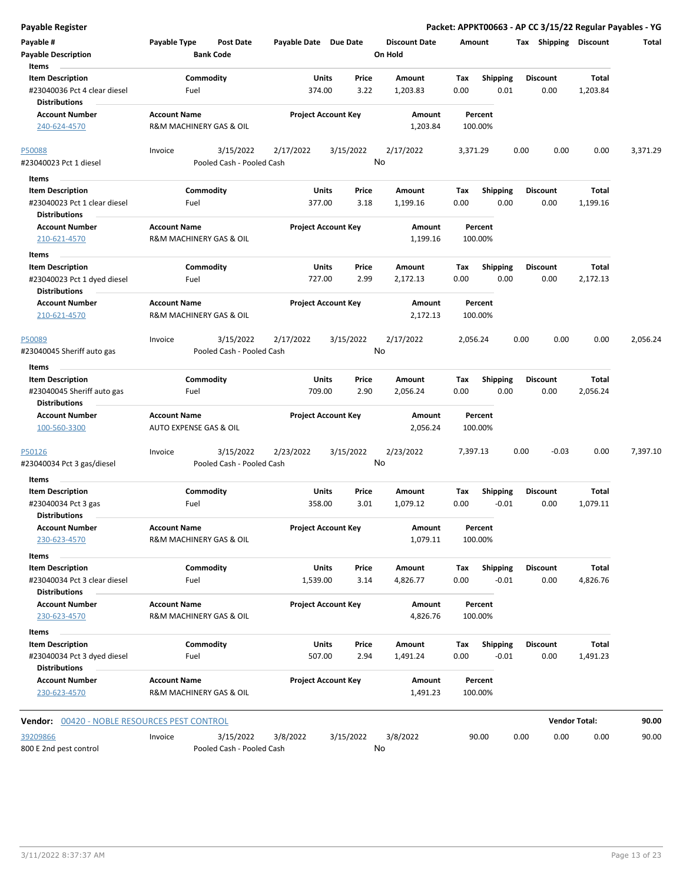| <b>Payable Register</b>                                                        |                                                      |                        |                            |                                 | Packet: APPKT00663 - AP CC 3/15/22 Regular Payables - YG |                         |                      |          |
|--------------------------------------------------------------------------------|------------------------------------------------------|------------------------|----------------------------|---------------------------------|----------------------------------------------------------|-------------------------|----------------------|----------|
| Payable #<br><b>Payable Description</b>                                        | Payable Type<br><b>Post Date</b><br><b>Bank Code</b> | Payable Date Due Date  |                            | <b>Discount Date</b><br>On Hold | Amount                                                   | Tax Shipping Discount   |                      | Total    |
| Items                                                                          |                                                      |                        |                            |                                 |                                                          |                         |                      |          |
| <b>Item Description</b><br>#23040036 Pct 4 clear diesel<br>Distributions       | Commodity<br>Fuel                                    | Units<br>374.00        | Price<br>3.22              | Amount<br>1,203.83              | Tax<br><b>Shipping</b><br>0.01<br>0.00                   | <b>Discount</b><br>0.00 | Total<br>1,203.84    |          |
| <b>Account Number</b><br>240-624-4570                                          | <b>Account Name</b><br>R&M MACHINERY GAS & OIL       |                        | <b>Project Account Key</b> | Amount<br>1,203.84              | Percent<br>100.00%                                       |                         |                      |          |
|                                                                                |                                                      |                        |                            |                                 |                                                          |                         |                      |          |
| P50088<br>#23040023 Pct 1 diesel                                               | 3/15/2022<br>Invoice<br>Pooled Cash - Pooled Cash    | 2/17/2022              | 3/15/2022                  | 2/17/2022<br>No                 | 3,371.29                                                 | 0.00<br>0.00            | 0.00                 | 3,371.29 |
| Items                                                                          |                                                      |                        |                            |                                 |                                                          |                         |                      |          |
| <b>Item Description</b><br>#23040023 Pct 1 clear diesel                        | Commodity<br>Fuel                                    | <b>Units</b><br>377.00 | Price<br>3.18              | Amount<br>1,199.16              | <b>Shipping</b><br>Tax<br>0.00<br>0.00                   | <b>Discount</b><br>0.00 | Total<br>1,199.16    |          |
| <b>Distributions</b><br><b>Account Number</b><br>210-621-4570                  | <b>Account Name</b><br>R&M MACHINERY GAS & OIL       |                        | <b>Project Account Key</b> | Amount<br>1,199.16              | Percent<br>100.00%                                       |                         |                      |          |
| Items                                                                          |                                                      |                        |                            |                                 |                                                          |                         |                      |          |
| <b>Item Description</b><br>#23040023 Pct 1 dyed diesel<br><b>Distributions</b> | Commodity<br>Fuel                                    | <b>Units</b><br>727.00 | Price<br>2.99              | Amount<br>2,172.13              | Tax<br><b>Shipping</b><br>0.00<br>0.00                   | Discount<br>0.00        | Total<br>2,172.13    |          |
| <b>Account Number</b><br>210-621-4570                                          | <b>Account Name</b><br>R&M MACHINERY GAS & OIL       |                        | <b>Project Account Key</b> | Amount<br>2,172.13              | Percent<br>100.00%                                       |                         |                      |          |
| P50089<br>#23040045 Sheriff auto gas                                           | 3/15/2022<br>Invoice<br>Pooled Cash - Pooled Cash    | 2/17/2022              | 3/15/2022                  | 2/17/2022<br>No                 | 2,056.24                                                 | 0.00<br>0.00            | 0.00                 | 2,056.24 |
| Items                                                                          |                                                      |                        |                            |                                 |                                                          |                         |                      |          |
| <b>Item Description</b><br>#23040045 Sheriff auto gas<br><b>Distributions</b>  | Commodity<br>Fuel                                    | <b>Units</b><br>709.00 | Price<br>2.90              | Amount<br>2,056.24              | Shipping<br>Tax<br>0.00<br>0.00                          | <b>Discount</b><br>0.00 | Total<br>2,056.24    |          |
| <b>Account Number</b><br>100-560-3300                                          | <b>Account Name</b><br>AUTO EXPENSE GAS & OIL        |                        | <b>Project Account Key</b> | Amount<br>2,056.24              | Percent<br>100.00%                                       |                         |                      |          |
| P50126<br>#23040034 Pct 3 gas/diesel                                           | 3/15/2022<br>Invoice<br>Pooled Cash - Pooled Cash    | 2/23/2022              | 3/15/2022                  | 2/23/2022<br>No                 | 7,397.13                                                 | 0.00<br>$-0.03$         | 0.00                 | 7,397.10 |
| Items                                                                          |                                                      |                        |                            |                                 |                                                          |                         |                      |          |
| <b>Item Description</b>                                                        | Commodity                                            | Units                  | Price                      | Amount                          | Tax<br><b>Shipping</b>                                   | <b>Discount</b>         | Total                |          |
| #23040034 Pct 3 gas<br>Distributions                                           | Fuel                                                 | 358.00                 | 3.01                       | 1,079.12                        | $-0.01$<br>0.00                                          | 0.00                    | 1,079.11             |          |
| <b>Account Number</b><br>230-623-4570                                          | <b>Account Name</b><br>R&M MACHINERY GAS & OIL       |                        | <b>Project Account Key</b> | Amount<br>1,079.11              | Percent<br>100.00%                                       |                         |                      |          |
| Items                                                                          |                                                      |                        |                            |                                 |                                                          |                         |                      |          |
| <b>Item Description</b>                                                        | Commodity                                            | Units                  | Price                      | Amount                          | Shipping<br>Tax                                          | <b>Discount</b>         | <b>Total</b>         |          |
| #23040034 Pct 3 clear diesel<br><b>Distributions</b>                           | Fuel                                                 | 1,539.00               | 3.14                       | 4,826.77                        | $-0.01$<br>0.00                                          | 0.00                    | 4,826.76             |          |
| <b>Account Number</b><br>230-623-4570                                          | <b>Account Name</b><br>R&M MACHINERY GAS & OIL       |                        | <b>Project Account Key</b> | Amount<br>4,826.76              | Percent<br>100.00%                                       |                         |                      |          |
| Items                                                                          |                                                      |                        |                            |                                 |                                                          |                         |                      |          |
| <b>Item Description</b>                                                        | Commodity                                            | <b>Units</b>           | Price                      | Amount                          | Tax<br><b>Shipping</b>                                   | <b>Discount</b>         | Total                |          |
| #23040034 Pct 3 dyed diesel<br><b>Distributions</b>                            | Fuel                                                 | 507.00                 | 2.94                       | 1,491.24                        | 0.00<br>$-0.01$                                          | 0.00                    | 1,491.23             |          |
| <b>Account Number</b><br>230-623-4570                                          | <b>Account Name</b><br>R&M MACHINERY GAS & OIL       |                        | <b>Project Account Key</b> | Amount<br>1,491.23              | Percent<br>100.00%                                       |                         |                      |          |
| Vendor: 00420 - NOBLE RESOURCES PEST CONTROL                                   |                                                      |                        |                            |                                 |                                                          |                         | <b>Vendor Total:</b> | 90.00    |
|                                                                                |                                                      |                        |                            |                                 |                                                          |                         |                      |          |
| 39209866<br>800 E 2nd pest control                                             | 3/15/2022<br>Invoice<br>Pooled Cash - Pooled Cash    | 3/8/2022               | 3/15/2022                  | 3/8/2022<br>No                  | 90.00                                                    | 0.00<br>0.00            | 0.00                 | 90.00    |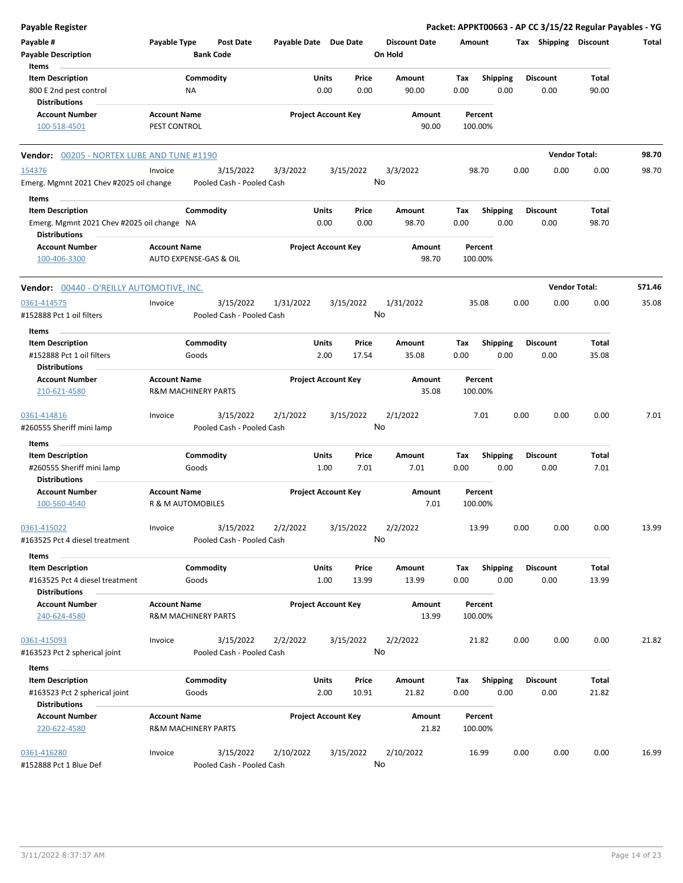| <b>Payable Register</b>                                            |                     |                                        |                       |                            |       |                                 |         |                    |      |                       | Packet: APPKT00663 - AP CC 3/15/22 Regular Payables - YG |        |
|--------------------------------------------------------------------|---------------------|----------------------------------------|-----------------------|----------------------------|-------|---------------------------------|---------|--------------------|------|-----------------------|----------------------------------------------------------|--------|
| Payable #<br><b>Payable Description</b>                            | Payable Type        | <b>Post Date</b><br><b>Bank Code</b>   | Payable Date Due Date |                            |       | <b>Discount Date</b><br>On Hold | Amount  |                    |      | Tax Shipping Discount |                                                          | Total  |
| Items                                                              |                     |                                        |                       |                            |       |                                 |         |                    |      |                       |                                                          |        |
| <b>Item Description</b>                                            |                     | Commodity                              |                       | <b>Units</b>               | Price | Amount                          | Tax     | <b>Shipping</b>    |      | <b>Discount</b>       | Total                                                    |        |
| 800 E 2nd pest control                                             |                     | NA                                     |                       | 0.00                       | 0.00  | 90.00                           | 0.00    | 0.00               |      | 0.00                  | 90.00                                                    |        |
| <b>Distributions</b>                                               |                     |                                        |                       |                            |       |                                 |         |                    |      |                       |                                                          |        |
| <b>Account Number</b>                                              | <b>Account Name</b> |                                        |                       | <b>Project Account Key</b> |       | Amount                          |         | Percent            |      |                       |                                                          |        |
| 100-518-4501                                                       | PEST CONTROL        |                                        |                       |                            |       | 90.00                           |         | 100.00%            |      |                       |                                                          |        |
| <b>Vendor: 00205 - NORTEX LUBE AND TUNE #1190</b>                  |                     |                                        |                       |                            |       |                                 |         |                    |      |                       | <b>Vendor Total:</b>                                     | 98.70  |
| 154376                                                             | Invoice             | 3/15/2022                              | 3/3/2022              | 3/15/2022                  |       | 3/3/2022                        |         | 98.70              | 0.00 | 0.00                  | 0.00                                                     | 98.70  |
| Emerg. Mgmnt 2021 Chev #2025 oil change                            |                     | Pooled Cash - Pooled Cash              |                       |                            |       | No                              |         |                    |      |                       |                                                          |        |
| Items                                                              |                     |                                        |                       |                            |       |                                 |         |                    |      |                       |                                                          |        |
| <b>Item Description</b>                                            |                     | Commodity                              |                       | <b>Units</b>               | Price | Amount                          | Tax     | <b>Shipping</b>    |      | <b>Discount</b>       | Total                                                    |        |
| Emerg. Mgmnt 2021 Chev #2025 oil change NA<br><b>Distributions</b> |                     |                                        |                       | 0.00                       | 0.00  | 98.70                           | 0.00    | 0.00               |      | 0.00                  | 98.70                                                    |        |
| <b>Account Number</b><br>100-406-3300                              | <b>Account Name</b> | AUTO EXPENSE-GAS & OIL                 |                       | <b>Project Account Key</b> |       | Amount<br>98.70                 |         | Percent<br>100.00% |      |                       |                                                          |        |
| <b>Vendor: 00440 - O'REILLY AUTOMOTIVE, INC.</b>                   |                     |                                        |                       |                            |       |                                 |         |                    |      |                       | <b>Vendor Total:</b>                                     | 571.46 |
| 0361-414575                                                        | Invoice             | 3/15/2022                              | 1/31/2022             | 3/15/2022                  |       | 1/31/2022                       |         | 35.08              | 0.00 | 0.00                  | 0.00                                                     | 35.08  |
| #152888 Pct 1 oil filters                                          |                     | Pooled Cash - Pooled Cash              |                       |                            |       | No                              |         |                    |      |                       |                                                          |        |
| Items                                                              |                     |                                        |                       |                            |       |                                 |         |                    |      |                       |                                                          |        |
| <b>Item Description</b>                                            |                     | Commodity                              |                       | Units                      | Price | Amount                          | Tax     | <b>Shipping</b>    |      | <b>Discount</b>       | Total                                                    |        |
| #152888 Pct 1 oil filters                                          |                     | Goods                                  |                       | 2.00                       | 17.54 | 35.08                           | 0.00    | 0.00               |      | 0.00                  | 35.08                                                    |        |
| <b>Distributions</b>                                               |                     |                                        |                       |                            |       |                                 |         |                    |      |                       |                                                          |        |
| <b>Account Number</b>                                              | <b>Account Name</b> |                                        |                       | <b>Project Account Key</b> |       | Amount                          |         | Percent            |      |                       |                                                          |        |
| 210-621-4580                                                       |                     | <b>R&amp;M MACHINERY PARTS</b>         |                       |                            |       | 35.08                           |         | 100.00%            |      |                       |                                                          |        |
| 0361-414816                                                        | Invoice             | 3/15/2022                              | 2/1/2022              | 3/15/2022                  |       | 2/1/2022                        |         | 7.01               | 0.00 | 0.00                  | 0.00                                                     | 7.01   |
| #260555 Sheriff mini lamp                                          |                     | Pooled Cash - Pooled Cash              |                       |                            |       | No                              |         |                    |      |                       |                                                          |        |
| Items                                                              |                     |                                        |                       |                            |       |                                 |         |                    |      |                       |                                                          |        |
| <b>Item Description</b>                                            |                     | Commodity                              |                       | Units                      | Price | Amount                          | Tax     | <b>Shipping</b>    |      | <b>Discount</b>       | Total                                                    |        |
| #260555 Sheriff mini lamp                                          |                     | Goods                                  |                       | 1.00                       | 7.01  | 7.01                            | 0.00    | 0.00               |      | 0.00                  | 7.01                                                     |        |
| <b>Distributions</b>                                               |                     |                                        |                       |                            |       |                                 |         |                    |      |                       |                                                          |        |
| <b>Account Number</b><br>100-560-4540                              | <b>Account Name</b> | R & M AUTOMOBILES                      |                       | <b>Project Account Key</b> |       | Amount<br>7.01                  | 100.00% | Percent            |      |                       |                                                          |        |
|                                                                    |                     |                                        |                       |                            |       |                                 |         |                    |      |                       |                                                          |        |
| 0361-415022<br>#163525 Pct 4 diesel treatment                      | Invoice             | 3/15/2022<br>Pooled Cash - Pooled Cash | 2/2/2022              | 3/15/2022                  |       | 2/2/2022<br>No                  |         | 13.99              | 0.00 | 0.00                  | 0.00                                                     | 13.99  |
|                                                                    |                     |                                        |                       |                            |       |                                 |         |                    |      |                       |                                                          |        |
| Items                                                              |                     |                                        |                       |                            |       |                                 |         |                    |      |                       |                                                          |        |
| <b>Item Description</b>                                            |                     | Commodity                              |                       | <b>Units</b>               | Price | Amount                          | Tax     | <b>Shipping</b>    |      | <b>Discount</b>       | Total                                                    |        |
| #163525 Pct 4 diesel treatment                                     |                     | Goods                                  |                       | 1.00                       | 13.99 | 13.99                           | 0.00    | 0.00               |      | 0.00                  | 13.99                                                    |        |
| <b>Distributions</b>                                               |                     |                                        |                       |                            |       |                                 |         |                    |      |                       |                                                          |        |
| <b>Account Number</b><br>240-624-4580                              | <b>Account Name</b> | <b>R&amp;M MACHINERY PARTS</b>         |                       | <b>Project Account Key</b> |       | Amount<br>13.99                 |         | Percent<br>100.00% |      |                       |                                                          |        |
| 0361-415093                                                        | Invoice             | 3/15/2022                              | 2/2/2022              | 3/15/2022                  |       | 2/2/2022                        |         | 21.82              | 0.00 | 0.00                  | 0.00                                                     | 21.82  |
| #163523 Pct 2 spherical joint                                      |                     | Pooled Cash - Pooled Cash              |                       |                            |       | No                              |         |                    |      |                       |                                                          |        |
|                                                                    |                     |                                        |                       |                            |       |                                 |         |                    |      |                       |                                                          |        |
| Items<br><b>Item Description</b>                                   |                     | Commodity                              |                       | <b>Units</b>               | Price | Amount                          | Tax     | <b>Shipping</b>    |      | <b>Discount</b>       | Total                                                    |        |
| #163523 Pct 2 spherical joint                                      |                     | Goods                                  |                       | 2.00                       | 10.91 | 21.82                           | 0.00    | 0.00               |      | 0.00                  | 21.82                                                    |        |
| <b>Distributions</b>                                               |                     |                                        |                       |                            |       |                                 |         |                    |      |                       |                                                          |        |
|                                                                    |                     |                                        |                       |                            |       |                                 |         |                    |      |                       |                                                          |        |
| <b>Account Number</b><br>220-622-4580                              | <b>Account Name</b> | <b>R&amp;M MACHINERY PARTS</b>         |                       | <b>Project Account Key</b> |       | Amount<br>21.82                 |         | Percent<br>100.00% |      |                       |                                                          |        |
| 0361-416280                                                        | Invoice             | 3/15/2022                              | 2/10/2022             | 3/15/2022                  |       | 2/10/2022                       |         | 16.99              | 0.00 | 0.00                  | 0.00                                                     | 16.99  |
| #152888 Pct 1 Blue Def                                             |                     | Pooled Cash - Pooled Cash              |                       |                            |       | No                              |         |                    |      |                       |                                                          |        |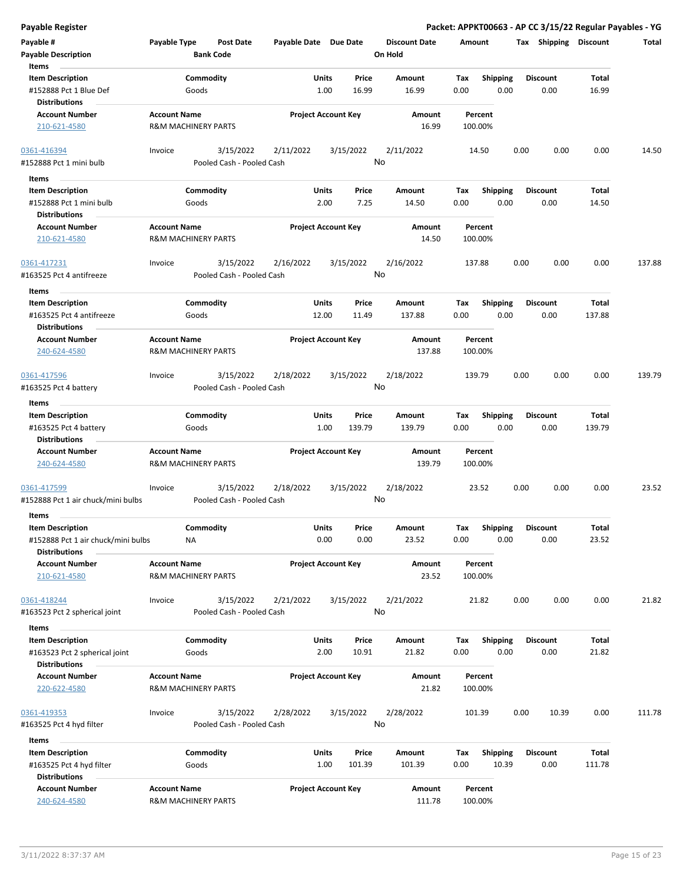**Payable # Payable Type Post Date Payable Date Due Date Payable Description Bank Code Discount Date Amount Tax Shipping Discount Total On Hold** 1.00 16.99 **Units** #152888 Pct 1 Blue Def 0.00 **Item Description** 16.99 **Price Amount Tax** 0.00 16.99 Commodity **Shipping Shipping Commodity Shipping Discount** Total Goods **Items** 0.00 **Discount Account Number Account Name Project Account Key Amount Distributions Percent** 210-621-4580 R&M MACHINERY PARTS 16.99 100.00% 3/15/2022 2/11/2022 3/15/2022 #152888 Pct 1 mini bulb Pooled Cash - Pooled Cash 0361-416394 Invoice 3/15/2022 2/11/2022 3/15/2022 14.50 0.00 0.00 0.00 14.50 No 2.00 7.25 **Units** #152888 Pct 1 mini bulb 0.00 **Item Description** 14.50 **Price Amount Tax** 0.00 14.50 Commodity **Shipping Shipping Commodity Shipping Discount** Total Goods **Items** 0.00 **Discount Account Number Account Name Project Account Key Amount Distributions Percent** 210-621-4580 R&M MACHINERY PARTS 14.50 100.00% 3/15/2022 2/16/2022 3/15/2022 #163525 Pct 4 antifreeze Pooled Cash - Pooled Cash 0361-417231 Invoice 2/16/2022 137.88 0.00 0.00 0.00 137.88 No 12.00 11.49 **Units** #163525 Pct 4 antifreeze 0.00 **Item Description** 137.88 **Price Amount Tax** 0.00 137.88 Commodity **Shipping Example 1 Commodity Shipping Discount** Total Goods **Items** 0.00 **Discount Account Number Account Name Project Account Key Amount Distributions Percent** 240-624-4580 R&M MACHINERY PARTS 137.88 100.00% 3/15/2022 2/18/2022 3/15/2022 #163525 Pct 4 battery Pooled Cash - Pooled Cash 0361-417596 Invoice 2/18/2022 139.79 0.00 0.00 0.00 139.79 No 1.00 139.79 **Units** #163525 Pct 4 battery 0.00 **Item Description** 139.79 **Price Amount Tax** 0.00 139.79 Commodity **Shipping Example 1 Commodity Shipping Discount** Total Goods **Items** 0.00 **Discount Account Number Account Name Project Account Key Amount Distributions Percent** 240-624-4580 R&M MACHINERY PARTS 139.79 100.00% 3/15/2022 2/18/2022 3/15/2022 #152888 Pct 1 air chuck/mini bulbs Pooled Cash - Pooled Cash 0361-417599 Invoice 2/18/2022 23.52 0.00 0.00 0.00 23.52 No 0.00 0.00 **Units** #152888 Pct 1 air chuck/mini bulbs 0.00 **Item Description** 23.52 **Price Amount Tax** 0.00 23.52 Commodity **Shipping Example 1 Commodity Shipping Discount** Total NA **Items** 0.00 **Discount Account Number Account Name Project Account Key Amount Distributions Percent** 210-621-4580 R&M MACHINERY PARTS 23.52 100.00% 3/15/2022 2/21/2022 3/15/2022 #163523 Pct 2 spherical joint Pooled Cash - Pooled Cash 0361-418244 Invoice 2/21/2022 21.82 0.00 0.00 0.00 21.82 No 2.00 10.91 **Units** #163523 Pct 2 spherical joint 0.00 **Item Description** 21.82 **Price Amount Tax** 0.00 21.82 Commodity **Shipping Shipping Commodity Shipping Discount** Total Goods **Items** 0.00 **Discount Account Number Account Name Project Account Key Amount Distributions Percent** 220-622-4580 R&M MACHINERY PARTS 21.82 100.00% 3/15/2022 2/28/2022 3/15/2022 #163525 Pct 4 hyd filter Pooled Cash - Pooled Cash 0361-419353 Invoice 2/28/2022 101.39 0.00 10.39 0.00 111.78 No 1.00 101.39 **Units** #163525 Pct 4 hyd filter 0.00 **Item Description** 101.39 **Price Amount Tax** 10.39 111.78 Commodity **Shipping Shipping Commodity Shipping Discount** Total Goods **Items** 0.00 **Discount Account Number Account Name Project Account Key Amount Distributions Percent**

240-624-4580 R&M MACHINERY PARTS 111.78 100.00%

**Payable Register Packet: APPKT00663 - AP CC 3/15/22 Regular Payables - YG**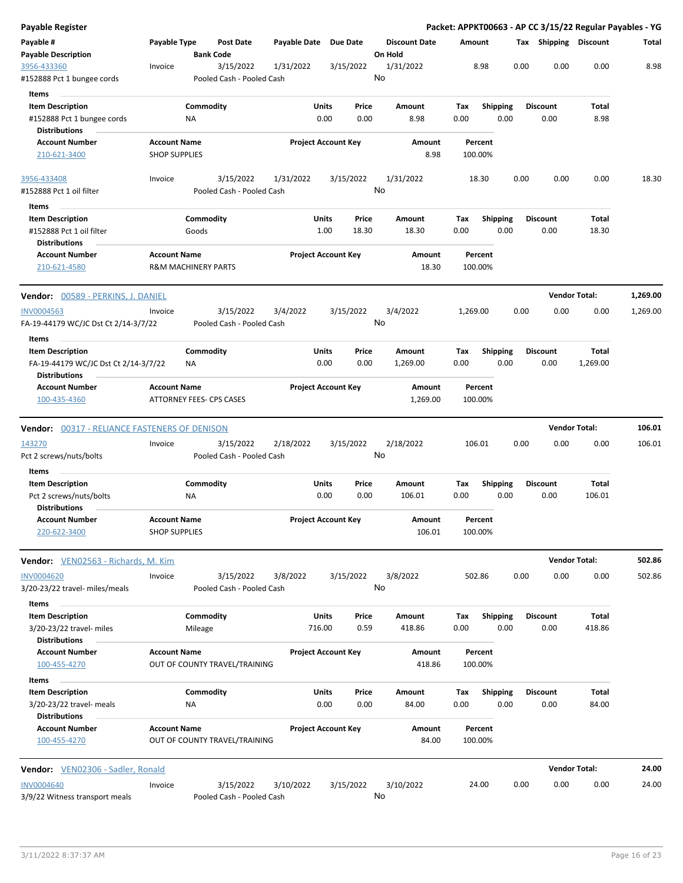| <b>Payable Register</b>                                                                 |                                             |                                |                                        |                       |                            |                |                                 |             |                         |      |                         | Packet: APPKT00663 - AP CC 3/15/22 Regular Payables - YG |          |
|-----------------------------------------------------------------------------------------|---------------------------------------------|--------------------------------|----------------------------------------|-----------------------|----------------------------|----------------|---------------------------------|-------------|-------------------------|------|-------------------------|----------------------------------------------------------|----------|
| Payable #<br><b>Payable Description</b>                                                 | Payable Type                                | <b>Bank Code</b>               | <b>Post Date</b>                       | Payable Date Due Date |                            |                | <b>Discount Date</b><br>On Hold | Amount      |                         |      | Tax Shipping Discount   |                                                          | Total    |
| 3956-433360<br>#152888 Pct 1 bungee cords                                               | Invoice                                     |                                | 3/15/2022<br>Pooled Cash - Pooled Cash | 1/31/2022             | 3/15/2022                  |                | 1/31/2022<br>No                 |             | 8.98                    | 0.00 | 0.00                    | 0.00                                                     | 8.98     |
| <b>Items</b>                                                                            |                                             |                                |                                        |                       |                            |                |                                 |             |                         |      |                         |                                                          |          |
| <b>Item Description</b><br>#152888 Pct 1 bungee cords<br><b>Distributions</b>           |                                             | Commodity<br>ΝA                |                                        |                       | <b>Units</b><br>0.00       | Price<br>0.00  | Amount<br>8.98                  | Tax<br>0.00 | <b>Shipping</b><br>0.00 |      | <b>Discount</b><br>0.00 | Total<br>8.98                                            |          |
| <b>Account Number</b>                                                                   | <b>Account Name</b>                         |                                |                                        |                       | <b>Project Account Key</b> |                | Amount                          |             | Percent                 |      |                         |                                                          |          |
| 210-621-3400                                                                            | <b>SHOP SUPPLIES</b>                        |                                |                                        |                       |                            |                | 8.98                            |             | 100.00%                 |      |                         |                                                          |          |
| 3956-433408<br>#152888 Pct 1 oil filter                                                 | Invoice                                     |                                | 3/15/2022<br>Pooled Cash - Pooled Cash | 1/31/2022             | 3/15/2022                  |                | 1/31/2022<br>No                 |             | 18.30                   | 0.00 | 0.00                    | 0.00                                                     | 18.30    |
| Items                                                                                   |                                             |                                |                                        |                       |                            |                |                                 |             |                         |      |                         |                                                          |          |
| <b>Item Description</b><br>#152888 Pct 1 oil filter<br><b>Distributions</b>             |                                             | Commodity<br>Goods             |                                        |                       | Units<br>1.00              | Price<br>18.30 | Amount<br>18.30                 | Tax<br>0.00 | <b>Shipping</b><br>0.00 |      | <b>Discount</b><br>0.00 | Total<br>18.30                                           |          |
| <b>Account Number</b><br>210-621-4580                                                   | <b>Account Name</b>                         | <b>R&amp;M MACHINERY PARTS</b> |                                        |                       | <b>Project Account Key</b> |                | Amount<br>18.30                 |             | Percent<br>100.00%      |      |                         |                                                          |          |
| Vendor: 00589 - PERKINS, J. DANIEL                                                      |                                             |                                |                                        |                       |                            |                |                                 |             |                         |      |                         | <b>Vendor Total:</b>                                     | 1,269.00 |
| <b>INV0004563</b><br>FA-19-44179 WC/JC Dst Ct 2/14-3/7/22                               | Invoice                                     |                                | 3/15/2022<br>Pooled Cash - Pooled Cash | 3/4/2022              | 3/15/2022                  |                | 3/4/2022<br>No                  | 1,269.00    |                         | 0.00 | 0.00                    | 0.00                                                     | 1,269.00 |
| Items                                                                                   |                                             |                                |                                        |                       |                            |                |                                 |             |                         |      |                         |                                                          |          |
| <b>Item Description</b><br>FA-19-44179 WC/JC Dst Ct 2/14-3/7/22<br><b>Distributions</b> |                                             | Commodity<br>ΝA                |                                        |                       | <b>Units</b><br>0.00       | Price<br>0.00  | Amount<br>1,269.00              | Tax<br>0.00 | <b>Shipping</b><br>0.00 |      | <b>Discount</b><br>0.00 | Total<br>1,269.00                                        |          |
| <b>Account Number</b><br>100-435-4360                                                   | <b>Account Name</b>                         | ATTORNEY FEES- CPS CASES       |                                        |                       | <b>Project Account Key</b> |                | Amount<br>1,269.00              |             | Percent<br>100.00%      |      |                         |                                                          |          |
| <b>Vendor: 00317 - RELIANCE FASTENERS OF DENISON</b>                                    |                                             |                                |                                        |                       |                            |                |                                 |             |                         |      |                         | <b>Vendor Total:</b>                                     | 106.01   |
| 143270<br>Pct 2 screws/nuts/bolts                                                       | Invoice                                     |                                | 3/15/2022<br>Pooled Cash - Pooled Cash | 2/18/2022             | 3/15/2022                  |                | 2/18/2022<br>No                 |             | 106.01                  | 0.00 | 0.00                    | 0.00                                                     | 106.01   |
| Items                                                                                   |                                             |                                |                                        |                       |                            |                |                                 |             |                         |      |                         |                                                          |          |
| <b>Item Description</b><br>Pct 2 screws/nuts/bolts<br>Distributions                     |                                             | Commodity<br>ΝA                |                                        |                       | <b>Units</b><br>0.00       | Price<br>0.00  | Amount<br>106.01                | Тах<br>0.00 | <b>Shipping</b><br>0.00 |      | <b>Discount</b><br>0.00 | Total<br>106.01                                          |          |
| <b>Account Number</b><br>220-622-3400                                                   | <b>Account Name</b><br><b>SHOP SUPPLIES</b> |                                |                                        |                       | <b>Project Account Kev</b> |                | Amount<br>106.01                |             | Percent<br>100.00%      |      |                         |                                                          |          |
| Vendor: VEN02563 - Richards, M. Kim                                                     |                                             |                                |                                        |                       |                            |                |                                 |             |                         |      |                         | <b>Vendor Total:</b>                                     | 502.86   |
| <b>INV0004620</b><br>3/20-23/22 travel- miles/meals                                     | Invoice                                     |                                | 3/15/2022<br>Pooled Cash - Pooled Cash | 3/8/2022              | 3/15/2022                  |                | 3/8/2022<br>No                  |             | 502.86                  | 0.00 | 0.00                    | 0.00                                                     | 502.86   |
| Items                                                                                   |                                             |                                |                                        |                       |                            |                |                                 |             |                         |      |                         |                                                          |          |
| <b>Item Description</b>                                                                 |                                             | Commodity                      |                                        |                       | <b>Units</b>               | Price          | Amount                          | Tax         | <b>Shipping</b>         |      | <b>Discount</b>         | Total                                                    |          |
| 3/20-23/22 travel- miles<br><b>Distributions</b>                                        |                                             | Mileage                        |                                        |                       | 716.00                     | 0.59           | 418.86                          | 0.00        | 0.00                    |      | 0.00                    | 418.86                                                   |          |
| <b>Account Number</b><br>100-455-4270                                                   | <b>Account Name</b>                         |                                | OUT OF COUNTY TRAVEL/TRAINING          |                       | <b>Project Account Key</b> |                | Amount<br>418.86                |             | Percent<br>100.00%      |      |                         |                                                          |          |
| Items                                                                                   |                                             |                                |                                        |                       |                            |                |                                 |             |                         |      |                         |                                                          |          |
| <b>Item Description</b><br>3/20-23/22 travel- meals                                     |                                             | Commodity<br>NA                |                                        |                       | <b>Units</b><br>0.00       | Price<br>0.00  | Amount<br>84.00                 | Tax<br>0.00 | <b>Shipping</b><br>0.00 |      | <b>Discount</b><br>0.00 | Total<br>84.00                                           |          |
| <b>Distributions</b><br><b>Account Number</b><br>100-455-4270                           | <b>Account Name</b>                         |                                | OUT OF COUNTY TRAVEL/TRAINING          |                       | <b>Project Account Key</b> |                | Amount<br>84.00                 |             | Percent<br>100.00%      |      |                         |                                                          |          |
| <b>Vendor:</b> VEN02306 - Sadler, Ronald                                                |                                             |                                |                                        |                       |                            |                |                                 |             |                         |      |                         | <b>Vendor Total:</b>                                     | 24.00    |
|                                                                                         |                                             |                                |                                        |                       |                            |                |                                 |             |                         |      |                         |                                                          |          |
| <b>INV0004640</b><br>3/9/22 Witness transport meals                                     | Invoice                                     |                                | 3/15/2022<br>Pooled Cash - Pooled Cash | 3/10/2022             | 3/15/2022                  |                | 3/10/2022<br>No                 |             | 24.00                   | 0.00 | 0.00                    | 0.00                                                     | 24.00    |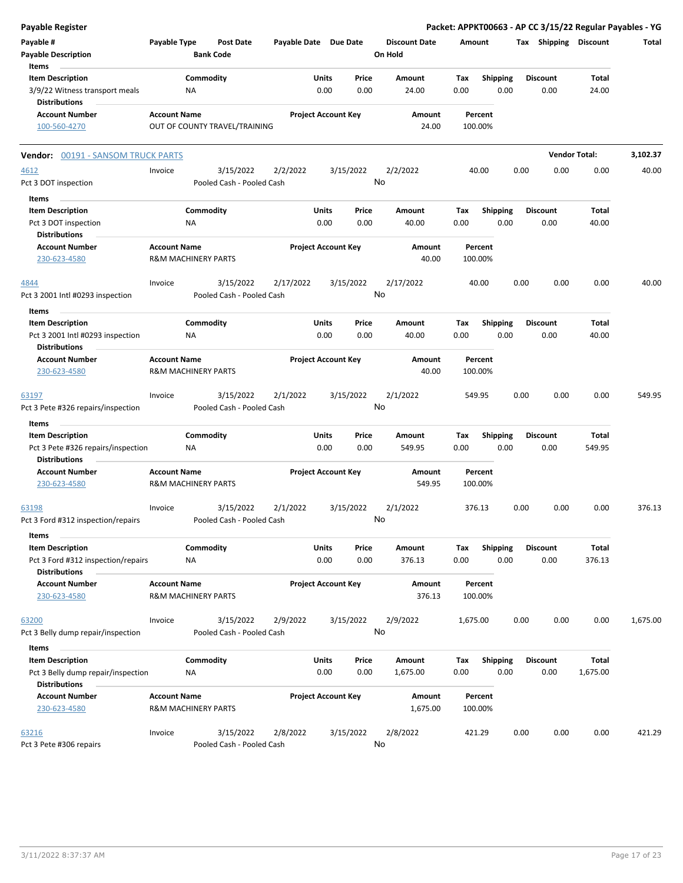| <b>Payable Register</b>                                                                        |                                                       |                  |                                        |                       |               |                            |                                 |             |                         |      |                         | Packet: APPKT00663 - AP CC 3/15/22 Regular Payables - YG |          |
|------------------------------------------------------------------------------------------------|-------------------------------------------------------|------------------|----------------------------------------|-----------------------|---------------|----------------------------|---------------------------------|-------------|-------------------------|------|-------------------------|----------------------------------------------------------|----------|
| Payable #<br><b>Payable Description</b>                                                        | Payable Type                                          | <b>Bank Code</b> | <b>Post Date</b>                       | Payable Date Due Date |               |                            | <b>Discount Date</b><br>On Hold | Amount      |                         |      | Tax Shipping Discount   |                                                          | Total    |
| Items<br><b>Item Description</b><br>3/9/22 Witness transport meals<br><b>Distributions</b>     |                                                       | Commodity<br>NA  |                                        |                       | Units<br>0.00 | Price<br>0.00              | Amount<br>24.00                 | Tax<br>0.00 | <b>Shipping</b><br>0.00 |      | <b>Discount</b><br>0.00 | Total<br>24.00                                           |          |
| <b>Account Number</b><br>100-560-4270                                                          | <b>Account Name</b>                                   |                  | OUT OF COUNTY TRAVEL/TRAINING          |                       |               | <b>Project Account Key</b> | Amount<br>24.00                 |             | Percent<br>100.00%      |      |                         |                                                          |          |
| <b>Vendor: 00191 - SANSOM TRUCK PARTS</b>                                                      |                                                       |                  |                                        |                       |               |                            |                                 |             |                         |      |                         | <b>Vendor Total:</b>                                     | 3,102.37 |
| 4612<br>Pct 3 DOT inspection                                                                   | Invoice                                               |                  | 3/15/2022<br>Pooled Cash - Pooled Cash | 2/2/2022              |               | 3/15/2022                  | 2/2/2022<br>No                  |             | 40.00                   | 0.00 | 0.00                    | 0.00                                                     | 40.00    |
| Items<br><b>Item Description</b><br>Pct 3 DOT inspection                                       |                                                       | Commodity<br>NA  |                                        |                       | Units<br>0.00 | Price<br>0.00              | Amount<br>40.00                 | Tax<br>0.00 | <b>Shipping</b><br>0.00 |      | <b>Discount</b><br>0.00 | Total<br>40.00                                           |          |
| <b>Distributions</b><br><b>Account Number</b><br>230-623-4580                                  | <b>Account Name</b><br><b>R&amp;M MACHINERY PARTS</b> |                  |                                        |                       |               | <b>Project Account Key</b> | Amount<br>40.00                 |             | Percent<br>100.00%      |      |                         |                                                          |          |
| 4844<br>Pct 3 2001 Intl #0293 inspection                                                       | Invoice                                               |                  | 3/15/2022<br>Pooled Cash - Pooled Cash | 2/17/2022             |               | 3/15/2022                  | 2/17/2022<br>No                 |             | 40.00                   | 0.00 | 0.00                    | 0.00                                                     | 40.00    |
| Items<br><b>Item Description</b><br>Pct 3 2001 Intl #0293 inspection<br><b>Distributions</b>   |                                                       | Commodity<br>ΝA  |                                        |                       | Units<br>0.00 | Price<br>0.00              | Amount<br>40.00                 | Tax<br>0.00 | <b>Shipping</b><br>0.00 |      | <b>Discount</b><br>0.00 | <b>Total</b><br>40.00                                    |          |
| <b>Account Number</b><br>230-623-4580                                                          | <b>Account Name</b><br><b>R&amp;M MACHINERY PARTS</b> |                  |                                        |                       |               | <b>Project Account Key</b> | Amount<br>40.00                 |             | Percent<br>100.00%      |      |                         |                                                          |          |
| 63197<br>Pct 3 Pete #326 repairs/inspection                                                    | Invoice                                               |                  | 3/15/2022<br>Pooled Cash - Pooled Cash | 2/1/2022              |               | 3/15/2022                  | 2/1/2022<br>No                  |             | 549.95                  | 0.00 | 0.00                    | 0.00                                                     | 549.95   |
| Items                                                                                          |                                                       |                  |                                        |                       | <b>Units</b>  |                            |                                 |             |                         |      |                         | <b>Total</b>                                             |          |
| <b>Item Description</b><br>Pct 3 Pete #326 repairs/inspection<br><b>Distributions</b>          |                                                       | Commodity<br>ΝA  |                                        |                       | 0.00          | Price<br>0.00              | Amount<br>549.95                | Tax<br>0.00 | Shipping<br>0.00        |      | <b>Discount</b><br>0.00 | 549.95                                                   |          |
| <b>Account Number</b><br>230-623-4580                                                          | <b>Account Name</b><br><b>R&amp;M MACHINERY PARTS</b> |                  |                                        |                       |               | <b>Project Account Key</b> | <b>Amount</b><br>549.95         |             | Percent<br>100.00%      |      |                         |                                                          |          |
| 63198<br>Pct 3 Ford #312 inspection/repairs                                                    | Invoice                                               |                  | 3/15/2022<br>Pooled Cash - Pooled Cash | 2/1/2022              |               | 3/15/2022                  | 2/1/2022<br>No                  |             | 376.13                  | 0.00 | 0.00                    | 0.00                                                     | 376.13   |
| Items<br><b>Item Description</b><br>Pct 3 Ford #312 inspection/repairs<br><b>Distributions</b> |                                                       | Commodity<br>NA  |                                        |                       | Units<br>0.00 | Price<br>0.00              | Amount<br>376.13                | Tax<br>0.00 | <b>Shipping</b><br>0.00 |      | <b>Discount</b><br>0.00 | Total<br>376.13                                          |          |
| <b>Account Number</b><br>230-623-4580                                                          | <b>Account Name</b><br><b>R&amp;M MACHINERY PARTS</b> |                  |                                        |                       |               | <b>Project Account Key</b> | Amount<br>376.13                |             | Percent<br>100.00%      |      |                         |                                                          |          |
| 63200<br>Pct 3 Belly dump repair/inspection                                                    | Invoice                                               |                  | 3/15/2022<br>Pooled Cash - Pooled Cash | 2/9/2022              |               | 3/15/2022                  | 2/9/2022<br>No                  | 1,675.00    |                         | 0.00 | 0.00                    | 0.00                                                     | 1,675.00 |
| Items<br><b>Item Description</b><br>Pct 3 Belly dump repair/inspection<br><b>Distributions</b> |                                                       | Commodity<br>NA  |                                        |                       | Units<br>0.00 | Price<br>0.00              | Amount<br>1,675.00              | Tax<br>0.00 | Shipping<br>0.00        |      | <b>Discount</b><br>0.00 | Total<br>1,675.00                                        |          |
| <b>Account Number</b><br>230-623-4580                                                          | <b>Account Name</b><br><b>R&amp;M MACHINERY PARTS</b> |                  |                                        |                       |               | <b>Project Account Key</b> | Amount<br>1,675.00              |             | Percent<br>100.00%      |      |                         |                                                          |          |
| 63216<br>Pct 3 Pete #306 repairs                                                               | Invoice                                               |                  | 3/15/2022<br>Pooled Cash - Pooled Cash | 2/8/2022              |               | 3/15/2022                  | 2/8/2022<br>No                  |             | 421.29                  | 0.00 | 0.00                    | 0.00                                                     | 421.29   |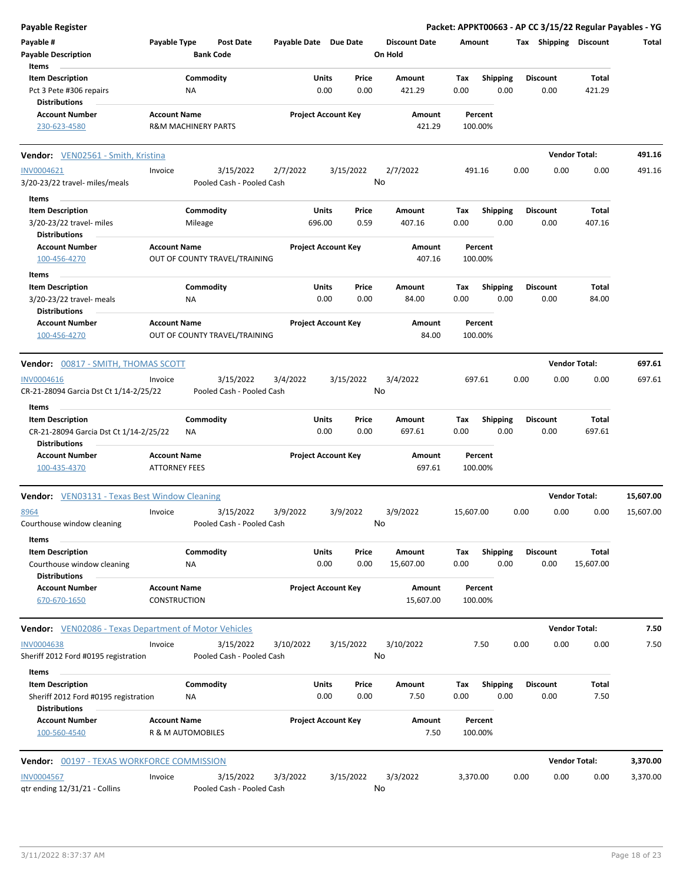| <b>Payable Register</b>                                         |                                             |                                        |                            |               |                 |                                 |             |                         |      |                       | Packet: APPKT00663 - AP CC 3/15/22 Regular Payables - YG |           |
|-----------------------------------------------------------------|---------------------------------------------|----------------------------------------|----------------------------|---------------|-----------------|---------------------------------|-------------|-------------------------|------|-----------------------|----------------------------------------------------------|-----------|
| Payable #<br><b>Payable Description</b>                         | Payable Type                                | <b>Post Date</b><br><b>Bank Code</b>   | Payable Date Due Date      |               |                 | <b>Discount Date</b><br>On Hold | Amount      |                         |      | Tax Shipping Discount |                                                          | Total     |
| Items                                                           |                                             |                                        |                            |               |                 |                                 |             |                         |      |                       |                                                          |           |
| <b>Item Description</b>                                         |                                             | Commodity                              |                            | Units         | Price           | Amount                          | Tax         | <b>Shipping</b>         |      | <b>Discount</b>       | Total                                                    |           |
| Pct 3 Pete #306 repairs<br><b>Distributions</b>                 |                                             | ΝA                                     |                            | 0.00          | 0.00            | 421.29                          | 0.00        | 0.00                    |      | 0.00                  | 421.29                                                   |           |
| <b>Account Number</b><br>230-623-4580                           | <b>Account Name</b>                         | R&M MACHINERY PARTS                    | <b>Project Account Key</b> |               |                 | Amount<br>421.29                |             | Percent<br>100.00%      |      |                       |                                                          |           |
| <b>Vendor:</b> VEN02561 - Smith, Kristina                       |                                             |                                        |                            |               |                 |                                 |             |                         |      |                       | <b>Vendor Total:</b>                                     | 491.16    |
| <b>INV0004621</b>                                               | Invoice                                     | 3/15/2022                              | 2/7/2022                   |               | 3/15/2022       | 2/7/2022                        |             | 491.16                  | 0.00 | 0.00                  | 0.00                                                     | 491.16    |
| 3/20-23/22 travel- miles/meals                                  |                                             | Pooled Cash - Pooled Cash              |                            |               | No              |                                 |             |                         |      |                       |                                                          |           |
| Items                                                           |                                             |                                        |                            |               |                 |                                 |             |                         |      |                       |                                                          |           |
| <b>Item Description</b>                                         |                                             | Commodity                              |                            | Units         | Price           | Amount                          | Tax         | <b>Shipping</b>         |      | <b>Discount</b>       | Total                                                    |           |
| 3/20-23/22 travel- miles<br><b>Distributions</b>                |                                             | Mileage                                |                            | 696.00        | 0.59            | 407.16                          | 0.00        | 0.00                    |      | 0.00                  | 407.16                                                   |           |
| <b>Account Number</b><br>100-456-4270                           | <b>Account Name</b>                         | OUT OF COUNTY TRAVEL/TRAINING          | <b>Project Account Key</b> |               |                 | Amount<br>407.16                |             | Percent<br>100.00%      |      |                       |                                                          |           |
| Items                                                           |                                             |                                        |                            |               |                 |                                 |             |                         |      |                       |                                                          |           |
| <b>Item Description</b>                                         |                                             | Commodity                              |                            | Units         | Price           | Amount                          | Tax         | <b>Shipping</b>         |      | Discount              | Total                                                    |           |
| 3/20-23/22 travel- meals<br><b>Distributions</b>                |                                             | NA                                     |                            | 0.00          | 0.00            | 84.00                           | 0.00        | 0.00                    |      | 0.00                  | 84.00                                                    |           |
| <b>Account Number</b><br>100-456-4270                           | <b>Account Name</b>                         | OUT OF COUNTY TRAVEL/TRAINING          | <b>Project Account Key</b> |               |                 | Amount<br>84.00                 |             | Percent<br>100.00%      |      |                       |                                                          |           |
| <b>Vendor: 00817 - SMITH, THOMAS SCOTT</b>                      |                                             |                                        |                            |               |                 |                                 |             |                         |      |                       | <b>Vendor Total:</b>                                     | 697.61    |
| <b>INV0004616</b>                                               | Invoice                                     | 3/15/2022                              | 3/4/2022                   |               | 3/15/2022       | 3/4/2022                        |             | 697.61                  | 0.00 | 0.00                  | 0.00                                                     | 697.61    |
| CR-21-28094 Garcia Dst Ct 1/14-2/25/22<br>Items                 |                                             | Pooled Cash - Pooled Cash              |                            |               | No              |                                 |             |                         |      |                       |                                                          |           |
| <b>Item Description</b>                                         |                                             | Commodity                              |                            | Units         | Price           | Amount                          | Tax         | <b>Shipping</b>         |      | <b>Discount</b>       | Total                                                    |           |
| CR-21-28094 Garcia Dst Ct 1/14-2/25/22<br><b>Distributions</b>  |                                             | ΝA                                     |                            | 0.00          | 0.00            | 697.61                          | 0.00        | 0.00                    |      | 0.00                  | 697.61                                                   |           |
| <b>Account Number</b><br>100-435-4370                           | <b>Account Name</b><br><b>ATTORNEY FEES</b> |                                        | <b>Project Account Key</b> |               |                 | Amount<br>697.61                |             | Percent<br>100.00%      |      |                       |                                                          |           |
| <b>Vendor:</b> VEN03131 - Texas Best Window Cleaning            |                                             |                                        |                            |               |                 |                                 |             |                         |      |                       | <b>Vendor Total:</b>                                     | 15,607.00 |
| 8964                                                            | Invoice                                     | 3/15/2022                              | 3/9/2022                   |               | 3/9/2022        | 3/9/2022                        | 15,607.00   |                         | 0.00 | 0.00                  | 0.00                                                     | 15,607.00 |
| Courthouse window cleaning<br>Items                             |                                             | Pooled Cash - Pooled Cash              |                            |               |                 | No                              |             |                         |      |                       |                                                          |           |
| <b>Item Description</b>                                         |                                             | Commodity                              |                            | Units         | Price           | Amount                          | Tax         | Shipping                |      | Discount              | Total                                                    |           |
| Courthouse window cleaning<br><b>Distributions</b>              |                                             | ΝA                                     |                            | 0.00          | 0.00            | 15,607.00                       | 0.00        | 0.00                    |      | 0.00                  | 15,607.00                                                |           |
| <b>Account Number</b><br>670-670-1650                           | <b>Account Name</b><br><b>CONSTRUCTION</b>  |                                        | <b>Project Account Key</b> |               |                 | Amount<br>15,607.00             |             | Percent<br>100.00%      |      |                       |                                                          |           |
| <b>Vendor:</b> VEN02086 - Texas Department of Motor Vehicles    |                                             |                                        |                            |               |                 |                                 |             |                         |      |                       | <b>Vendor Total:</b>                                     | 7.50      |
| <b>INV0004638</b><br>Sheriff 2012 Ford #0195 registration       | Invoice                                     | 3/15/2022<br>Pooled Cash - Pooled Cash | 3/10/2022                  |               | 3/15/2022<br>No | 3/10/2022                       |             | 7.50                    | 0.00 | 0.00                  | 0.00                                                     | 7.50      |
| Items                                                           |                                             |                                        |                            |               |                 |                                 |             |                         |      |                       |                                                          |           |
| <b>Item Description</b><br>Sheriff 2012 Ford #0195 registration |                                             | Commodity<br>ΝA                        |                            | Units<br>0.00 | Price<br>0.00   | Amount<br>7.50                  | Tax<br>0.00 | <b>Shipping</b><br>0.00 |      | Discount<br>0.00      | Total<br>7.50                                            |           |
| <b>Distributions</b><br><b>Account Number</b>                   |                                             |                                        |                            |               |                 |                                 |             |                         |      |                       |                                                          |           |
| 100-560-4540                                                    | <b>Account Name</b><br>R & M AUTOMOBILES    |                                        | <b>Project Account Key</b> |               |                 | Amount<br>7.50                  |             | Percent<br>100.00%      |      |                       |                                                          |           |
| <b>Vendor: 00197 - TEXAS WORKFORCE COMMISSION</b>               |                                             |                                        |                            |               |                 |                                 |             |                         |      |                       | <b>Vendor Total:</b>                                     | 3,370.00  |
| <b>INV0004567</b>                                               | Invoice                                     | 3/15/2022                              | 3/3/2022                   |               | 3/15/2022       | 3/3/2022                        | 3,370.00    |                         | 0.00 | 0.00                  | 0.00                                                     | 3,370.00  |
| qtr ending 12/31/21 - Collins                                   |                                             | Pooled Cash - Pooled Cash              |                            |               | No              |                                 |             |                         |      |                       |                                                          |           |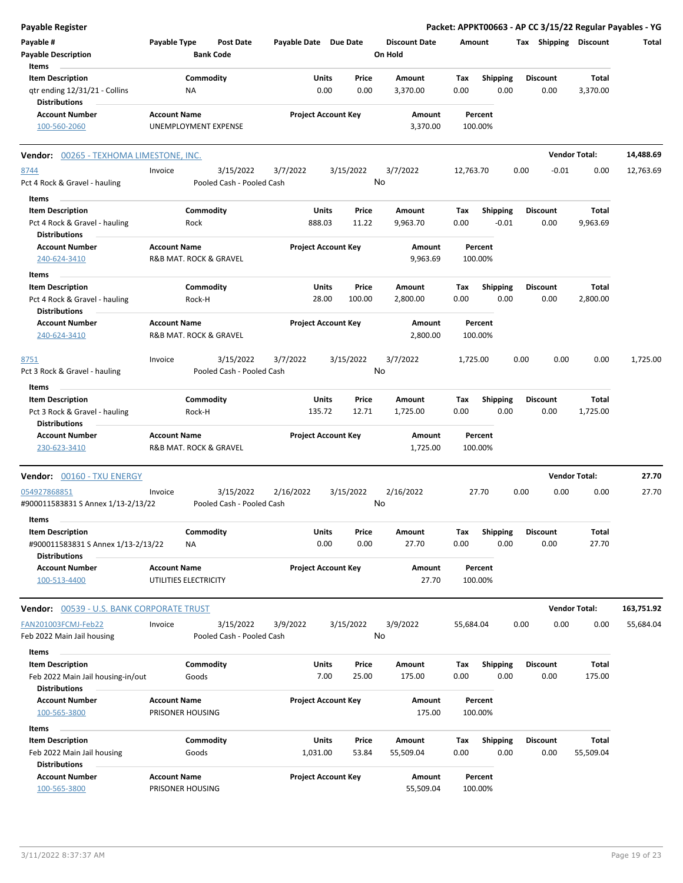| <b>Payable Register</b>                                       |                                                      |                            |                 |                                 | Packet: APPKT00663 - AP CC 3/15/22 Regular Payables - YG |                         |                      |            |
|---------------------------------------------------------------|------------------------------------------------------|----------------------------|-----------------|---------------------------------|----------------------------------------------------------|-------------------------|----------------------|------------|
| Payable #<br><b>Payable Description</b>                       | Payable Type<br><b>Post Date</b><br><b>Bank Code</b> | Payable Date Due Date      |                 | <b>Discount Date</b><br>On Hold | Amount                                                   | Tax Shipping Discount   |                      | Total      |
| Items<br><b>Item Description</b>                              | Commodity                                            | Units                      | Price           | Amount                          | Tax<br><b>Shipping</b>                                   | <b>Discount</b>         | Total                |            |
| qtr ending 12/31/21 - Collins<br><b>Distributions</b>         | NA                                                   | 0.00                       | 0.00            | 3,370.00                        | 0.00<br>0.00                                             | 0.00                    | 3,370.00             |            |
| <b>Account Number</b><br>100-560-2060                         | <b>Account Name</b><br><b>UNEMPLOYMENT EXPENSE</b>   | <b>Project Account Key</b> |                 | Amount<br>3,370.00              | Percent<br>100.00%                                       |                         |                      |            |
| <b>Vendor:</b> 00265 - TEXHOMA LIMESTONE, INC.                |                                                      |                            |                 |                                 |                                                          |                         | <b>Vendor Total:</b> | 14,488.69  |
| 8744                                                          | 3/15/2022<br>Invoice                                 | 3/7/2022                   | 3/15/2022       | 3/7/2022                        | 12,763.70                                                | 0.00<br>$-0.01$         | 0.00                 | 12,763.69  |
| Pct 4 Rock & Gravel - hauling                                 | Pooled Cash - Pooled Cash                            |                            |                 | No                              |                                                          |                         |                      |            |
| Items                                                         |                                                      |                            |                 |                                 |                                                          |                         |                      |            |
| <b>Item Description</b>                                       | Commodity                                            | Units                      | Price           | Amount                          | <b>Shipping</b><br>Tax                                   | <b>Discount</b>         | Total                |            |
| Pct 4 Rock & Gravel - hauling<br><b>Distributions</b>         | Rock                                                 | 888.03                     | 11.22           | 9,963.70                        | $-0.01$<br>0.00                                          | 0.00                    | 9,963.69             |            |
| <b>Account Number</b><br>240-624-3410                         | <b>Account Name</b><br>R&B MAT. ROCK & GRAVEL        | <b>Project Account Key</b> |                 | Amount<br>9,963.69              | Percent<br>100.00%                                       |                         |                      |            |
| Items                                                         |                                                      |                            |                 |                                 |                                                          |                         |                      |            |
| <b>Item Description</b><br>Pct 4 Rock & Gravel - hauling      | Commodity<br>Rock-H                                  | Units<br>28.00             | Price<br>100.00 | Amount<br>2,800.00              | Tax<br><b>Shipping</b><br>0.00<br>0.00                   | <b>Discount</b><br>0.00 | Total<br>2,800.00    |            |
| <b>Distributions</b><br><b>Account Number</b>                 | <b>Account Name</b>                                  | <b>Project Account Key</b> |                 | Amount                          | Percent                                                  |                         |                      |            |
| 240-624-3410                                                  | <b>R&amp;B MAT. ROCK &amp; GRAVEL</b>                |                            |                 | 2,800.00                        | 100.00%                                                  |                         |                      |            |
| 8751<br>Pct 3 Rock & Gravel - hauling                         | 3/15/2022<br>Invoice<br>Pooled Cash - Pooled Cash    | 3/7/2022                   | 3/15/2022       | 3/7/2022<br>No                  | 1,725.00                                                 | 0.00<br>0.00            | 0.00                 | 1,725.00   |
| Items                                                         |                                                      |                            |                 |                                 |                                                          |                         |                      |            |
| <b>Item Description</b><br>Pct 3 Rock & Gravel - hauling      | Commodity<br>Rock-H                                  | Units<br>135.72            | Price<br>12.71  | Amount<br>1,725.00              | Tax<br><b>Shipping</b><br>0.00<br>0.00                   | <b>Discount</b><br>0.00 | Total<br>1,725.00    |            |
| <b>Distributions</b><br><b>Account Number</b>                 | <b>Account Name</b>                                  | <b>Project Account Key</b> |                 | Amount                          | Percent                                                  |                         |                      |            |
| 230-623-3410                                                  | R&B MAT. ROCK & GRAVEL                               |                            |                 | 1,725.00                        | 100.00%                                                  |                         |                      |            |
| Vendor: 00160 - TXU ENERGY                                    |                                                      |                            |                 |                                 |                                                          |                         | <b>Vendor Total:</b> | 27.70      |
| 054927868851                                                  | 3/15/2022<br>Invoice                                 | 2/16/2022                  | 3/15/2022       | 2/16/2022                       | 27.70                                                    | 0.00<br>0.00            | 0.00                 | 27.70      |
| #900011583831 S Annex 1/13-2/13/22                            | Pooled Cash - Pooled Cash                            |                            |                 | No                              |                                                          |                         |                      |            |
| Items                                                         |                                                      |                            |                 |                                 |                                                          |                         |                      |            |
| <b>Item Description</b><br>#900011583831 S Annex 1/13-2/13/22 | Commodity<br>ΝA                                      | Units<br>0.00              | Price<br>0.00   | Amount<br>27.70                 | <b>Shipping</b><br>Тах<br>0.00<br>0.00                   | Discount<br>0.00        | Total<br>27.70       |            |
| <b>Distributions</b>                                          |                                                      |                            |                 |                                 |                                                          |                         |                      |            |
| <b>Account Number</b><br>100-513-4400                         | <b>Account Name</b><br>UTILITIES ELECTRICITY         | <b>Project Account Key</b> |                 | Amount<br>27.70                 | Percent<br>100.00%                                       |                         |                      |            |
| Vendor: 00539 - U.S. BANK CORPORATE TRUST                     |                                                      |                            |                 |                                 |                                                          |                         | <b>Vendor Total:</b> | 163,751.92 |
| FAN201003FCMJ-Feb22<br>Feb 2022 Main Jail housing             | 3/15/2022<br>Invoice<br>Pooled Cash - Pooled Cash    | 3/9/2022                   | 3/15/2022       | 3/9/2022<br>No                  | 55,684.04                                                | 0.00<br>0.00            | 0.00                 | 55,684.04  |
| Items                                                         |                                                      |                            |                 |                                 |                                                          |                         |                      |            |
| <b>Item Description</b>                                       | Commodity                                            | Units                      | Price           | Amount                          | <b>Shipping</b><br>Tax                                   | Discount                | Total                |            |
| Feb 2022 Main Jail housing-in/out<br><b>Distributions</b>     | Goods                                                | 7.00                       | 25.00           | 175.00                          | 0.00<br>0.00                                             | 0.00                    | 175.00               |            |
| <b>Account Number</b>                                         | <b>Account Name</b>                                  | <b>Project Account Key</b> |                 | Amount                          | Percent                                                  |                         |                      |            |
| 100-565-3800                                                  | PRISONER HOUSING                                     |                            |                 | 175.00                          | 100.00%                                                  |                         |                      |            |
| Items                                                         |                                                      |                            |                 |                                 |                                                          |                         |                      |            |
| <b>Item Description</b>                                       | Commodity                                            | Units                      | Price           | Amount                          | Tax<br>Shipping                                          | <b>Discount</b>         | Total                |            |
| Feb 2022 Main Jail housing<br><b>Distributions</b>            | Goods                                                | 1,031.00                   | 53.84           | 55,509.04                       | 0.00<br>0.00                                             | 0.00                    | 55,509.04            |            |
| <b>Account Number</b><br>100-565-3800                         | <b>Account Name</b><br>PRISONER HOUSING              | <b>Project Account Key</b> |                 | Amount<br>55,509.04             | Percent<br>100.00%                                       |                         |                      |            |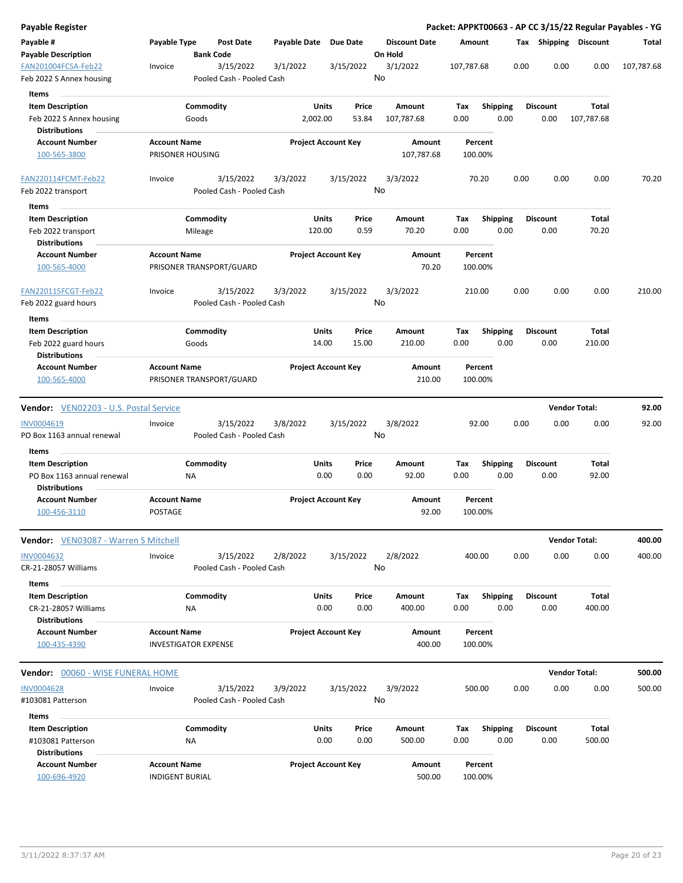| <b>Payable Register</b>                                                       |                                               |                             |                                        |                       |                            |                |                                 |             |                         |      |                         |                       | Packet: APPKT00663 - AP CC 3/15/22 Regular Payables - YG |
|-------------------------------------------------------------------------------|-----------------------------------------------|-----------------------------|----------------------------------------|-----------------------|----------------------------|----------------|---------------------------------|-------------|-------------------------|------|-------------------------|-----------------------|----------------------------------------------------------|
| Payable #<br><b>Payable Description</b>                                       | Payable Type                                  | <b>Bank Code</b>            | <b>Post Date</b>                       | Payable Date Due Date |                            |                | <b>Discount Date</b><br>On Hold |             | Amount                  |      |                         | Tax Shipping Discount | Total                                                    |
| FAN201004FCSA-Feb22<br>Feb 2022 S Annex housing                               | Invoice                                       |                             | 3/15/2022<br>Pooled Cash - Pooled Cash | 3/1/2022              |                            | 3/15/2022      | 3/1/2022<br>No                  | 107,787.68  |                         | 0.00 | 0.00                    | 0.00                  | 107,787.68                                               |
| <b>Items</b>                                                                  |                                               |                             |                                        |                       |                            |                |                                 |             |                         |      |                         |                       |                                                          |
| <b>Item Description</b><br>Feb 2022 S Annex housing                           |                                               | Commodity<br>Goods          |                                        |                       | Units<br>2,002.00          | Price<br>53.84 | Amount<br>107,787.68            | Tax<br>0.00 | <b>Shipping</b><br>0.00 |      | <b>Discount</b><br>0.00 | Total<br>107,787.68   |                                                          |
| <b>Distributions</b>                                                          |                                               |                             |                                        |                       |                            |                |                                 |             |                         |      |                         |                       |                                                          |
| <b>Account Number</b><br>100-565-3800                                         | <b>Account Name</b>                           | PRISONER HOUSING            |                                        |                       | <b>Project Account Key</b> |                | Amount<br>107,787.68            |             | Percent<br>100.00%      |      |                         |                       |                                                          |
| FAN220114FCMT-Feb22<br>Feb 2022 transport                                     | Invoice                                       |                             | 3/15/2022<br>Pooled Cash - Pooled Cash | 3/3/2022              |                            | 3/15/2022      | 3/3/2022<br>No                  |             | 70.20                   | 0.00 | 0.00                    | 0.00                  | 70.20                                                    |
| Items                                                                         |                                               |                             |                                        |                       |                            |                |                                 |             |                         |      |                         |                       |                                                          |
| <b>Item Description</b><br>Feb 2022 transport                                 |                                               | Commodity<br>Mileage        |                                        |                       | Units<br>120.00            | Price<br>0.59  | Amount<br>70.20                 | Tax<br>0.00 | <b>Shipping</b><br>0.00 |      | <b>Discount</b><br>0.00 | Total<br>70.20        |                                                          |
| <b>Distributions</b><br><b>Account Number</b>                                 | <b>Account Name</b>                           |                             |                                        |                       | <b>Project Account Key</b> |                | Amount                          |             | Percent                 |      |                         |                       |                                                          |
| 100-565-4000                                                                  |                                               |                             | PRISONER TRANSPORT/GUARD               |                       |                            |                | 70.20                           |             | 100.00%                 |      |                         |                       |                                                          |
| FAN220115FCGT-Feb22<br>Feb 2022 guard hours                                   | Invoice                                       |                             | 3/15/2022<br>Pooled Cash - Pooled Cash | 3/3/2022              |                            | 3/15/2022      | 3/3/2022<br>No                  |             | 210.00                  | 0.00 | 0.00                    | 0.00                  | 210.00                                                   |
| Items                                                                         |                                               |                             |                                        |                       |                            |                |                                 |             |                         |      |                         |                       |                                                          |
| <b>Item Description</b><br>Feb 2022 guard hours<br><b>Distributions</b>       |                                               | Commodity<br>Goods          |                                        |                       | Units<br>14.00             | Price<br>15.00 | Amount<br>210.00                | Tax<br>0.00 | <b>Shipping</b><br>0.00 |      | <b>Discount</b><br>0.00 | Total<br>210.00       |                                                          |
| <b>Account Number</b><br>100-565-4000                                         | <b>Account Name</b>                           |                             | PRISONER TRANSPORT/GUARD               |                       | <b>Project Account Key</b> |                | Amount<br>210.00                |             | Percent<br>100.00%      |      |                         |                       |                                                          |
|                                                                               |                                               |                             |                                        |                       |                            |                |                                 |             |                         |      |                         | <b>Vendor Total:</b>  | 92.00                                                    |
| <b>Vendor:</b> VEN02203 - U.S. Postal Service                                 |                                               |                             |                                        |                       |                            |                |                                 |             |                         |      |                         |                       |                                                          |
| INV0004619<br>PO Box 1163 annual renewal                                      | Invoice                                       |                             | 3/15/2022<br>Pooled Cash - Pooled Cash | 3/8/2022              |                            | 3/15/2022      | 3/8/2022<br>No                  |             | 92.00                   | 0.00 | 0.00                    | 0.00                  | 92.00                                                    |
| Items                                                                         |                                               |                             |                                        |                       |                            |                |                                 |             |                         |      |                         |                       |                                                          |
| <b>Item Description</b><br>PO Box 1163 annual renewal<br><b>Distributions</b> |                                               | Commodity<br>ΝA             |                                        |                       | Units<br>0.00              | Price<br>0.00  | Amount<br>92.00                 | Tax<br>0.00 | <b>Shipping</b><br>0.00 |      | <b>Discount</b><br>0.00 | Total<br>92.00        |                                                          |
| <b>Account Number</b><br>100-456-3110                                         | <b>Account Name</b><br>POSTAGE                |                             |                                        |                       | <b>Project Account Key</b> |                | Amount<br>92.00                 |             | Percent<br>100.00%      |      |                         |                       |                                                          |
| Vendor: VEN03087 - Warren S Mitchell                                          |                                               |                             |                                        |                       |                            |                |                                 |             |                         |      |                         | <b>Vendor Total:</b>  | 400.00                                                   |
| <b>INV0004632</b><br>CR-21-28057 Williams                                     | Invoice                                       |                             | 3/15/2022<br>Pooled Cash - Pooled Cash | 2/8/2022              |                            | 3/15/2022      | 2/8/2022<br>No                  |             | 400.00                  | 0.00 | 0.00                    | 0.00                  | 400.00                                                   |
| Items                                                                         |                                               |                             |                                        |                       |                            |                |                                 |             |                         |      |                         |                       |                                                          |
| <b>Item Description</b><br>CR-21-28057 Williams                               |                                               | Commodity<br>NA             |                                        |                       | Units<br>0.00              | Price<br>0.00  | Amount<br>400.00                | Tax<br>0.00 | Shipping<br>0.00        |      | <b>Discount</b><br>0.00 | Total<br>400.00       |                                                          |
| <b>Distributions</b>                                                          |                                               |                             |                                        |                       |                            |                |                                 |             |                         |      |                         |                       |                                                          |
| <b>Account Number</b><br>100-435-4390                                         | <b>Account Name</b>                           | <b>INVESTIGATOR EXPENSE</b> |                                        |                       | <b>Project Account Key</b> |                | Amount<br>400.00                |             | Percent<br>100.00%      |      |                         |                       |                                                          |
| Vendor: 00060 - WISE FUNERAL HOME                                             |                                               |                             |                                        |                       |                            |                |                                 |             |                         |      |                         | <b>Vendor Total:</b>  | 500.00                                                   |
| <b>INV0004628</b><br>#103081 Patterson                                        | Invoice                                       |                             | 3/15/2022<br>Pooled Cash - Pooled Cash | 3/9/2022              |                            | 3/15/2022      | 3/9/2022<br>No                  |             | 500.00                  | 0.00 | 0.00                    | 0.00                  | 500.00                                                   |
| Items                                                                         |                                               |                             |                                        |                       |                            |                |                                 |             |                         |      |                         |                       |                                                          |
| <b>Item Description</b><br>#103081 Patterson                                  |                                               | Commodity<br>ΝA             |                                        |                       | Units<br>0.00              | Price<br>0.00  | Amount<br>500.00                | Tax<br>0.00 | <b>Shipping</b><br>0.00 |      | <b>Discount</b><br>0.00 | Total<br>500.00       |                                                          |
| <b>Distributions</b><br><b>Account Number</b><br>100-696-4920                 | <b>Account Name</b><br><b>INDIGENT BURIAL</b> |                             |                                        |                       | <b>Project Account Key</b> |                | Amount<br>500.00                |             | Percent<br>100.00%      |      |                         |                       |                                                          |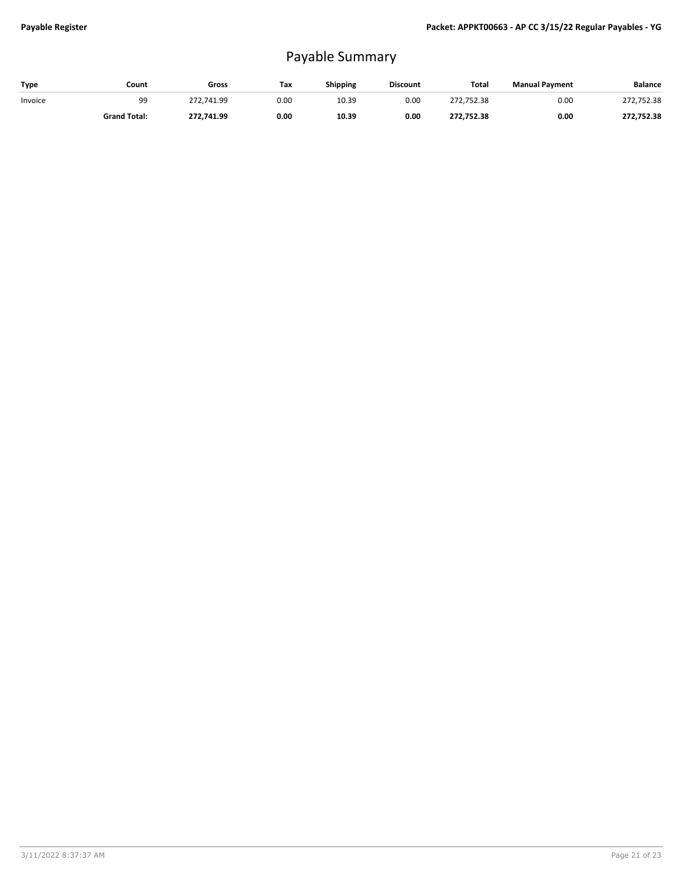## Payable Summary

| Type    | Count               | Gross      | Tax  | Shipping | <b>Discount</b> | Total      | <b>Manual Payment</b> | Balance    |
|---------|---------------------|------------|------|----------|-----------------|------------|-----------------------|------------|
| Invoice | 99                  | 272.741.99 | 0.00 | 10.39    | 0.00            | 272.752.38 | 0.00                  | 272,752.38 |
|         | <b>Grand Total:</b> | 272.741.99 | 0.00 | 10.39    | 0.00            | 272.752.38 | 0.00                  | 272,752.38 |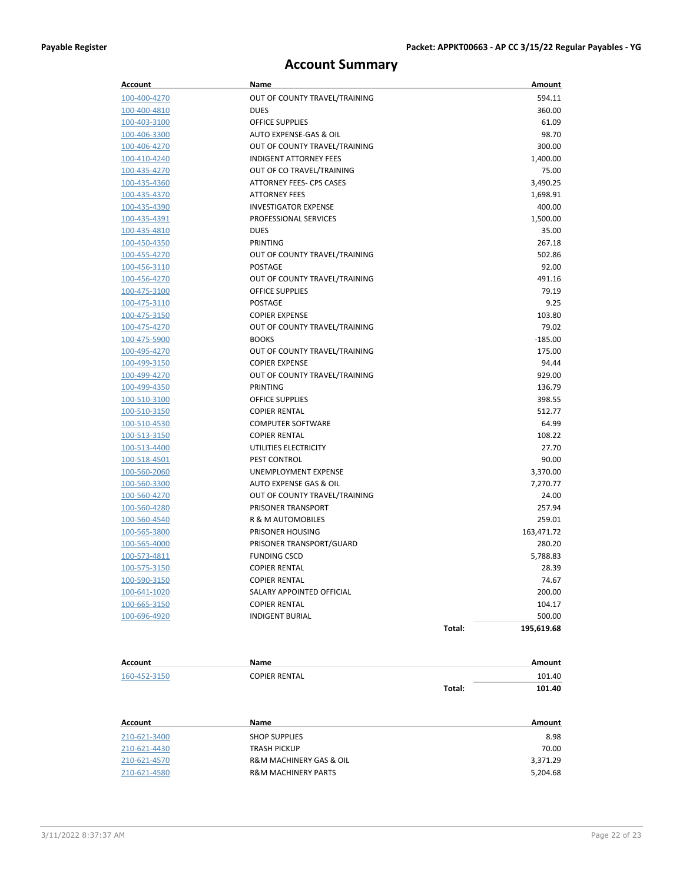## **Account Summary**

| <b>Account</b> | Name                           |        | Amount     |
|----------------|--------------------------------|--------|------------|
| 100-400-4270   | OUT OF COUNTY TRAVEL/TRAINING  |        | 594.11     |
| 100-400-4810   | <b>DUES</b>                    |        | 360.00     |
| 100-403-3100   | <b>OFFICE SUPPLIES</b>         |        | 61.09      |
| 100-406-3300   | AUTO EXPENSE-GAS & OIL         |        | 98.70      |
| 100-406-4270   | OUT OF COUNTY TRAVEL/TRAINING  |        | 300.00     |
| 100-410-4240   | <b>INDIGENT ATTORNEY FEES</b>  |        | 1,400.00   |
| 100-435-4270   | OUT OF CO TRAVEL/TRAINING      |        | 75.00      |
| 100-435-4360   | ATTORNEY FEES- CPS CASES       |        | 3,490.25   |
| 100-435-4370   | <b>ATTORNEY FEES</b>           |        | 1,698.91   |
| 100-435-4390   | <b>INVESTIGATOR EXPENSE</b>    |        | 400.00     |
| 100-435-4391   | PROFESSIONAL SERVICES          |        | 1,500.00   |
| 100-435-4810   | <b>DUES</b>                    |        | 35.00      |
| 100-450-4350   | PRINTING                       |        | 267.18     |
| 100-455-4270   | OUT OF COUNTY TRAVEL/TRAINING  |        | 502.86     |
| 100-456-3110   | POSTAGE                        |        | 92.00      |
| 100-456-4270   | OUT OF COUNTY TRAVEL/TRAINING  |        | 491.16     |
| 100-475-3100   | <b>OFFICE SUPPLIES</b>         |        | 79.19      |
| 100-475-3110   | <b>POSTAGE</b>                 |        | 9.25       |
| 100-475-3150   | <b>COPIER EXPENSE</b>          |        | 103.80     |
| 100-475-4270   | OUT OF COUNTY TRAVEL/TRAINING  |        | 79.02      |
| 100-475-5900   | <b>BOOKS</b>                   |        | $-185.00$  |
| 100-495-4270   | OUT OF COUNTY TRAVEL/TRAINING  |        | 175.00     |
| 100-499-3150   | <b>COPIER EXPENSE</b>          |        | 94.44      |
| 100-499-4270   | OUT OF COUNTY TRAVEL/TRAINING  |        | 929.00     |
| 100-499-4350   | PRINTING                       |        | 136.79     |
| 100-510-3100   | <b>OFFICE SUPPLIES</b>         |        | 398.55     |
| 100-510-3150   | <b>COPIER RENTAL</b>           |        | 512.77     |
| 100-510-4530   | <b>COMPUTER SOFTWARE</b>       |        | 64.99      |
| 100-513-3150   | <b>COPIER RENTAL</b>           |        | 108.22     |
| 100-513-4400   | UTILITIES ELECTRICITY          |        | 27.70      |
| 100-518-4501   | PEST CONTROL                   |        | 90.00      |
| 100-560-2060   | UNEMPLOYMENT EXPENSE           |        | 3,370.00   |
| 100-560-3300   | AUTO EXPENSE GAS & OIL         |        | 7,270.77   |
| 100-560-4270   | OUT OF COUNTY TRAVEL/TRAINING  |        | 24.00      |
| 100-560-4280   | PRISONER TRANSPORT             |        | 257.94     |
| 100-560-4540   | R & M AUTOMOBILES              |        | 259.01     |
| 100-565-3800   | PRISONER HOUSING               |        | 163,471.72 |
| 100-565-4000   | PRISONER TRANSPORT/GUARD       |        | 280.20     |
| 100-573-4811   | <b>FUNDING CSCD</b>            |        | 5,788.83   |
| 100-575-3150   | <b>COPIER RENTAL</b>           |        | 28.39      |
| 100-590-3150   | <b>COPIER RENTAL</b>           |        | 74.67      |
| 100-641-1020   | SALARY APPOINTED OFFICIAL      |        | 200.00     |
| 100-665-3150   | <b>COPIER RENTAL</b>           |        | 104.17     |
| 100-696-4920   | <b>INDIGENT BURIAL</b>         |        | 500.00     |
|                |                                | Total: | 195,619.68 |
| <b>Account</b> | <b>Name</b>                    |        | Amount     |
| 160-452-3150   | <b>COPIER RENTAL</b>           |        | 101.40     |
|                |                                | Total: | 101.40     |
| Account        | Name                           |        | Amount     |
| 210-621-3400   | <b>SHOP SUPPLIES</b>           |        | 8.98       |
| 210-621-4430   | TRASH PICKUP                   |        | 70.00      |
| 210-621-4570   | R&M MACHINERY GAS & OIL        |        | 3,371.29   |
| 210-621-4580   | <b>R&amp;M MACHINERY PARTS</b> |        | 5,204.68   |